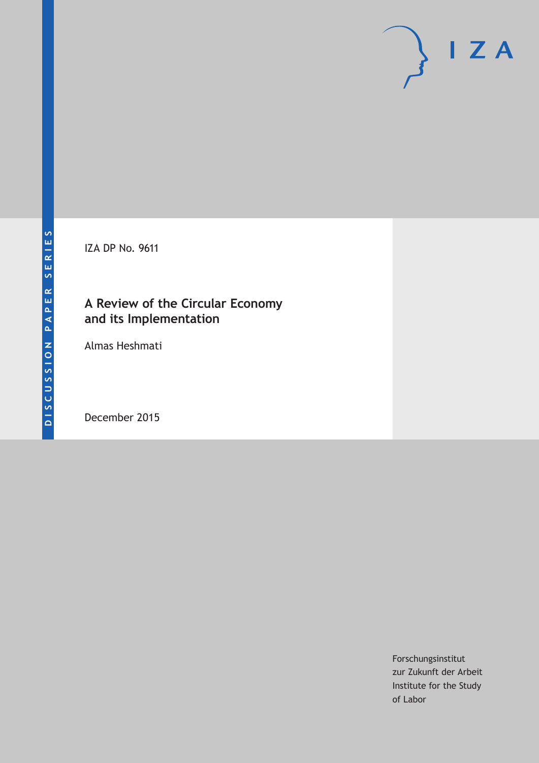IZA DP No. 9611

# **A Review of the Circular Economy and its Implementation**

Almas Heshmati

December 2015

Forschungsinstitut zur Zukunft der Arbeit Institute for the Study of Labor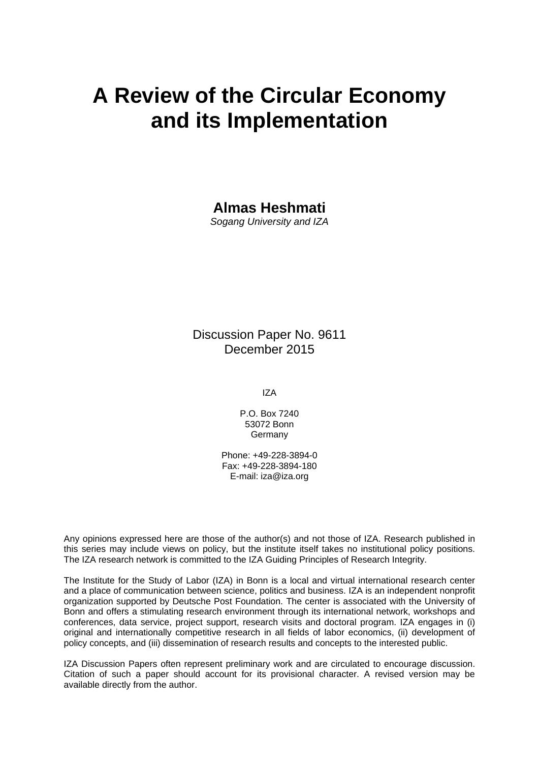# **A Review of the Circular Economy and its Implementation**

**Almas Heshmati** 

*Sogang University and IZA* 

Discussion Paper No. 9611 December 2015

IZA

P.O. Box 7240 53072 Bonn Germany

Phone: +49-228-3894-0 Fax: +49-228-3894-180 E-mail: iza@iza.org

Any opinions expressed here are those of the author(s) and not those of IZA. Research published in this series may include views on policy, but the institute itself takes no institutional policy positions. The IZA research network is committed to the IZA Guiding Principles of Research Integrity.

The Institute for the Study of Labor (IZA) in Bonn is a local and virtual international research center and a place of communication between science, politics and business. IZA is an independent nonprofit organization supported by Deutsche Post Foundation. The center is associated with the University of Bonn and offers a stimulating research environment through its international network, workshops and conferences, data service, project support, research visits and doctoral program. IZA engages in (i) original and internationally competitive research in all fields of labor economics, (ii) development of policy concepts, and (iii) dissemination of research results and concepts to the interested public.

IZA Discussion Papers often represent preliminary work and are circulated to encourage discussion. Citation of such a paper should account for its provisional character. A revised version may be available directly from the author.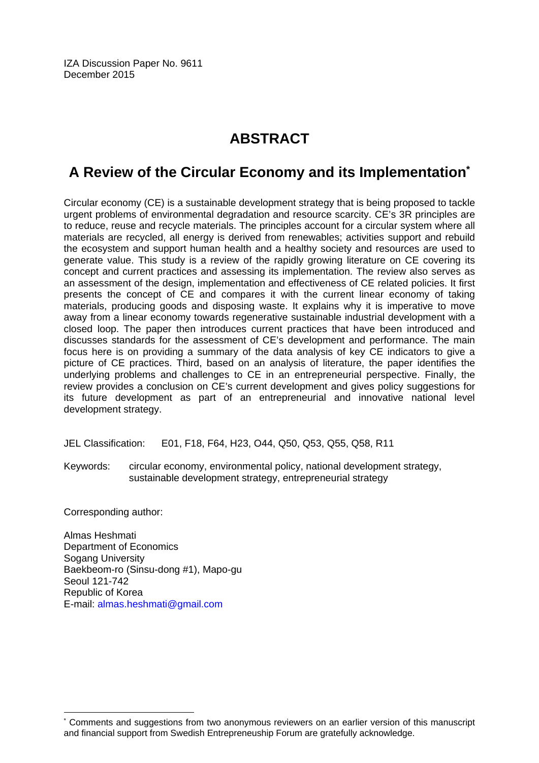IZA Discussion Paper No. 9611 December 2015

# **ABSTRACT**

# **A Review of the Circular Economy and its Implementation\***

Circular economy (CE) is a sustainable development strategy that is being proposed to tackle urgent problems of environmental degradation and resource scarcity. CE's 3R principles are to reduce, reuse and recycle materials. The principles account for a circular system where all materials are recycled, all energy is derived from renewables; activities support and rebuild the ecosystem and support human health and a healthy society and resources are used to generate value. This study is a review of the rapidly growing literature on CE covering its concept and current practices and assessing its implementation. The review also serves as an assessment of the design, implementation and effectiveness of CE related policies. It first presents the concept of CE and compares it with the current linear economy of taking materials, producing goods and disposing waste. It explains why it is imperative to move away from a linear economy towards regenerative sustainable industrial development with a closed loop. The paper then introduces current practices that have been introduced and discusses standards for the assessment of CE's development and performance. The main focus here is on providing a summary of the data analysis of key CE indicators to give a picture of CE practices. Third, based on an analysis of literature, the paper identifies the underlying problems and challenges to CE in an entrepreneurial perspective. Finally, the review provides a conclusion on CE's current development and gives policy suggestions for its future development as part of an entrepreneurial and innovative national level development strategy.

JEL Classification: E01, F18, F64, H23, O44, Q50, Q53, Q55, Q58, R11

Keywords: circular economy, environmental policy, national development strategy, sustainable development strategy, entrepreneurial strategy

Corresponding author:

 $\overline{a}$ 

Almas Heshmati Department of Economics Sogang University Baekbeom-ro (Sinsu-dong #1), Mapo-gu Seoul 121-742 Republic of Korea E-mail: almas.heshmati@gmail.com

<sup>\*</sup> Comments and suggestions from two anonymous reviewers on an earlier version of this manuscript and financial support from Swedish Entrepreneuship Forum are gratefully acknowledge.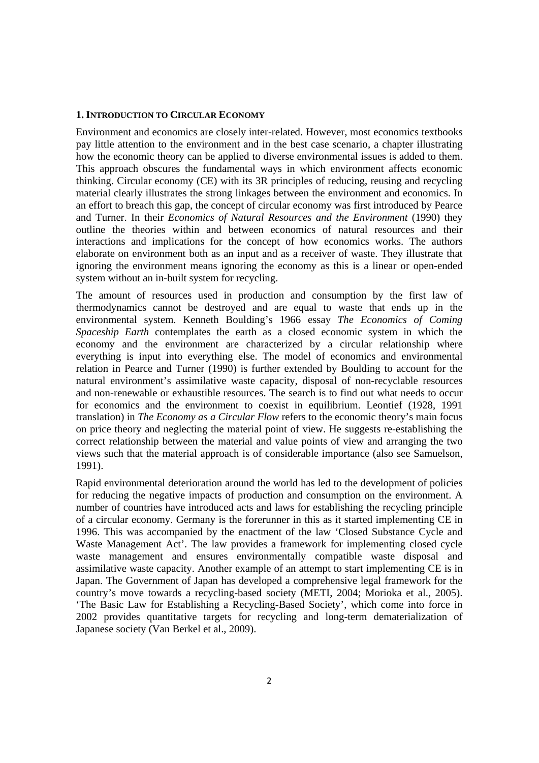#### **1.INTRODUCTION TO CIRCULAR ECONOMY**

Environment and economics are closely inter-related. However, most economics textbooks pay little attention to the environment and in the best case scenario, a chapter illustrating how the economic theory can be applied to diverse environmental issues is added to them. This approach obscures the fundamental ways in which environment affects economic thinking. Circular economy (CE) with its 3R principles of reducing, reusing and recycling material clearly illustrates the strong linkages between the environment and economics. In an effort to breach this gap, the concept of circular economy was first introduced by Pearce and Turner. In their *Economics of Natural Resources and the Environment* (1990) they outline the theories within and between economics of natural resources and their interactions and implications for the concept of how economics works. The authors elaborate on environment both as an input and as a receiver of waste. They illustrate that ignoring the environment means ignoring the economy as this is a linear or open-ended system without an in-built system for recycling.

The amount of resources used in production and consumption by the first law of thermodynamics cannot be destroyed and are equal to waste that ends up in the environmental system. Kenneth Boulding's 1966 essay *The Economics of Coming Spaceship Earth* contemplates the earth as a closed economic system in which the economy and the environment are characterized by a circular relationship where everything is input into everything else. The model of economics and environmental relation in Pearce and Turner (1990) is further extended by Boulding to account for the natural environment's assimilative waste capacity, disposal of non-recyclable resources and non-renewable or exhaustible resources. The search is to find out what needs to occur for economics and the environment to coexist in equilibrium. Leontief (1928, 1991 translation) in *The Economy as a Circular Flow* refers to the economic theory's main focus on price theory and neglecting the material point of view. He suggests re-establishing the correct relationship between the material and value points of view and arranging the two views such that the material approach is of considerable importance (also see Samuelson, 1991).

Rapid environmental deterioration around the world has led to the development of policies for reducing the negative impacts of production and consumption on the environment. A number of countries have introduced acts and laws for establishing the recycling principle of a circular economy. Germany is the forerunner in this as it started implementing CE in 1996. This was accompanied by the enactment of the law 'Closed Substance Cycle and Waste Management Act'. The law provides a framework for implementing closed cycle waste management and ensures environmentally compatible waste disposal and assimilative waste capacity. Another example of an attempt to start implementing CE is in Japan. The Government of Japan has developed a comprehensive legal framework for the country's move towards a recycling-based society (METI, 2004; Morioka et al., 2005). 'The Basic Law for Establishing a Recycling-Based Society', which come into force in 2002 provides quantitative targets for recycling and long-term dematerialization of Japanese society (Van Berkel et al., 2009).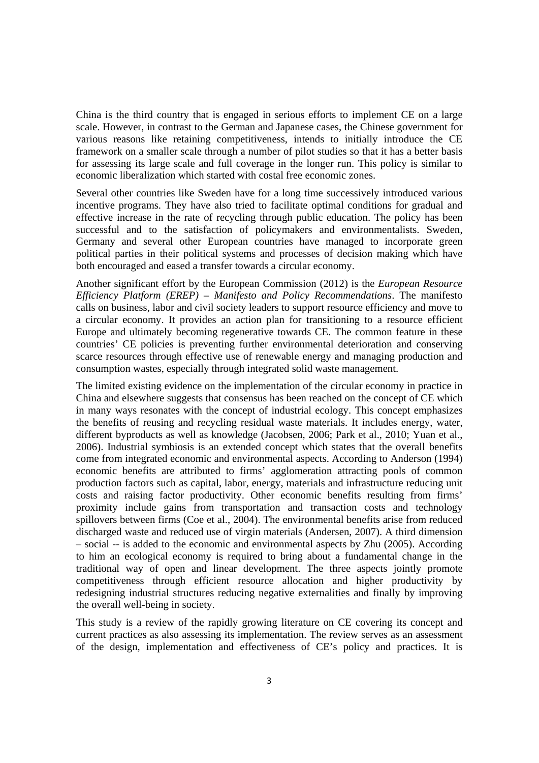China is the third country that is engaged in serious efforts to implement CE on a large scale. However, in contrast to the German and Japanese cases, the Chinese government for various reasons like retaining competitiveness, intends to initially introduce the CE framework on a smaller scale through a number of pilot studies so that it has a better basis for assessing its large scale and full coverage in the longer run. This policy is similar to economic liberalization which started with costal free economic zones.

Several other countries like Sweden have for a long time successively introduced various incentive programs. They have also tried to facilitate optimal conditions for gradual and effective increase in the rate of recycling through public education. The policy has been successful and to the satisfaction of policymakers and environmentalists. Sweden, Germany and several other European countries have managed to incorporate green political parties in their political systems and processes of decision making which have both encouraged and eased a transfer towards a circular economy.

Another significant effort by the European Commission (2012) is the *European Resource Efficiency Platform (EREP) – Manifesto and Policy Recommendations*. The manifesto calls on business, labor and civil society leaders to support resource efficiency and move to a circular economy. It provides an action plan for transitioning to a resource efficient Europe and ultimately becoming regenerative towards CE. The common feature in these countries' CE policies is preventing further environmental deterioration and conserving scarce resources through effective use of renewable energy and managing production and consumption wastes, especially through integrated solid waste management.

The limited existing evidence on the implementation of the circular economy in practice in China and elsewhere suggests that consensus has been reached on the concept of CE which in many ways resonates with the concept of industrial ecology. This concept emphasizes the benefits of reusing and recycling residual waste materials. It includes energy, water, different byproducts as well as knowledge (Jacobsen, 2006; Park et al., 2010; Yuan et al., 2006). Industrial symbiosis is an extended concept which states that the overall benefits come from integrated economic and environmental aspects. According to Anderson (1994) economic benefits are attributed to firms' agglomeration attracting pools of common production factors such as capital, labor, energy, materials and infrastructure reducing unit costs and raising factor productivity. Other economic benefits resulting from firms' proximity include gains from transportation and transaction costs and technology spillovers between firms (Coe et al., 2004). The environmental benefits arise from reduced discharged waste and reduced use of virgin materials (Andersen, 2007). A third dimension – social -- is added to the economic and environmental aspects by Zhu (2005). According to him an ecological economy is required to bring about a fundamental change in the traditional way of open and linear development. The three aspects jointly promote competitiveness through efficient resource allocation and higher productivity by redesigning industrial structures reducing negative externalities and finally by improving the overall well-being in society.

This study is a review of the rapidly growing literature on CE covering its concept and current practices as also assessing its implementation. The review serves as an assessment of the design, implementation and effectiveness of CE's policy and practices. It is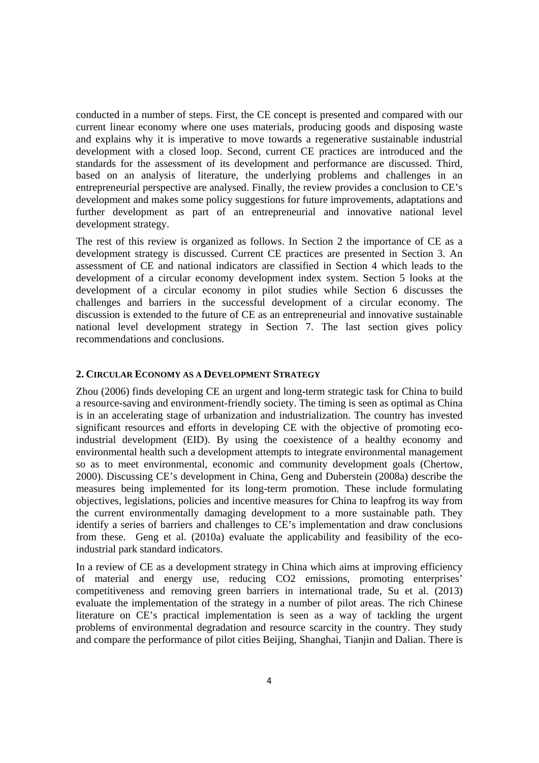conducted in a number of steps. First, the CE concept is presented and compared with our current linear economy where one uses materials, producing goods and disposing waste and explains why it is imperative to move towards a regenerative sustainable industrial development with a closed loop. Second, current CE practices are introduced and the standards for the assessment of its development and performance are discussed. Third, based on an analysis of literature, the underlying problems and challenges in an entrepreneurial perspective are analysed. Finally, the review provides a conclusion to CE's development and makes some policy suggestions for future improvements, adaptations and further development as part of an entrepreneurial and innovative national level development strategy.

The rest of this review is organized as follows. In Section 2 the importance of CE as a development strategy is discussed. Current CE practices are presented in Section 3. An assessment of CE and national indicators are classified in Section 4 which leads to the development of a circular economy development index system. Section 5 looks at the development of a circular economy in pilot studies while Section 6 discusses the challenges and barriers in the successful development of a circular economy. The discussion is extended to the future of CE as an entrepreneurial and innovative sustainable national level development strategy in Section 7. The last section gives policy recommendations and conclusions.

#### **2. CIRCULAR ECONOMY AS A DEVELOPMENT STRATEGY**

Zhou (2006) finds developing CE an urgent and long-term strategic task for China to build a resource-saving and environment-friendly society. The timing is seen as optimal as China is in an accelerating stage of urbanization and industrialization. The country has invested significant resources and efforts in developing CE with the objective of promoting ecoindustrial development (EID). By using the coexistence of a healthy economy and environmental health such a development attempts to integrate environmental management so as to meet environmental, economic and community development goals (Chertow, 2000). Discussing CE's development in China, Geng and Duberstein (2008a) describe the measures being implemented for its long-term promotion. These include formulating objectives, legislations, policies and incentive measures for China to leapfrog its way from the current environmentally damaging development to a more sustainable path. They identify a series of barriers and challenges to CE's implementation and draw conclusions from these. Geng et al. (2010a) evaluate the applicability and feasibility of the ecoindustrial park standard indicators.

In a review of CE as a development strategy in China which aims at improving efficiency of material and energy use, reducing CO2 emissions, promoting enterprises' competitiveness and removing green barriers in international trade, Su et al. (2013) evaluate the implementation of the strategy in a number of pilot areas. The rich Chinese literature on CE's practical implementation is seen as a way of tackling the urgent problems of environmental degradation and resource scarcity in the country. They study and compare the performance of pilot cities Beijing, Shanghai, Tianjin and Dalian. There is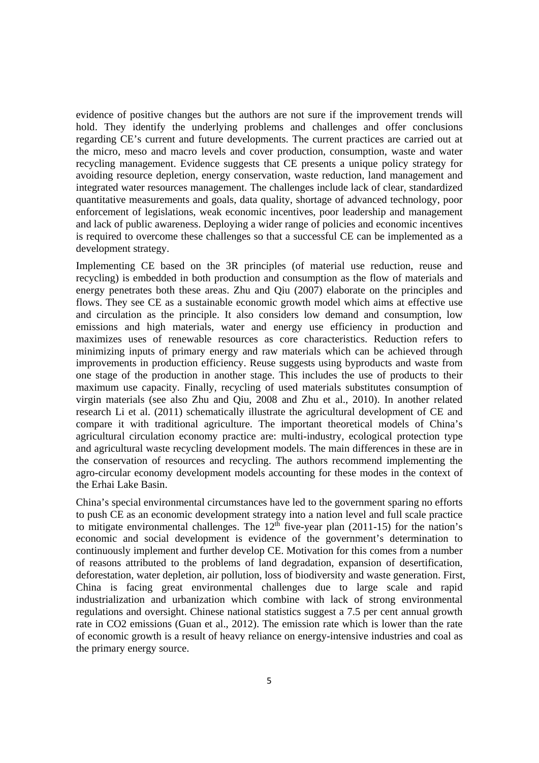evidence of positive changes but the authors are not sure if the improvement trends will hold. They identify the underlying problems and challenges and offer conclusions regarding CE's current and future developments. The current practices are carried out at the micro, meso and macro levels and cover production, consumption, waste and water recycling management. Evidence suggests that CE presents a unique policy strategy for avoiding resource depletion, energy conservation, waste reduction, land management and integrated water resources management. The challenges include lack of clear, standardized quantitative measurements and goals, data quality, shortage of advanced technology, poor enforcement of legislations, weak economic incentives, poor leadership and management and lack of public awareness. Deploying a wider range of policies and economic incentives is required to overcome these challenges so that a successful CE can be implemented as a development strategy.

Implementing CE based on the 3R principles (of material use reduction, reuse and recycling) is embedded in both production and consumption as the flow of materials and energy penetrates both these areas. Zhu and Qiu (2007) elaborate on the principles and flows. They see CE as a sustainable economic growth model which aims at effective use and circulation as the principle. It also considers low demand and consumption, low emissions and high materials, water and energy use efficiency in production and maximizes uses of renewable resources as core characteristics. Reduction refers to minimizing inputs of primary energy and raw materials which can be achieved through improvements in production efficiency. Reuse suggests using byproducts and waste from one stage of the production in another stage. This includes the use of products to their maximum use capacity. Finally, recycling of used materials substitutes consumption of virgin materials (see also Zhu and Qiu, 2008 and Zhu et al., 2010). In another related research Li et al. (2011) schematically illustrate the agricultural development of CE and compare it with traditional agriculture. The important theoretical models of China's agricultural circulation economy practice are: multi-industry, ecological protection type and agricultural waste recycling development models. The main differences in these are in the conservation of resources and recycling. The authors recommend implementing the agro-circular economy development models accounting for these modes in the context of the Erhai Lake Basin.

China's special environmental circumstances have led to the government sparing no efforts to push CE as an economic development strategy into a nation level and full scale practice to mitigate environmental challenges. The  $12<sup>th</sup>$  five-year plan (2011-15) for the nation's economic and social development is evidence of the government's determination to continuously implement and further develop CE. Motivation for this comes from a number of reasons attributed to the problems of land degradation, expansion of desertification, deforestation, water depletion, air pollution, loss of biodiversity and waste generation. First, China is facing great environmental challenges due to large scale and rapid industrialization and urbanization which combine with lack of strong environmental regulations and oversight. Chinese national statistics suggest a 7.5 per cent annual growth rate in CO2 emissions (Guan et al., 2012). The emission rate which is lower than the rate of economic growth is a result of heavy reliance on energy-intensive industries and coal as the primary energy source.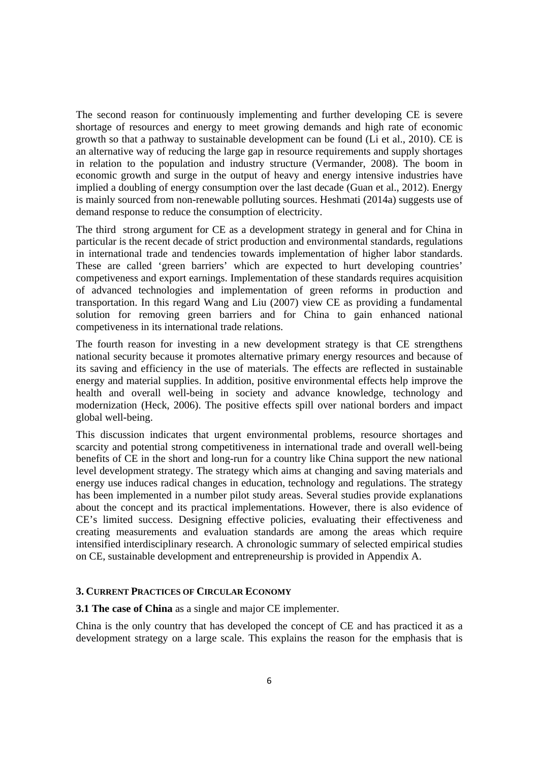The second reason for continuously implementing and further developing CE is severe shortage of resources and energy to meet growing demands and high rate of economic growth so that a pathway to sustainable development can be found (Li et al., 2010). CE is an alternative way of reducing the large gap in resource requirements and supply shortages in relation to the population and industry structure (Vermander, 2008). The boom in economic growth and surge in the output of heavy and energy intensive industries have implied a doubling of energy consumption over the last decade (Guan et al., 2012). Energy is mainly sourced from non-renewable polluting sources. Heshmati (2014a) suggests use of demand response to reduce the consumption of electricity.

The third strong argument for CE as a development strategy in general and for China in particular is the recent decade of strict production and environmental standards, regulations in international trade and tendencies towards implementation of higher labor standards. These are called 'green barriers' which are expected to hurt developing countries' competiveness and export earnings. Implementation of these standards requires acquisition of advanced technologies and implementation of green reforms in production and transportation. In this regard Wang and Liu (2007) view CE as providing a fundamental solution for removing green barriers and for China to gain enhanced national competiveness in its international trade relations.

The fourth reason for investing in a new development strategy is that CE strengthens national security because it promotes alternative primary energy resources and because of its saving and efficiency in the use of materials. The effects are reflected in sustainable energy and material supplies. In addition, positive environmental effects help improve the health and overall well-being in society and advance knowledge, technology and modernization (Heck, 2006). The positive effects spill over national borders and impact global well-being.

This discussion indicates that urgent environmental problems, resource shortages and scarcity and potential strong competitiveness in international trade and overall well-being benefits of CE in the short and long-run for a country like China support the new national level development strategy. The strategy which aims at changing and saving materials and energy use induces radical changes in education, technology and regulations. The strategy has been implemented in a number pilot study areas. Several studies provide explanations about the concept and its practical implementations. However, there is also evidence of CE's limited success. Designing effective policies, evaluating their effectiveness and creating measurements and evaluation standards are among the areas which require intensified interdisciplinary research. A chronologic summary of selected empirical studies on CE, sustainable development and entrepreneurship is provided in Appendix A.

# **3. CURRENT PRACTICES OF CIRCULAR ECONOMY**

**3.1 The case of China** as a single and major CE implementer.

China is the only country that has developed the concept of CE and has practiced it as a development strategy on a large scale. This explains the reason for the emphasis that is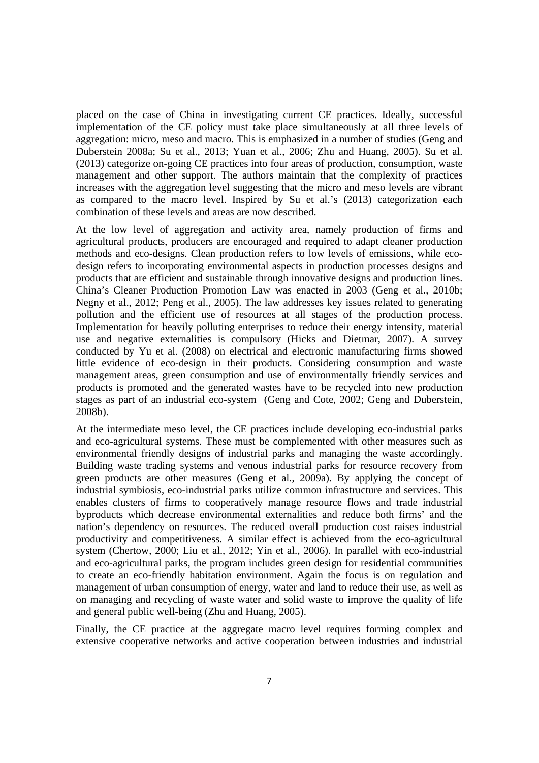placed on the case of China in investigating current CE practices. Ideally, successful implementation of the CE policy must take place simultaneously at all three levels of aggregation: micro, meso and macro. This is emphasized in a number of studies (Geng and Duberstein 2008a; Su et al., 2013; Yuan et al., 2006; Zhu and Huang, 2005). Su et al. (2013) categorize on-going CE practices into four areas of production, consumption, waste management and other support. The authors maintain that the complexity of practices increases with the aggregation level suggesting that the micro and meso levels are vibrant as compared to the macro level. Inspired by Su et al.'s (2013) categorization each combination of these levels and areas are now described.

At the low level of aggregation and activity area, namely production of firms and agricultural products, producers are encouraged and required to adapt cleaner production methods and eco-designs. Clean production refers to low levels of emissions, while ecodesign refers to incorporating environmental aspects in production processes designs and products that are efficient and sustainable through innovative designs and production lines. China's Cleaner Production Promotion Law was enacted in 2003 (Geng et al., 2010b; Negny et al., 2012; Peng et al., 2005). The law addresses key issues related to generating pollution and the efficient use of resources at all stages of the production process. Implementation for heavily polluting enterprises to reduce their energy intensity, material use and negative externalities is compulsory (Hicks and Dietmar, 2007). A survey conducted by Yu et al. (2008) on electrical and electronic manufacturing firms showed little evidence of eco-design in their products. Considering consumption and waste management areas, green consumption and use of environmentally friendly services and products is promoted and the generated wastes have to be recycled into new production stages as part of an industrial eco-system (Geng and Cote, 2002; Geng and Duberstein, 2008b).

At the intermediate meso level, the CE practices include developing eco-industrial parks and eco-agricultural systems. These must be complemented with other measures such as environmental friendly designs of industrial parks and managing the waste accordingly. Building waste trading systems and venous industrial parks for resource recovery from green products are other measures (Geng et al., 2009a). By applying the concept of industrial symbiosis, eco-industrial parks utilize common infrastructure and services. This enables clusters of firms to cooperatively manage resource flows and trade industrial byproducts which decrease environmental externalities and reduce both firms' and the nation's dependency on resources. The reduced overall production cost raises industrial productivity and competitiveness. A similar effect is achieved from the eco-agricultural system (Chertow, 2000; Liu et al., 2012; Yin et al., 2006). In parallel with eco-industrial and eco-agricultural parks, the program includes green design for residential communities to create an eco-friendly habitation environment. Again the focus is on regulation and management of urban consumption of energy, water and land to reduce their use, as well as on managing and recycling of waste water and solid waste to improve the quality of life and general public well-being (Zhu and Huang, 2005).

Finally, the CE practice at the aggregate macro level requires forming complex and extensive cooperative networks and active cooperation between industries and industrial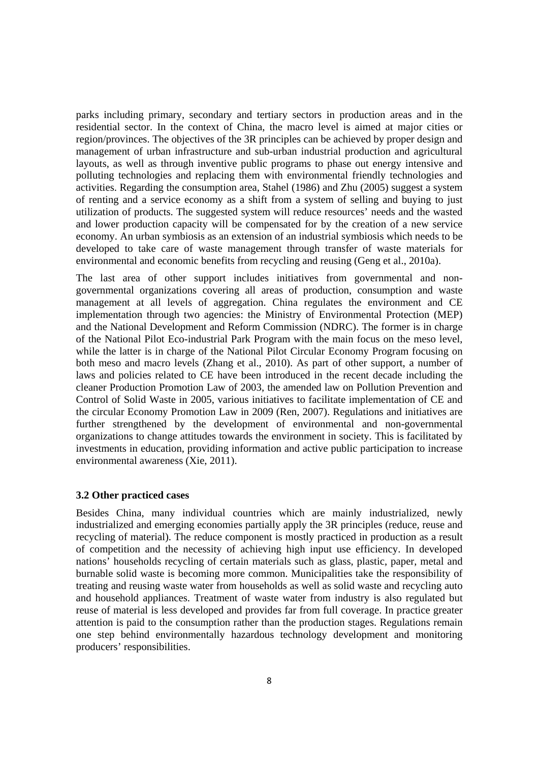parks including primary, secondary and tertiary sectors in production areas and in the residential sector. In the context of China, the macro level is aimed at major cities or region/provinces. The objectives of the 3R principles can be achieved by proper design and management of urban infrastructure and sub-urban industrial production and agricultural layouts, as well as through inventive public programs to phase out energy intensive and polluting technologies and replacing them with environmental friendly technologies and activities. Regarding the consumption area, Stahel (1986) and Zhu (2005) suggest a system of renting and a service economy as a shift from a system of selling and buying to just utilization of products. The suggested system will reduce resources' needs and the wasted and lower production capacity will be compensated for by the creation of a new service economy. An urban symbiosis as an extension of an industrial symbiosis which needs to be developed to take care of waste management through transfer of waste materials for environmental and economic benefits from recycling and reusing (Geng et al., 2010a).

The last area of other support includes initiatives from governmental and nongovernmental organizations covering all areas of production, consumption and waste management at all levels of aggregation. China regulates the environment and CE implementation through two agencies: the Ministry of Environmental Protection (MEP) and the National Development and Reform Commission (NDRC). The former is in charge of the National Pilot Eco-industrial Park Program with the main focus on the meso level, while the latter is in charge of the National Pilot Circular Economy Program focusing on both meso and macro levels (Zhang et al., 2010). As part of other support, a number of laws and policies related to CE have been introduced in the recent decade including the cleaner Production Promotion Law of 2003, the amended law on Pollution Prevention and Control of Solid Waste in 2005, various initiatives to facilitate implementation of CE and the circular Economy Promotion Law in 2009 (Ren, 2007). Regulations and initiatives are further strengthened by the development of environmental and non-governmental organizations to change attitudes towards the environment in society. This is facilitated by investments in education, providing information and active public participation to increase environmental awareness (Xie, 2011).

#### **3.2 Other practiced cases**

Besides China, many individual countries which are mainly industrialized, newly industrialized and emerging economies partially apply the 3R principles (reduce, reuse and recycling of material). The reduce component is mostly practiced in production as a result of competition and the necessity of achieving high input use efficiency. In developed nations' households recycling of certain materials such as glass, plastic, paper, metal and burnable solid waste is becoming more common. Municipalities take the responsibility of treating and reusing waste water from households as well as solid waste and recycling auto and household appliances. Treatment of waste water from industry is also regulated but reuse of material is less developed and provides far from full coverage. In practice greater attention is paid to the consumption rather than the production stages. Regulations remain one step behind environmentally hazardous technology development and monitoring producers' responsibilities.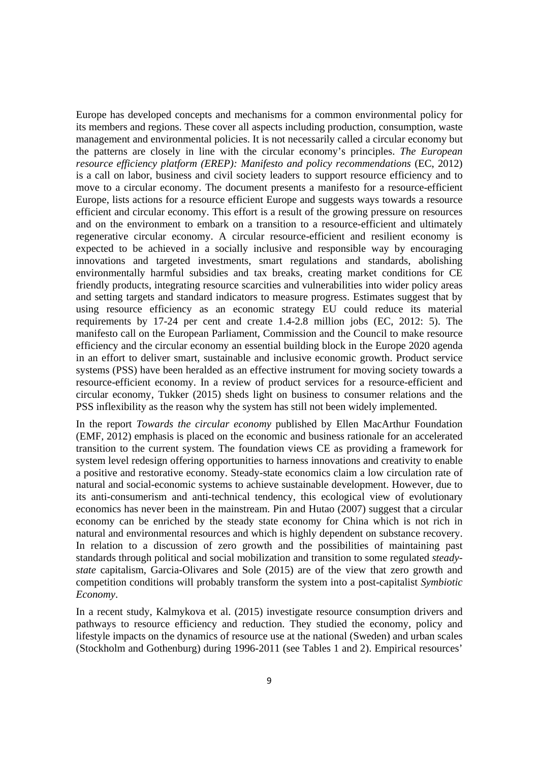Europe has developed concepts and mechanisms for a common environmental policy for its members and regions. These cover all aspects including production, consumption, waste management and environmental policies. It is not necessarily called a circular economy but the patterns are closely in line with the circular economy's principles. *The European resource efficiency platform (EREP): Manifesto and policy recommendations (EC, 2012)* is a call on labor, business and civil society leaders to support resource efficiency and to move to a circular economy. The document presents a manifesto for a resource-efficient Europe, lists actions for a resource efficient Europe and suggests ways towards a resource efficient and circular economy. This effort is a result of the growing pressure on resources and on the environment to embark on a transition to a resource-efficient and ultimately regenerative circular economy. A circular resource-efficient and resilient economy is expected to be achieved in a socially inclusive and responsible way by encouraging innovations and targeted investments, smart regulations and standards, abolishing environmentally harmful subsidies and tax breaks, creating market conditions for CE friendly products, integrating resource scarcities and vulnerabilities into wider policy areas and setting targets and standard indicators to measure progress. Estimates suggest that by using resource efficiency as an economic strategy EU could reduce its material requirements by 17-24 per cent and create 1.4-2.8 million jobs (EC, 2012: 5). The manifesto call on the European Parliament, Commission and the Council to make resource efficiency and the circular economy an essential building block in the Europe 2020 agenda in an effort to deliver smart, sustainable and inclusive economic growth. Product service systems (PSS) have been heralded as an effective instrument for moving society towards a resource-efficient economy. In a review of product services for a resource-efficient and circular economy, Tukker (2015) sheds light on business to consumer relations and the PSS inflexibility as the reason why the system has still not been widely implemented.

In the report *Towards the circular economy* published by Ellen MacArthur Foundation (EMF, 2012) emphasis is placed on the economic and business rationale for an accelerated transition to the current system. The foundation views CE as providing a framework for system level redesign offering opportunities to harness innovations and creativity to enable a positive and restorative economy. Steady-state economics claim a low circulation rate of natural and social-economic systems to achieve sustainable development. However, due to its anti-consumerism and anti-technical tendency, this ecological view of evolutionary economics has never been in the mainstream. Pin and Hutao (2007) suggest that a circular economy can be enriched by the steady state economy for China which is not rich in natural and environmental resources and which is highly dependent on substance recovery. In relation to a discussion of zero growth and the possibilities of maintaining past standards through political and social mobilization and transition to some regulated *steadystate* capitalism, Garcia-Olivares and Sole (2015) are of the view that zero growth and competition conditions will probably transform the system into a post-capitalist *Symbiotic Economy*.

In a recent study, Kalmykova et al. (2015) investigate resource consumption drivers and pathways to resource efficiency and reduction. They studied the economy, policy and lifestyle impacts on the dynamics of resource use at the national (Sweden) and urban scales (Stockholm and Gothenburg) during 1996-2011 (see Tables 1 and 2). Empirical resources'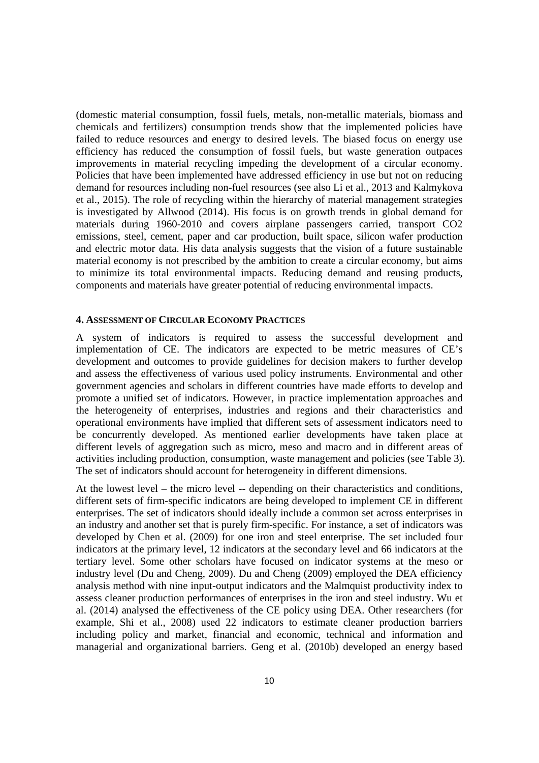(domestic material consumption, fossil fuels, metals, non-metallic materials, biomass and chemicals and fertilizers) consumption trends show that the implemented policies have failed to reduce resources and energy to desired levels. The biased focus on energy use efficiency has reduced the consumption of fossil fuels, but waste generation outpaces improvements in material recycling impeding the development of a circular economy. Policies that have been implemented have addressed efficiency in use but not on reducing demand for resources including non-fuel resources (see also Li et al., 2013 and Kalmykova et al., 2015). The role of recycling within the hierarchy of material management strategies is investigated by Allwood (2014). His focus is on growth trends in global demand for materials during 1960-2010 and covers airplane passengers carried, transport CO2 emissions, steel, cement, paper and car production, built space, silicon wafer production and electric motor data. His data analysis suggests that the vision of a future sustainable material economy is not prescribed by the ambition to create a circular economy, but aims to minimize its total environmental impacts. Reducing demand and reusing products, components and materials have greater potential of reducing environmental impacts.

#### **4. ASSESSMENT OF CIRCULAR ECONOMY PRACTICES**

A system of indicators is required to assess the successful development and implementation of CE. The indicators are expected to be metric measures of CE's development and outcomes to provide guidelines for decision makers to further develop and assess the effectiveness of various used policy instruments. Environmental and other government agencies and scholars in different countries have made efforts to develop and promote a unified set of indicators. However, in practice implementation approaches and the heterogeneity of enterprises, industries and regions and their characteristics and operational environments have implied that different sets of assessment indicators need to be concurrently developed. As mentioned earlier developments have taken place at different levels of aggregation such as micro, meso and macro and in different areas of activities including production, consumption, waste management and policies (see Table 3). The set of indicators should account for heterogeneity in different dimensions.

At the lowest level – the micro level -- depending on their characteristics and conditions, different sets of firm-specific indicators are being developed to implement CE in different enterprises. The set of indicators should ideally include a common set across enterprises in an industry and another set that is purely firm-specific. For instance, a set of indicators was developed by Chen et al. (2009) for one iron and steel enterprise. The set included four indicators at the primary level, 12 indicators at the secondary level and 66 indicators at the tertiary level. Some other scholars have focused on indicator systems at the meso or industry level (Du and Cheng, 2009). Du and Cheng (2009) employed the DEA efficiency analysis method with nine input-output indicators and the Malmquist productivity index to assess cleaner production performances of enterprises in the iron and steel industry. Wu et al. (2014) analysed the effectiveness of the CE policy using DEA. Other researchers (for example, Shi et al., 2008) used 22 indicators to estimate cleaner production barriers including policy and market, financial and economic, technical and information and managerial and organizational barriers. Geng et al. (2010b) developed an energy based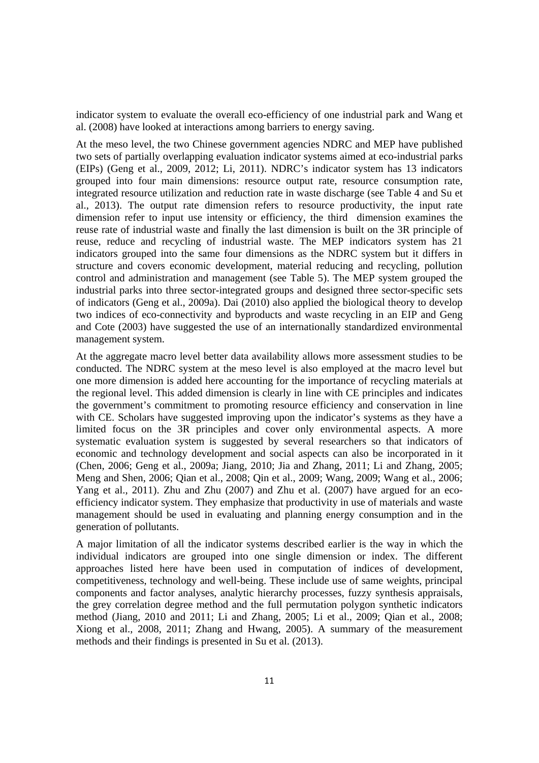indicator system to evaluate the overall eco-efficiency of one industrial park and Wang et al. (2008) have looked at interactions among barriers to energy saving.

At the meso level, the two Chinese government agencies NDRC and MEP have published two sets of partially overlapping evaluation indicator systems aimed at eco-industrial parks (EIPs) (Geng et al., 2009, 2012; Li, 2011). NDRC's indicator system has 13 indicators grouped into four main dimensions: resource output rate, resource consumption rate, integrated resource utilization and reduction rate in waste discharge (see Table 4 and Su et al., 2013). The output rate dimension refers to resource productivity, the input rate dimension refer to input use intensity or efficiency, the third dimension examines the reuse rate of industrial waste and finally the last dimension is built on the 3R principle of reuse, reduce and recycling of industrial waste. The MEP indicators system has 21 indicators grouped into the same four dimensions as the NDRC system but it differs in structure and covers economic development, material reducing and recycling, pollution control and administration and management (see Table 5). The MEP system grouped the industrial parks into three sector-integrated groups and designed three sector-specific sets of indicators (Geng et al., 2009a). Dai (2010) also applied the biological theory to develop two indices of eco-connectivity and byproducts and waste recycling in an EIP and Geng and Cote (2003) have suggested the use of an internationally standardized environmental management system.

At the aggregate macro level better data availability allows more assessment studies to be conducted. The NDRC system at the meso level is also employed at the macro level but one more dimension is added here accounting for the importance of recycling materials at the regional level. This added dimension is clearly in line with CE principles and indicates the government's commitment to promoting resource efficiency and conservation in line with CE. Scholars have suggested improving upon the indicator's systems as they have a limited focus on the 3R principles and cover only environmental aspects. A more systematic evaluation system is suggested by several researchers so that indicators of economic and technology development and social aspects can also be incorporated in it (Chen, 2006; Geng et al., 2009a; Jiang, 2010; Jia and Zhang, 2011; Li and Zhang, 2005; Meng and Shen, 2006; Qian et al., 2008; Qin et al., 2009; Wang, 2009; Wang et al., 2006; Yang et al., 2011). Zhu and Zhu (2007) and Zhu et al. (2007) have argued for an ecoefficiency indicator system. They emphasize that productivity in use of materials and waste management should be used in evaluating and planning energy consumption and in the generation of pollutants.

A major limitation of all the indicator systems described earlier is the way in which the individual indicators are grouped into one single dimension or index. The different approaches listed here have been used in computation of indices of development, competitiveness, technology and well-being. These include use of same weights, principal components and factor analyses, analytic hierarchy processes, fuzzy synthesis appraisals, the grey correlation degree method and the full permutation polygon synthetic indicators method (Jiang, 2010 and 2011; Li and Zhang, 2005; Li et al., 2009; Qian et al., 2008; Xiong et al., 2008, 2011; Zhang and Hwang, 2005). A summary of the measurement methods and their findings is presented in Su et al. (2013).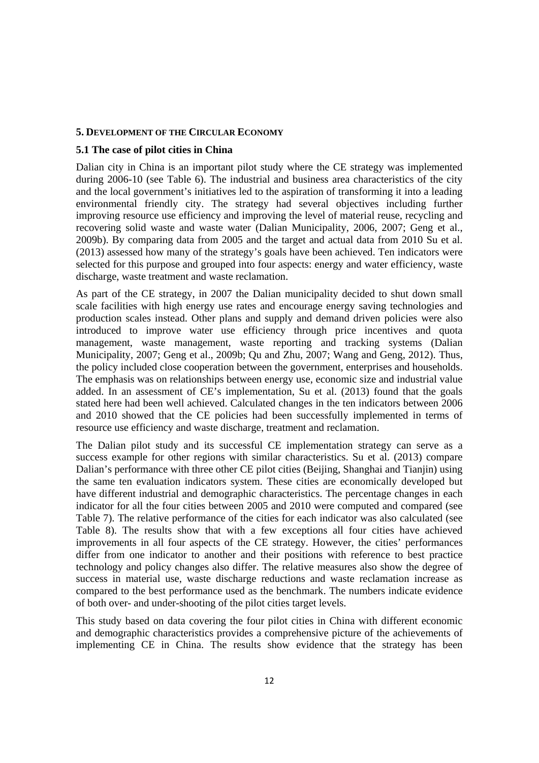#### **5. DEVELOPMENT OF THE CIRCULAR ECONOMY**

#### **5.1 The case of pilot cities in China**

Dalian city in China is an important pilot study where the CE strategy was implemented during 2006-10 (see Table 6). The industrial and business area characteristics of the city and the local government's initiatives led to the aspiration of transforming it into a leading environmental friendly city. The strategy had several objectives including further improving resource use efficiency and improving the level of material reuse, recycling and recovering solid waste and waste water (Dalian Municipality, 2006, 2007; Geng et al., 2009b). By comparing data from 2005 and the target and actual data from 2010 Su et al. (2013) assessed how many of the strategy's goals have been achieved. Ten indicators were selected for this purpose and grouped into four aspects: energy and water efficiency, waste discharge, waste treatment and waste reclamation.

As part of the CE strategy, in 2007 the Dalian municipality decided to shut down small scale facilities with high energy use rates and encourage energy saving technologies and production scales instead. Other plans and supply and demand driven policies were also introduced to improve water use efficiency through price incentives and quota management, waste management, waste reporting and tracking systems (Dalian Municipality, 2007; Geng et al., 2009b; Qu and Zhu, 2007; Wang and Geng, 2012). Thus, the policy included close cooperation between the government, enterprises and households. The emphasis was on relationships between energy use, economic size and industrial value added. In an assessment of CE's implementation, Su et al. (2013) found that the goals stated here had been well achieved. Calculated changes in the ten indicators between 2006 and 2010 showed that the CE policies had been successfully implemented in terms of resource use efficiency and waste discharge, treatment and reclamation.

The Dalian pilot study and its successful CE implementation strategy can serve as a success example for other regions with similar characteristics. Su et al. (2013) compare Dalian's performance with three other CE pilot cities (Beijing, Shanghai and Tianjin) using the same ten evaluation indicators system. These cities are economically developed but have different industrial and demographic characteristics. The percentage changes in each indicator for all the four cities between 2005 and 2010 were computed and compared (see Table 7). The relative performance of the cities for each indicator was also calculated (see Table 8). The results show that with a few exceptions all four cities have achieved improvements in all four aspects of the CE strategy. However, the cities' performances differ from one indicator to another and their positions with reference to best practice technology and policy changes also differ. The relative measures also show the degree of success in material use, waste discharge reductions and waste reclamation increase as compared to the best performance used as the benchmark. The numbers indicate evidence of both over- and under-shooting of the pilot cities target levels.

This study based on data covering the four pilot cities in China with different economic and demographic characteristics provides a comprehensive picture of the achievements of implementing CE in China. The results show evidence that the strategy has been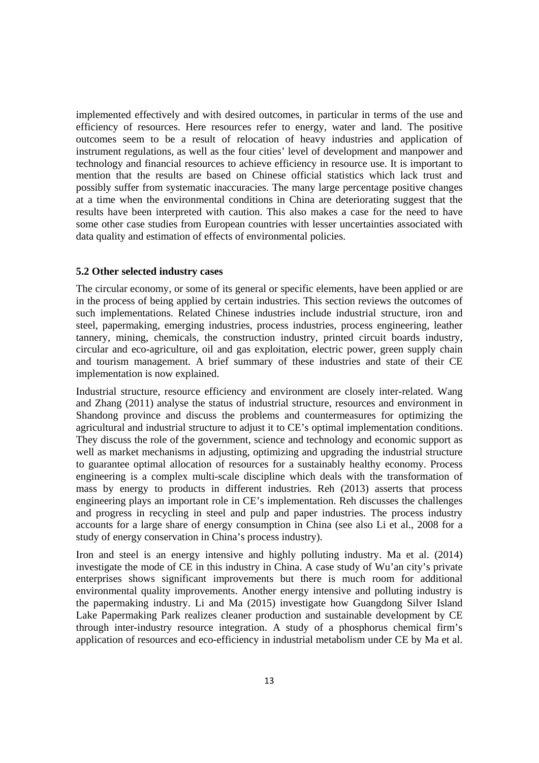implemented effectively and with desired outcomes, in particular in terms of the use and efficiency of resources. Here resources refer to energy, water and land. The positive outcomes seem to be a result of relocation of heavy industries and application of instrument regulations, as well as the four cities' level of development and manpower and technology and financial resources to achieve efficiency in resource use. It is important to mention that the results are based on Chinese official statistics which lack trust and possibly suffer from systematic inaccuracies. The many large percentage positive changes at a time when the environmental conditions in China are deteriorating suggest that the results have been interpreted with caution. This also makes a case for the need to have some other case studies from European countries with lesser uncertainties associated with data quality and estimation of effects of environmental policies.

### **5.2 Other selected industry cases**

The circular economy, or some of its general or specific elements, have been applied or are in the process of being applied by certain industries. This section reviews the outcomes of such implementations. Related Chinese industries include industrial structure, iron and steel, papermaking, emerging industries, process industries, process engineering, leather tannery, mining, chemicals, the construction industry, printed circuit boards industry, circular and eco-agriculture, oil and gas exploitation, electric power, green supply chain and tourism management. A brief summary of these industries and state of their CE implementation is now explained.

Industrial structure, resource efficiency and environment are closely inter-related. Wang and Zhang (2011) analyse the status of industrial structure, resources and environment in Shandong province and discuss the problems and countermeasures for optimizing the agricultural and industrial structure to adjust it to CE's optimal implementation conditions. They discuss the role of the government, science and technology and economic support as well as market mechanisms in adjusting, optimizing and upgrading the industrial structure to guarantee optimal allocation of resources for a sustainably healthy economy. Process engineering is a complex multi-scale discipline which deals with the transformation of mass by energy to products in different industries. Reh (2013) asserts that process engineering plays an important role in CE's implementation. Reh discusses the challenges and progress in recycling in steel and pulp and paper industries. The process industry accounts for a large share of energy consumption in China (see also Li et al., 2008 for a study of energy conservation in China's process industry).

Iron and steel is an energy intensive and highly polluting industry. Ma et al. (2014) investigate the mode of CE in this industry in China. A case study of Wu'an city's private enterprises shows significant improvements but there is much room for additional environmental quality improvements. Another energy intensive and polluting industry is the papermaking industry. Li and Ma (2015) investigate how Guangdong Silver Island Lake Papermaking Park realizes cleaner production and sustainable development by CE through inter-industry resource integration. A study of a phosphorus chemical firm's application of resources and eco-efficiency in industrial metabolism under CE by Ma et al.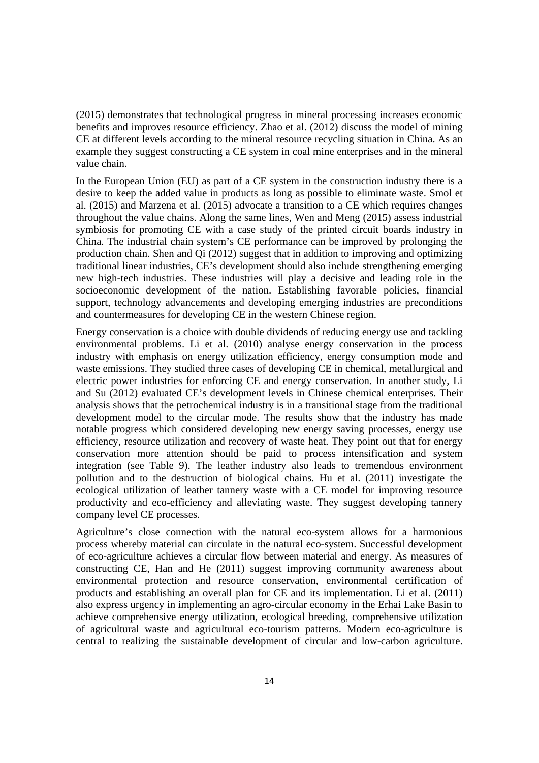(2015) demonstrates that technological progress in mineral processing increases economic benefits and improves resource efficiency. Zhao et al. (2012) discuss the model of mining CE at different levels according to the mineral resource recycling situation in China. As an example they suggest constructing a CE system in coal mine enterprises and in the mineral value chain.

In the European Union (EU) as part of a CE system in the construction industry there is a desire to keep the added value in products as long as possible to eliminate waste. Smol et al. (2015) and Marzena et al. (2015) advocate a transition to a CE which requires changes throughout the value chains. Along the same lines, Wen and Meng (2015) assess industrial symbiosis for promoting CE with a case study of the printed circuit boards industry in China. The industrial chain system's CE performance can be improved by prolonging the production chain. Shen and Qi (2012) suggest that in addition to improving and optimizing traditional linear industries, CE's development should also include strengthening emerging new high-tech industries. These industries will play a decisive and leading role in the socioeconomic development of the nation. Establishing favorable policies, financial support, technology advancements and developing emerging industries are preconditions and countermeasures for developing CE in the western Chinese region.

Energy conservation is a choice with double dividends of reducing energy use and tackling environmental problems. Li et al. (2010) analyse energy conservation in the process industry with emphasis on energy utilization efficiency, energy consumption mode and waste emissions. They studied three cases of developing CE in chemical, metallurgical and electric power industries for enforcing CE and energy conservation. In another study, Li and Su (2012) evaluated CE's development levels in Chinese chemical enterprises. Their analysis shows that the petrochemical industry is in a transitional stage from the traditional development model to the circular mode. The results show that the industry has made notable progress which considered developing new energy saving processes, energy use efficiency, resource utilization and recovery of waste heat. They point out that for energy conservation more attention should be paid to process intensification and system integration (see Table 9). The leather industry also leads to tremendous environment pollution and to the destruction of biological chains. Hu et al. (2011) investigate the ecological utilization of leather tannery waste with a CE model for improving resource productivity and eco-efficiency and alleviating waste. They suggest developing tannery company level CE processes.

Agriculture's close connection with the natural eco-system allows for a harmonious process whereby material can circulate in the natural eco-system. Successful development of eco-agriculture achieves a circular flow between material and energy. As measures of constructing CE, Han and He (2011) suggest improving community awareness about environmental protection and resource conservation, environmental certification of products and establishing an overall plan for CE and its implementation. Li et al. (2011) also express urgency in implementing an agro-circular economy in the Erhai Lake Basin to achieve comprehensive energy utilization, ecological breeding, comprehensive utilization of agricultural waste and agricultural eco-tourism patterns. Modern eco-agriculture is central to realizing the sustainable development of circular and low-carbon agriculture.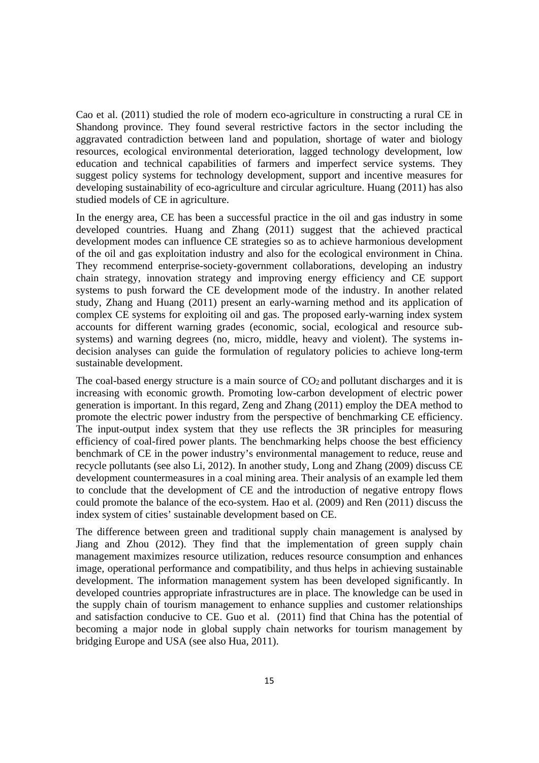Cao et al. (2011) studied the role of modern eco-agriculture in constructing a rural CE in Shandong province. They found several restrictive factors in the sector including the aggravated contradiction between land and population, shortage of water and biology resources, ecological environmental deterioration, lagged technology development, low education and technical capabilities of farmers and imperfect service systems. They suggest policy systems for technology development, support and incentive measures for developing sustainability of eco-agriculture and circular agriculture. Huang (2011) has also studied models of CE in agriculture.

In the energy area, CE has been a successful practice in the oil and gas industry in some developed countries. Huang and Zhang (2011) suggest that the achieved practical development modes can influence CE strategies so as to achieve harmonious development of the oil and gas exploitation industry and also for the ecological environment in China. They recommend enterprise-society-government collaborations, developing an industry chain strategy, innovation strategy and improving energy efficiency and CE support systems to push forward the CE development mode of the industry. In another related study, Zhang and Huang (2011) present an early-warning method and its application of complex CE systems for exploiting oil and gas. The proposed early-warning index system accounts for different warning grades (economic, social, ecological and resource subsystems) and warning degrees (no, micro, middle, heavy and violent). The systems indecision analyses can guide the formulation of regulatory policies to achieve long-term sustainable development.

The coal-based energy structure is a main source of  $CO<sub>2</sub>$  and pollutant discharges and it is increasing with economic growth. Promoting low-carbon development of electric power generation is important. In this regard, Zeng and Zhang (2011) employ the DEA method to promote the electric power industry from the perspective of benchmarking CE efficiency. The input-output index system that they use reflects the 3R principles for measuring efficiency of coal-fired power plants. The benchmarking helps choose the best efficiency benchmark of CE in the power industry's environmental management to reduce, reuse and recycle pollutants (see also Li, 2012). In another study, Long and Zhang (2009) discuss CE development countermeasures in a coal mining area. Their analysis of an example led them to conclude that the development of CE and the introduction of negative entropy flows could promote the balance of the eco-system. Hao et al. (2009) and Ren (2011) discuss the index system of cities' sustainable development based on CE.

The difference between green and traditional supply chain management is analysed by Jiang and Zhou (2012). They find that the implementation of green supply chain management maximizes resource utilization, reduces resource consumption and enhances image, operational performance and compatibility, and thus helps in achieving sustainable development. The information management system has been developed significantly. In developed countries appropriate infrastructures are in place. The knowledge can be used in the supply chain of tourism management to enhance supplies and customer relationships and satisfaction conducive to CE. Guo et al. (2011) find that China has the potential of becoming a major node in global supply chain networks for tourism management by bridging Europe and USA (see also Hua, 2011).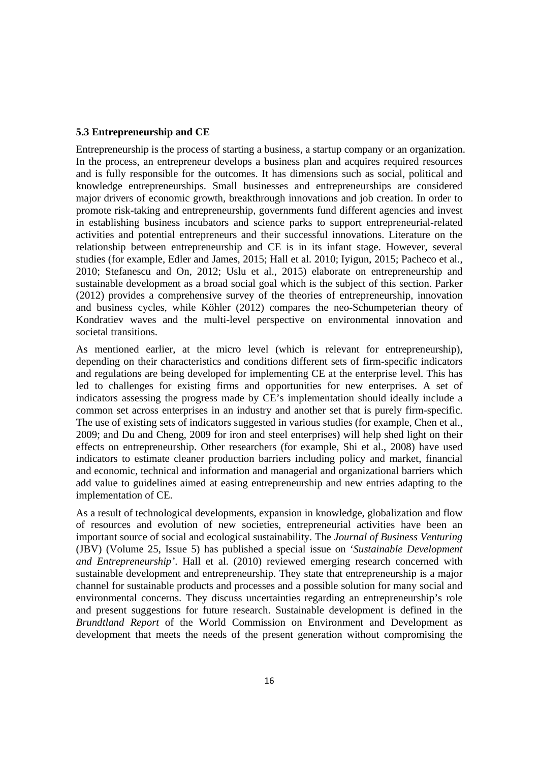#### **5.3 Entrepreneurship and CE**

Entrepreneurship is the process of starting a business, a startup company or an organization. In the process, an entrepreneur develops a business plan and acquires required resources and is fully responsible for the outcomes. It has dimensions such as social, political and knowledge entrepreneurships. Small businesses and entrepreneurships are considered major drivers of economic growth, breakthrough innovations and job creation. In order to promote risk-taking and entrepreneurship, governments fund different agencies and invest in establishing business incubators and science parks to support entrepreneurial-related activities and potential entrepreneurs and their successful innovations. Literature on the relationship between entrepreneurship and CE is in its infant stage. However, several studies (for example, Edler and James, 2015; Hall et al. 2010; Iyigun, 2015; Pacheco et al., 2010; Stefanescu and On, 2012; Uslu et al., 2015) elaborate on entrepreneurship and sustainable development as a broad social goal which is the subject of this section. Parker (2012) provides a comprehensive survey of the theories of entrepreneurship, innovation and business cycles, while Köhler (2012) compares the neo-Schumpeterian theory of Kondratiev waves and the multi-level perspective on environmental innovation and societal transitions.

As mentioned earlier, at the micro level (which is relevant for entrepreneurship), depending on their characteristics and conditions different sets of firm-specific indicators and regulations are being developed for implementing CE at the enterprise level. This has led to challenges for existing firms and opportunities for new enterprises. A set of indicators assessing the progress made by CE's implementation should ideally include a common set across enterprises in an industry and another set that is purely firm-specific. The use of existing sets of indicators suggested in various studies (for example, Chen et al., 2009; and Du and Cheng, 2009 for iron and steel enterprises) will help shed light on their effects on entrepreneurship. Other researchers (for example, Shi et al., 2008) have used indicators to estimate cleaner production barriers including policy and market, financial and economic, technical and information and managerial and organizational barriers which add value to guidelines aimed at easing entrepreneurship and new entries adapting to the implementation of CE.

As a result of technological developments, expansion in knowledge, globalization and flow of resources and evolution of new societies, entrepreneurial activities have been an important source of social and ecological sustainability. The *Journal of Business Venturing* (JBV) (Volume 25, Issue 5) has published a special issue on '*Sustainable Development and Entrepreneurship'*. Hall et al. (2010) reviewed emerging research concerned with sustainable development and entrepreneurship. They state that entrepreneurship is a major channel for sustainable products and processes and a possible solution for many social and environmental concerns. They discuss uncertainties regarding an entrepreneurship's role and present suggestions for future research. Sustainable development is defined in the *Brundtland Report* of the World Commission on Environment and Development as development that meets the needs of the present generation without compromising the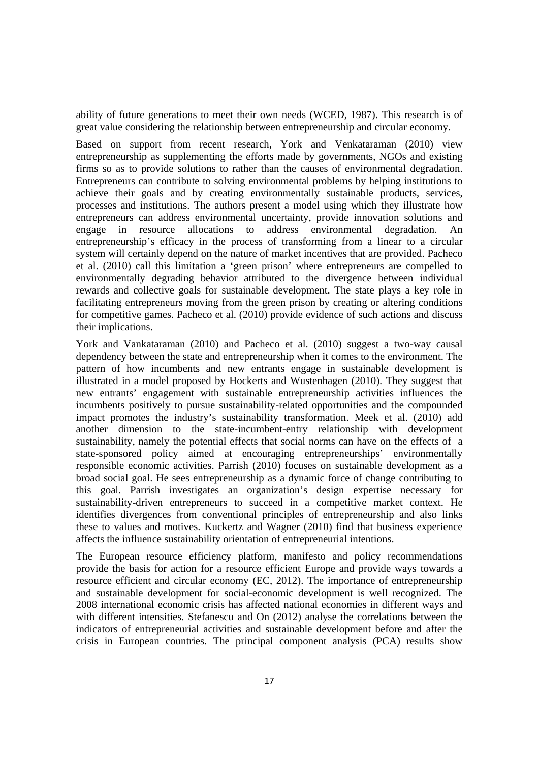ability of future generations to meet their own needs (WCED, 1987). This research is of great value considering the relationship between entrepreneurship and circular economy.

Based on support from recent research, York and Venkataraman (2010) view entrepreneurship as supplementing the efforts made by governments, NGOs and existing firms so as to provide solutions to rather than the causes of environmental degradation. Entrepreneurs can contribute to solving environmental problems by helping institutions to achieve their goals and by creating environmentally sustainable products, services, processes and institutions. The authors present a model using which they illustrate how entrepreneurs can address environmental uncertainty, provide innovation solutions and engage in resource allocations to address environmental degradation. An entrepreneurship's efficacy in the process of transforming from a linear to a circular system will certainly depend on the nature of market incentives that are provided. Pacheco et al. (2010) call this limitation a 'green prison' where entrepreneurs are compelled to environmentally degrading behavior attributed to the divergence between individual rewards and collective goals for sustainable development. The state plays a key role in facilitating entrepreneurs moving from the green prison by creating or altering conditions for competitive games. Pacheco et al. (2010) provide evidence of such actions and discuss their implications.

York and Vankataraman (2010) and Pacheco et al. (2010) suggest a two-way causal dependency between the state and entrepreneurship when it comes to the environment. The pattern of how incumbents and new entrants engage in sustainable development is illustrated in a model proposed by Hockerts and Wustenhagen (2010). They suggest that new entrants' engagement with sustainable entrepreneurship activities influences the incumbents positively to pursue sustainability-related opportunities and the compounded impact promotes the industry's sustainability transformation. Meek et al. (2010) add another dimension to the state-incumbent-entry relationship with development sustainability, namely the potential effects that social norms can have on the effects of a state-sponsored policy aimed at encouraging entrepreneurships' environmentally responsible economic activities. Parrish (2010) focuses on sustainable development as a broad social goal. He sees entrepreneurship as a dynamic force of change contributing to this goal. Parrish investigates an organization's design expertise necessary for sustainability-driven entrepreneurs to succeed in a competitive market context. He identifies divergences from conventional principles of entrepreneurship and also links these to values and motives. Kuckertz and Wagner (2010) find that business experience affects the influence sustainability orientation of entrepreneurial intentions.

The European resource efficiency platform, manifesto and policy recommendations provide the basis for action for a resource efficient Europe and provide ways towards a resource efficient and circular economy (EC, 2012). The importance of entrepreneurship and sustainable development for social-economic development is well recognized. The 2008 international economic crisis has affected national economies in different ways and with different intensities. Stefanescu and On (2012) analyse the correlations between the indicators of entrepreneurial activities and sustainable development before and after the crisis in European countries. The principal component analysis (PCA) results show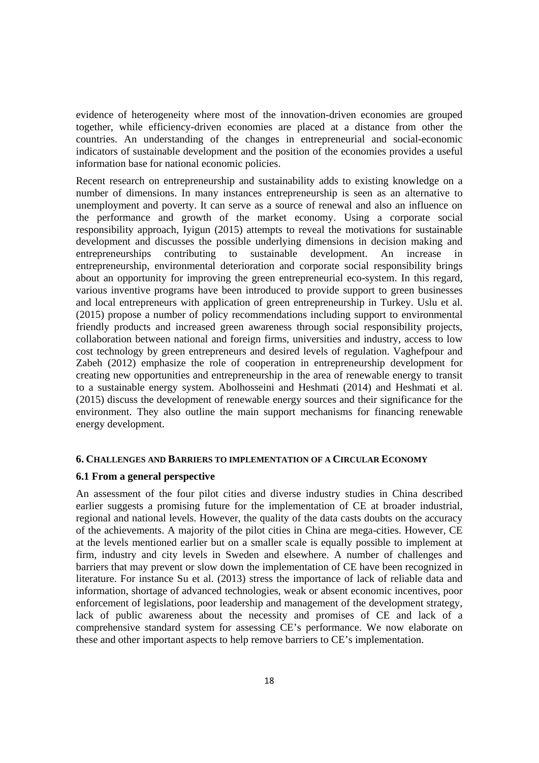evidence of heterogeneity where most of the innovation-driven economies are grouped together, while efficiency-driven economies are placed at a distance from other the countries. An understanding of the changes in entrepreneurial and social-economic indicators of sustainable development and the position of the economies provides a useful information base for national economic policies.

Recent research on entrepreneurship and sustainability adds to existing knowledge on a number of dimensions. In many instances entrepreneurship is seen as an alternative to unemployment and poverty. It can serve as a source of renewal and also an influence on the performance and growth of the market economy. Using a corporate social responsibility approach, Iyigun (2015) attempts to reveal the motivations for sustainable development and discusses the possible underlying dimensions in decision making and entrepreneurships contributing to sustainable development. An increase in entrepreneurship, environmental deterioration and corporate social responsibility brings about an opportunity for improving the green entrepreneurial eco-system. In this regard, various inventive programs have been introduced to provide support to green businesses and local entrepreneurs with application of green entrepreneurship in Turkey. Uslu et al. (2015) propose a number of policy recommendations including support to environmental friendly products and increased green awareness through social responsibility projects, collaboration between national and foreign firms, universities and industry, access to low cost technology by green entrepreneurs and desired levels of regulation. Vaghefpour and Zabeh (2012) emphasize the role of cooperation in entrepreneurship development for creating new opportunities and entrepreneurship in the area of renewable energy to transit to a sustainable energy system. Abolhosseini and Heshmati (2014) and Heshmati et al. (2015) discuss the development of renewable energy sources and their significance for the environment. They also outline the main support mechanisms for financing renewable energy development.

#### **6. CHALLENGES AND BARRIERS TO IMPLEMENTATION OF A CIRCULAR ECONOMY**

# **6.1 From a general perspective**

An assessment of the four pilot cities and diverse industry studies in China described earlier suggests a promising future for the implementation of CE at broader industrial, regional and national levels. However, the quality of the data casts doubts on the accuracy of the achievements. A majority of the pilot cities in China are mega-cities. However, CE at the levels mentioned earlier but on a smaller scale is equally possible to implement at firm, industry and city levels in Sweden and elsewhere. A number of challenges and barriers that may prevent or slow down the implementation of CE have been recognized in literature. For instance Su et al. (2013) stress the importance of lack of reliable data and information, shortage of advanced technologies, weak or absent economic incentives, poor enforcement of legislations, poor leadership and management of the development strategy, lack of public awareness about the necessity and promises of CE and lack of a comprehensive standard system for assessing CE's performance. We now elaborate on these and other important aspects to help remove barriers to CE's implementation.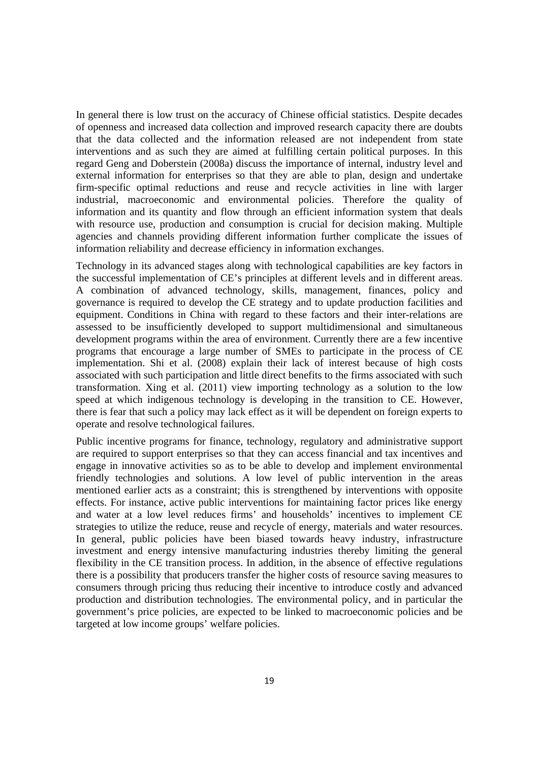In general there is low trust on the accuracy of Chinese official statistics. Despite decades of openness and increased data collection and improved research capacity there are doubts that the data collected and the information released are not independent from state interventions and as such they are aimed at fulfilling certain political purposes. In this regard Geng and Doberstein (2008a) discuss the importance of internal, industry level and external information for enterprises so that they are able to plan, design and undertake firm-specific optimal reductions and reuse and recycle activities in line with larger industrial, macroeconomic and environmental policies. Therefore the quality of information and its quantity and flow through an efficient information system that deals with resource use, production and consumption is crucial for decision making. Multiple agencies and channels providing different information further complicate the issues of information reliability and decrease efficiency in information exchanges.

Technology in its advanced stages along with technological capabilities are key factors in the successful implementation of CE's principles at different levels and in different areas. A combination of advanced technology, skills, management, finances, policy and governance is required to develop the CE strategy and to update production facilities and equipment. Conditions in China with regard to these factors and their inter-relations are assessed to be insufficiently developed to support multidimensional and simultaneous development programs within the area of environment. Currently there are a few incentive programs that encourage a large number of SMEs to participate in the process of CE implementation. Shi et al. (2008) explain their lack of interest because of high costs associated with such participation and little direct benefits to the firms associated with such transformation. Xing et al. (2011) view importing technology as a solution to the low speed at which indigenous technology is developing in the transition to CE. However, there is fear that such a policy may lack effect as it will be dependent on foreign experts to operate and resolve technological failures.

Public incentive programs for finance, technology, regulatory and administrative support are required to support enterprises so that they can access financial and tax incentives and engage in innovative activities so as to be able to develop and implement environmental friendly technologies and solutions. A low level of public intervention in the areas mentioned earlier acts as a constraint; this is strengthened by interventions with opposite effects. For instance, active public interventions for maintaining factor prices like energy and water at a low level reduces firms' and households' incentives to implement CE strategies to utilize the reduce, reuse and recycle of energy, materials and water resources. In general, public policies have been biased towards heavy industry, infrastructure investment and energy intensive manufacturing industries thereby limiting the general flexibility in the CE transition process. In addition, in the absence of effective regulations there is a possibility that producers transfer the higher costs of resource saving measures to consumers through pricing thus reducing their incentive to introduce costly and advanced production and distribution technologies. The environmental policy, and in particular the government's price policies, are expected to be linked to macroeconomic policies and be targeted at low income groups' welfare policies.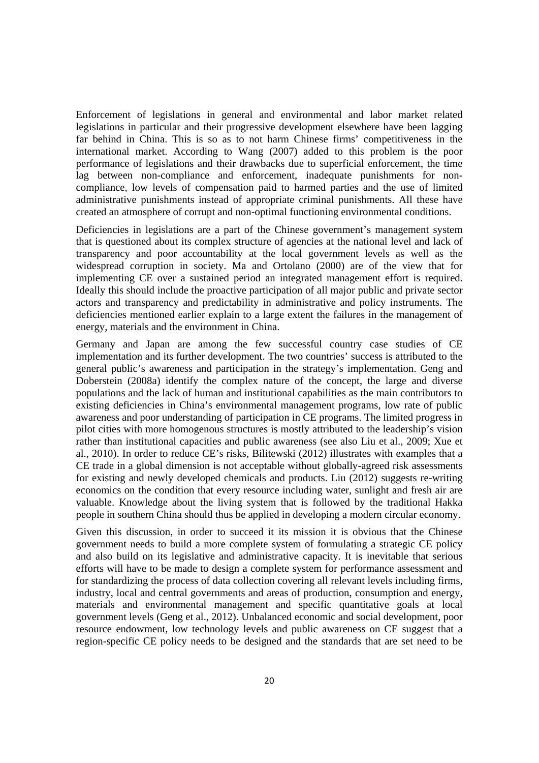Enforcement of legislations in general and environmental and labor market related legislations in particular and their progressive development elsewhere have been lagging far behind in China. This is so as to not harm Chinese firms' competitiveness in the international market. According to Wang (2007) added to this problem is the poor performance of legislations and their drawbacks due to superficial enforcement, the time lag between non-compliance and enforcement, inadequate punishments for noncompliance, low levels of compensation paid to harmed parties and the use of limited administrative punishments instead of appropriate criminal punishments. All these have created an atmosphere of corrupt and non-optimal functioning environmental conditions.

Deficiencies in legislations are a part of the Chinese government's management system that is questioned about its complex structure of agencies at the national level and lack of transparency and poor accountability at the local government levels as well as the widespread corruption in society. Ma and Ortolano (2000) are of the view that for implementing CE over a sustained period an integrated management effort is required. Ideally this should include the proactive participation of all major public and private sector actors and transparency and predictability in administrative and policy instruments. The deficiencies mentioned earlier explain to a large extent the failures in the management of energy, materials and the environment in China.

Germany and Japan are among the few successful country case studies of CE implementation and its further development. The two countries' success is attributed to the general public's awareness and participation in the strategy's implementation. Geng and Doberstein (2008a) identify the complex nature of the concept, the large and diverse populations and the lack of human and institutional capabilities as the main contributors to existing deficiencies in China's environmental management programs, low rate of public awareness and poor understanding of participation in CE programs. The limited progress in pilot cities with more homogenous structures is mostly attributed to the leadership's vision rather than institutional capacities and public awareness (see also Liu et al., 2009; Xue et al., 2010). In order to reduce CE's risks, Bilitewski (2012) illustrates with examples that a CE trade in a global dimension is not acceptable without globally-agreed risk assessments for existing and newly developed chemicals and products. Liu (2012) suggests re-writing economics on the condition that every resource including water, sunlight and fresh air are valuable. Knowledge about the living system that is followed by the traditional Hakka people in southern China should thus be applied in developing a modern circular economy.

Given this discussion, in order to succeed it its mission it is obvious that the Chinese government needs to build a more complete system of formulating a strategic CE policy and also build on its legislative and administrative capacity. It is inevitable that serious efforts will have to be made to design a complete system for performance assessment and for standardizing the process of data collection covering all relevant levels including firms, industry, local and central governments and areas of production, consumption and energy, materials and environmental management and specific quantitative goals at local government levels (Geng et al., 2012). Unbalanced economic and social development, poor resource endowment, low technology levels and public awareness on CE suggest that a region-specific CE policy needs to be designed and the standards that are set need to be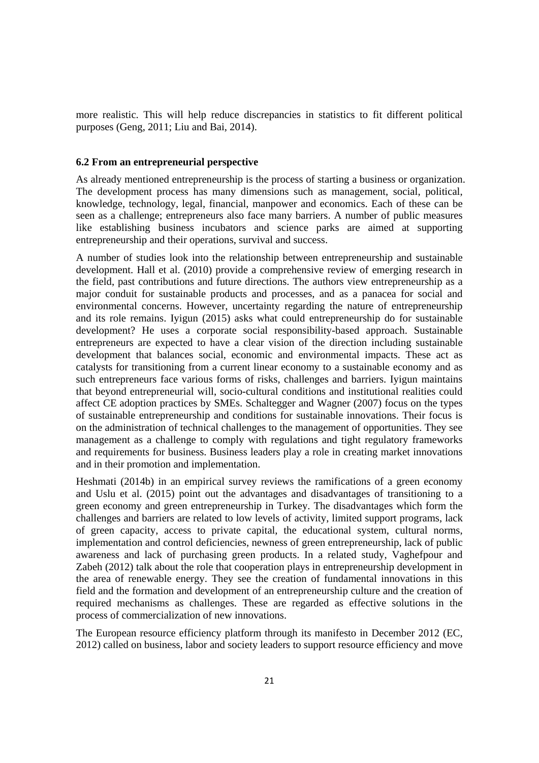more realistic. This will help reduce discrepancies in statistics to fit different political purposes (Geng, 2011; Liu and Bai, 2014).

#### **6.2 From an entrepreneurial perspective**

As already mentioned entrepreneurship is the process of starting a business or organization. The development process has many dimensions such as management, social, political, knowledge, technology, legal, financial, manpower and economics. Each of these can be seen as a challenge; entrepreneurs also face many barriers. A number of public measures like establishing business incubators and science parks are aimed at supporting entrepreneurship and their operations, survival and success.

A number of studies look into the relationship between entrepreneurship and sustainable development. Hall et al. (2010) provide a comprehensive review of emerging research in the field, past contributions and future directions. The authors view entrepreneurship as a major conduit for sustainable products and processes, and as a panacea for social and environmental concerns. However, uncertainty regarding the nature of entrepreneurship and its role remains. Iyigun (2015) asks what could entrepreneurship do for sustainable development? He uses a corporate social responsibility-based approach. Sustainable entrepreneurs are expected to have a clear vision of the direction including sustainable development that balances social, economic and environmental impacts. These act as catalysts for transitioning from a current linear economy to a sustainable economy and as such entrepreneurs face various forms of risks, challenges and barriers. Iyigun maintains that beyond entrepreneurial will, socio-cultural conditions and institutional realities could affect CE adoption practices by SMEs. Schaltegger and Wagner (2007) focus on the types of sustainable entrepreneurship and conditions for sustainable innovations. Their focus is on the administration of technical challenges to the management of opportunities. They see management as a challenge to comply with regulations and tight regulatory frameworks and requirements for business. Business leaders play a role in creating market innovations and in their promotion and implementation.

Heshmati (2014b) in an empirical survey reviews the ramifications of a green economy and Uslu et al. (2015) point out the advantages and disadvantages of transitioning to a green economy and green entrepreneurship in Turkey. The disadvantages which form the challenges and barriers are related to low levels of activity, limited support programs, lack of green capacity, access to private capital, the educational system, cultural norms, implementation and control deficiencies, newness of green entrepreneurship, lack of public awareness and lack of purchasing green products. In a related study, Vaghefpour and Zabeh (2012) talk about the role that cooperation plays in entrepreneurship development in the area of renewable energy. They see the creation of fundamental innovations in this field and the formation and development of an entrepreneurship culture and the creation of required mechanisms as challenges. These are regarded as effective solutions in the process of commercialization of new innovations.

The European resource efficiency platform through its manifesto in December 2012 (EC, 2012) called on business, labor and society leaders to support resource efficiency and move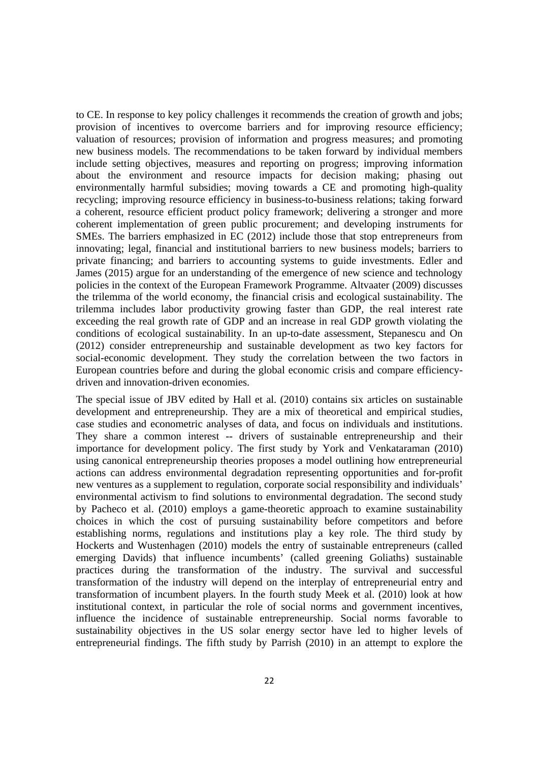to CE. In response to key policy challenges it recommends the creation of growth and jobs; provision of incentives to overcome barriers and for improving resource efficiency; valuation of resources; provision of information and progress measures; and promoting new business models. The recommendations to be taken forward by individual members include setting objectives, measures and reporting on progress; improving information about the environment and resource impacts for decision making; phasing out environmentally harmful subsidies; moving towards a CE and promoting high-quality recycling; improving resource efficiency in business-to-business relations; taking forward a coherent, resource efficient product policy framework; delivering a stronger and more coherent implementation of green public procurement; and developing instruments for SMEs. The barriers emphasized in EC (2012) include those that stop entrepreneurs from innovating; legal, financial and institutional barriers to new business models; barriers to private financing; and barriers to accounting systems to guide investments. Edler and James (2015) argue for an understanding of the emergence of new science and technology policies in the context of the European Framework Programme. Altvaater (2009) discusses the trilemma of the world economy, the financial crisis and ecological sustainability. The trilemma includes labor productivity growing faster than GDP, the real interest rate exceeding the real growth rate of GDP and an increase in real GDP growth violating the conditions of ecological sustainability. In an up-to-date assessment, Stepanescu and On (2012) consider entrepreneurship and sustainable development as two key factors for social-economic development. They study the correlation between the two factors in European countries before and during the global economic crisis and compare efficiencydriven and innovation-driven economies.

The special issue of JBV edited by Hall et al. (2010) contains six articles on sustainable development and entrepreneurship. They are a mix of theoretical and empirical studies, case studies and econometric analyses of data, and focus on individuals and institutions. They share a common interest -- drivers of sustainable entrepreneurship and their importance for development policy. The first study by York and Venkataraman (2010) using canonical entrepreneurship theories proposes a model outlining how entrepreneurial actions can address environmental degradation representing opportunities and for-profit new ventures as a supplement to regulation, corporate social responsibility and individuals' environmental activism to find solutions to environmental degradation. The second study by Pacheco et al. (2010) employs a game-theoretic approach to examine sustainability choices in which the cost of pursuing sustainability before competitors and before establishing norms, regulations and institutions play a key role. The third study by Hockerts and Wustenhagen (2010) models the entry of sustainable entrepreneurs (called emerging Davids) that influence incumbents' (called greening Goliaths) sustainable practices during the transformation of the industry. The survival and successful transformation of the industry will depend on the interplay of entrepreneurial entry and transformation of incumbent players. In the fourth study Meek et al. (2010) look at how institutional context, in particular the role of social norms and government incentives, influence the incidence of sustainable entrepreneurship. Social norms favorable to sustainability objectives in the US solar energy sector have led to higher levels of entrepreneurial findings. The fifth study by Parrish (2010) in an attempt to explore the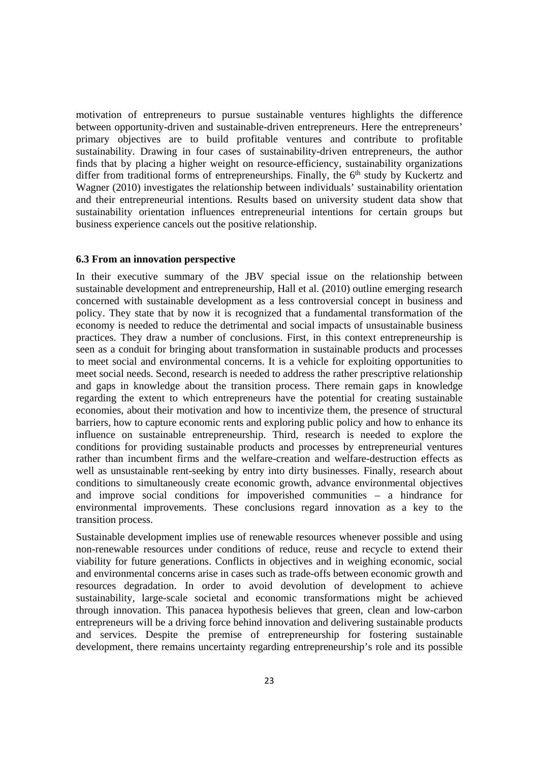motivation of entrepreneurs to pursue sustainable ventures highlights the difference between opportunity-driven and sustainable-driven entrepreneurs. Here the entrepreneurs' primary objectives are to build profitable ventures and contribute to profitable sustainability. Drawing in four cases of sustainability-driven entrepreneurs, the author finds that by placing a higher weight on resource-efficiency, sustainability organizations differ from traditional forms of entrepreneurships. Finally, the 6<sup>th</sup> study by Kuckertz and Wagner (2010) investigates the relationship between individuals' sustainability orientation and their entrepreneurial intentions. Results based on university student data show that sustainability orientation influences entrepreneurial intentions for certain groups but business experience cancels out the positive relationship.

#### **6.3 From an innovation perspective**

In their executive summary of the JBV special issue on the relationship between sustainable development and entrepreneurship, Hall et al. (2010) outline emerging research concerned with sustainable development as a less controversial concept in business and policy. They state that by now it is recognized that a fundamental transformation of the economy is needed to reduce the detrimental and social impacts of unsustainable business practices. They draw a number of conclusions. First, in this context entrepreneurship is seen as a conduit for bringing about transformation in sustainable products and processes to meet social and environmental concerns. It is a vehicle for exploiting opportunities to meet social needs. Second, research is needed to address the rather prescriptive relationship and gaps in knowledge about the transition process. There remain gaps in knowledge regarding the extent to which entrepreneurs have the potential for creating sustainable economies, about their motivation and how to incentivize them, the presence of structural barriers, how to capture economic rents and exploring public policy and how to enhance its influence on sustainable entrepreneurship. Third, research is needed to explore the conditions for providing sustainable products and processes by entrepreneurial ventures rather than incumbent firms and the welfare-creation and welfare-destruction effects as well as unsustainable rent-seeking by entry into dirty businesses. Finally, research about conditions to simultaneously create economic growth, advance environmental objectives and improve social conditions for impoverished communities – a hindrance for environmental improvements. These conclusions regard innovation as a key to the transition process.

Sustainable development implies use of renewable resources whenever possible and using non-renewable resources under conditions of reduce, reuse and recycle to extend their viability for future generations. Conflicts in objectives and in weighing economic, social and environmental concerns arise in cases such as trade-offs between economic growth and resources degradation. In order to avoid devolution of development to achieve sustainability, large-scale societal and economic transformations might be achieved through innovation. This panacea hypothesis believes that green, clean and low-carbon entrepreneurs will be a driving force behind innovation and delivering sustainable products and services. Despite the premise of entrepreneurship for fostering sustainable development, there remains uncertainty regarding entrepreneurship's role and its possible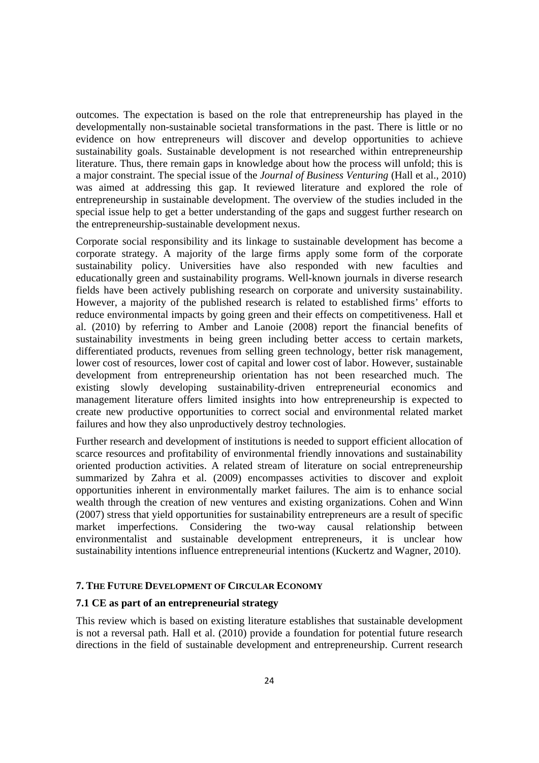outcomes. The expectation is based on the role that entrepreneurship has played in the developmentally non-sustainable societal transformations in the past. There is little or no evidence on how entrepreneurs will discover and develop opportunities to achieve sustainability goals. Sustainable development is not researched within entrepreneurship literature. Thus, there remain gaps in knowledge about how the process will unfold; this is a major constraint. The special issue of the *Journal of Business Venturing* (Hall et al., 2010) was aimed at addressing this gap. It reviewed literature and explored the role of entrepreneurship in sustainable development. The overview of the studies included in the special issue help to get a better understanding of the gaps and suggest further research on the entrepreneurship-sustainable development nexus.

Corporate social responsibility and its linkage to sustainable development has become a corporate strategy. A majority of the large firms apply some form of the corporate sustainability policy. Universities have also responded with new faculties and educationally green and sustainability programs. Well-known journals in diverse research fields have been actively publishing research on corporate and university sustainability. However, a majority of the published research is related to established firms' efforts to reduce environmental impacts by going green and their effects on competitiveness. Hall et al. (2010) by referring to Amber and Lanoie (2008) report the financial benefits of sustainability investments in being green including better access to certain markets, differentiated products, revenues from selling green technology, better risk management, lower cost of resources, lower cost of capital and lower cost of labor. However, sustainable development from entrepreneurship orientation has not been researched much. The existing slowly developing sustainability-driven entrepreneurial economics and management literature offers limited insights into how entrepreneurship is expected to create new productive opportunities to correct social and environmental related market failures and how they also unproductively destroy technologies.

Further research and development of institutions is needed to support efficient allocation of scarce resources and profitability of environmental friendly innovations and sustainability oriented production activities. A related stream of literature on social entrepreneurship summarized by Zahra et al. (2009) encompasses activities to discover and exploit opportunities inherent in environmentally market failures. The aim is to enhance social wealth through the creation of new ventures and existing organizations. Cohen and Winn (2007) stress that yield opportunities for sustainability entrepreneurs are a result of specific market imperfections. Considering the two-way causal relationship between environmentalist and sustainable development entrepreneurs, it is unclear how sustainability intentions influence entrepreneurial intentions (Kuckertz and Wagner, 2010).

# **7. THE FUTURE DEVELOPMENT OF CIRCULAR ECONOMY**

# **7.1 CE as part of an entrepreneurial strategy**

This review which is based on existing literature establishes that sustainable development is not a reversal path. Hall et al. (2010) provide a foundation for potential future research directions in the field of sustainable development and entrepreneurship. Current research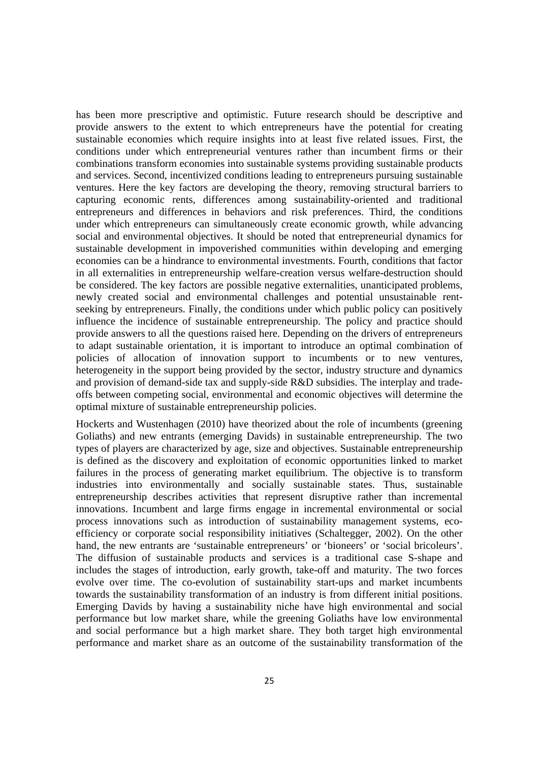has been more prescriptive and optimistic. Future research should be descriptive and provide answers to the extent to which entrepreneurs have the potential for creating sustainable economies which require insights into at least five related issues. First, the conditions under which entrepreneurial ventures rather than incumbent firms or their combinations transform economies into sustainable systems providing sustainable products and services. Second, incentivized conditions leading to entrepreneurs pursuing sustainable ventures. Here the key factors are developing the theory, removing structural barriers to capturing economic rents, differences among sustainability-oriented and traditional entrepreneurs and differences in behaviors and risk preferences. Third, the conditions under which entrepreneurs can simultaneously create economic growth, while advancing social and environmental objectives. It should be noted that entrepreneurial dynamics for sustainable development in impoverished communities within developing and emerging economies can be a hindrance to environmental investments. Fourth, conditions that factor in all externalities in entrepreneurship welfare-creation versus welfare-destruction should be considered. The key factors are possible negative externalities, unanticipated problems, newly created social and environmental challenges and potential unsustainable rentseeking by entrepreneurs. Finally, the conditions under which public policy can positively influence the incidence of sustainable entrepreneurship. The policy and practice should provide answers to all the questions raised here. Depending on the drivers of entrepreneurs to adapt sustainable orientation, it is important to introduce an optimal combination of policies of allocation of innovation support to incumbents or to new ventures, heterogeneity in the support being provided by the sector, industry structure and dynamics and provision of demand-side tax and supply-side R&D subsidies. The interplay and tradeoffs between competing social, environmental and economic objectives will determine the optimal mixture of sustainable entrepreneurship policies.

Hockerts and Wustenhagen (2010) have theorized about the role of incumbents (greening Goliaths) and new entrants (emerging Davids) in sustainable entrepreneurship. The two types of players are characterized by age, size and objectives. Sustainable entrepreneurship is defined as the discovery and exploitation of economic opportunities linked to market failures in the process of generating market equilibrium. The objective is to transform industries into environmentally and socially sustainable states. Thus, sustainable entrepreneurship describes activities that represent disruptive rather than incremental innovations. Incumbent and large firms engage in incremental environmental or social process innovations such as introduction of sustainability management systems, ecoefficiency or corporate social responsibility initiatives (Schaltegger, 2002). On the other hand, the new entrants are 'sustainable entrepreneurs' or 'bioneers' or 'social bricoleurs'. The diffusion of sustainable products and services is a traditional case S-shape and includes the stages of introduction, early growth, take-off and maturity. The two forces evolve over time. The co-evolution of sustainability start-ups and market incumbents towards the sustainability transformation of an industry is from different initial positions. Emerging Davids by having a sustainability niche have high environmental and social performance but low market share, while the greening Goliaths have low environmental and social performance but a high market share. They both target high environmental performance and market share as an outcome of the sustainability transformation of the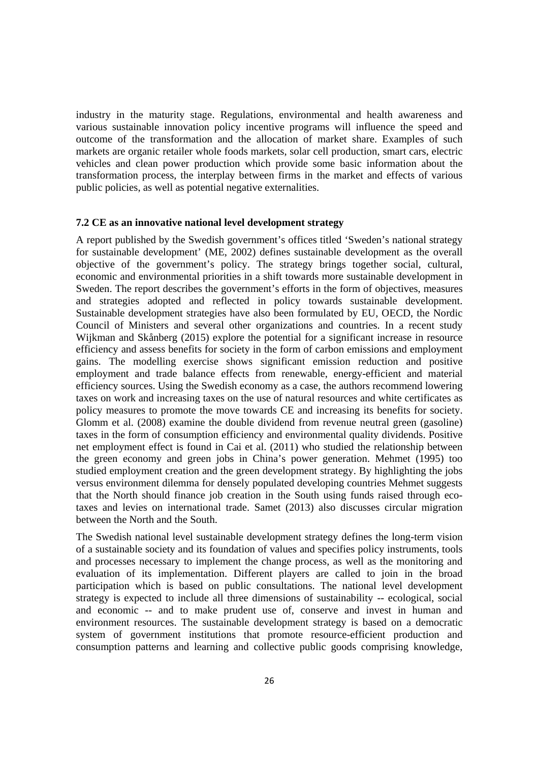industry in the maturity stage. Regulations, environmental and health awareness and various sustainable innovation policy incentive programs will influence the speed and outcome of the transformation and the allocation of market share. Examples of such markets are organic retailer whole foods markets, solar cell production, smart cars, electric vehicles and clean power production which provide some basic information about the transformation process, the interplay between firms in the market and effects of various public policies, as well as potential negative externalities.

# **7.2 CE as an innovative national level development strategy**

A report published by the Swedish government's offices titled 'Sweden's national strategy for sustainable development' (ME, 2002) defines sustainable development as the overall objective of the government's policy. The strategy brings together social, cultural, economic and environmental priorities in a shift towards more sustainable development in Sweden. The report describes the government's efforts in the form of objectives, measures and strategies adopted and reflected in policy towards sustainable development. Sustainable development strategies have also been formulated by EU, OECD, the Nordic Council of Ministers and several other organizations and countries. In a recent study Wijkman and Skånberg (2015) explore the potential for a significant increase in resource efficiency and assess benefits for society in the form of carbon emissions and employment gains. The modelling exercise shows significant emission reduction and positive employment and trade balance effects from renewable, energy-efficient and material efficiency sources. Using the Swedish economy as a case, the authors recommend lowering taxes on work and increasing taxes on the use of natural resources and white certificates as policy measures to promote the move towards CE and increasing its benefits for society. Glomm et al. (2008) examine the double dividend from revenue neutral green (gasoline) taxes in the form of consumption efficiency and environmental quality dividends. Positive net employment effect is found in Cai et al. (2011) who studied the relationship between the green economy and green jobs in China's power generation. Mehmet (1995) too studied employment creation and the green development strategy. By highlighting the jobs versus environment dilemma for densely populated developing countries Mehmet suggests that the North should finance job creation in the South using funds raised through ecotaxes and levies on international trade. Samet (2013) also discusses circular migration between the North and the South.

The Swedish national level sustainable development strategy defines the long-term vision of a sustainable society and its foundation of values and specifies policy instruments, tools and processes necessary to implement the change process, as well as the monitoring and evaluation of its implementation. Different players are called to join in the broad participation which is based on public consultations. The national level development strategy is expected to include all three dimensions of sustainability -- ecological, social and economic -- and to make prudent use of, conserve and invest in human and environment resources. The sustainable development strategy is based on a democratic system of government institutions that promote resource-efficient production and consumption patterns and learning and collective public goods comprising knowledge,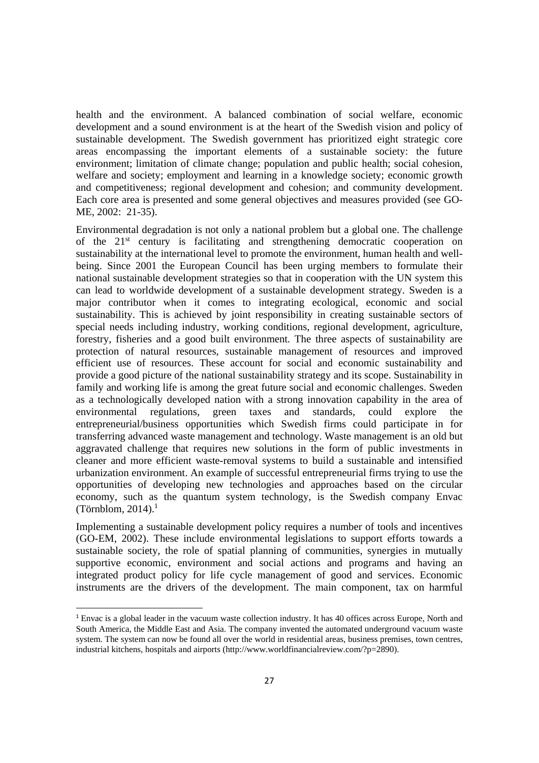health and the environment. A balanced combination of social welfare, economic development and a sound environment is at the heart of the Swedish vision and policy of sustainable development. The Swedish government has prioritized eight strategic core areas encompassing the important elements of a sustainable society: the future environment; limitation of climate change; population and public health; social cohesion, welfare and society; employment and learning in a knowledge society; economic growth and competitiveness; regional development and cohesion; and community development. Each core area is presented and some general objectives and measures provided (see GO-ME, 2002: 21-35).

Environmental degradation is not only a national problem but a global one. The challenge of the  $21<sup>st</sup>$  century is facilitating and strengthening democratic cooperation on sustainability at the international level to promote the environment, human health and wellbeing. Since 2001 the European Council has been urging members to formulate their national sustainable development strategies so that in cooperation with the UN system this can lead to worldwide development of a sustainable development strategy. Sweden is a major contributor when it comes to integrating ecological, economic and social sustainability. This is achieved by joint responsibility in creating sustainable sectors of special needs including industry, working conditions, regional development, agriculture, forestry, fisheries and a good built environment. The three aspects of sustainability are protection of natural resources, sustainable management of resources and improved efficient use of resources. These account for social and economic sustainability and provide a good picture of the national sustainability strategy and its scope. Sustainability in family and working life is among the great future social and economic challenges. Sweden as a technologically developed nation with a strong innovation capability in the area of environmental regulations, green taxes and standards, could explore the entrepreneurial/business opportunities which Swedish firms could participate in for transferring advanced waste management and technology. Waste management is an old but aggravated challenge that requires new solutions in the form of public investments in cleaner and more efficient waste-removal systems to build a sustainable and intensified urbanization environment. An example of successful entrepreneurial firms trying to use the opportunities of developing new technologies and approaches based on the circular economy, such as the quantum system technology, is the Swedish company Envac (Törnblom, 2014). $<sup>1</sup>$ </sup>

Implementing a sustainable development policy requires a number of tools and incentives (GO-EM, 2002). These include environmental legislations to support efforts towards a sustainable society, the role of spatial planning of communities, synergies in mutually supportive economic, environment and social actions and programs and having an integrated product policy for life cycle management of good and services. Economic instruments are the drivers of the development. The main component, tax on harmful

<sup>1</sup> Envac is a global leader in the vacuum waste collection industry. It has 40 offices across Europe, North and South America, the Middle East and Asia. The company invented the automated underground vacuum waste system. The system can now be found all over the world in residential areas, business premises, town centres, industrial kitchens, hospitals and airports (http://www.worldfinancialreview.com/?p=2890).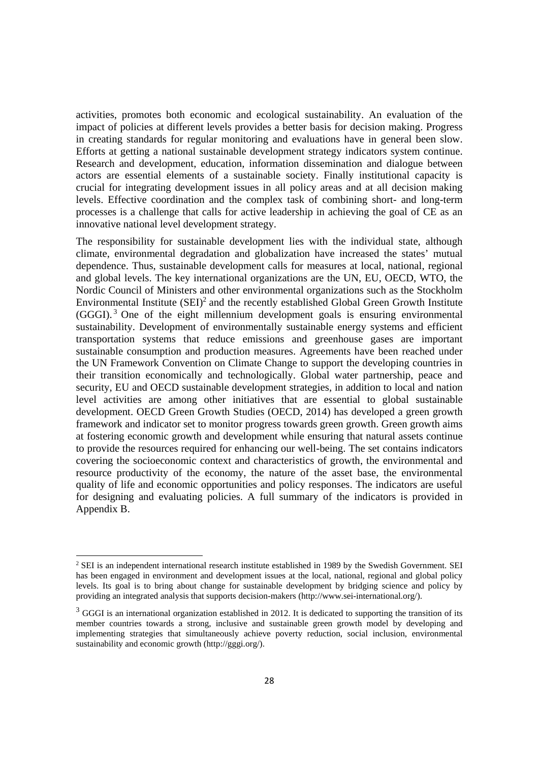activities, promotes both economic and ecological sustainability. An evaluation of the impact of policies at different levels provides a better basis for decision making. Progress in creating standards for regular monitoring and evaluations have in general been slow. Efforts at getting a national sustainable development strategy indicators system continue. Research and development, education, information dissemination and dialogue between actors are essential elements of a sustainable society. Finally institutional capacity is crucial for integrating development issues in all policy areas and at all decision making levels. Effective coordination and the complex task of combining short- and long-term processes is a challenge that calls for active leadership in achieving the goal of CE as an innovative national level development strategy.

The responsibility for sustainable development lies with the individual state, although climate, environmental degradation and globalization have increased the states' mutual dependence. Thus, sustainable development calls for measures at local, national, regional and global levels. The key international organizations are the UN, EU, OECD, WTO, the Nordic Council of Ministers and other environmental organizations such as the Stockholm Environmental Institute  $(SEI)^2$  and the recently established Global Green Growth Institute  $(GGGI)$ .<sup>3</sup> One of the eight millennium development goals is ensuring environmental sustainability. Development of environmentally sustainable energy systems and efficient transportation systems that reduce emissions and greenhouse gases are important sustainable consumption and production measures. Agreements have been reached under the UN Framework Convention on Climate Change to support the developing countries in their transition economically and technologically. Global water partnership, peace and security, EU and OECD sustainable development strategies, in addition to local and nation level activities are among other initiatives that are essential to global sustainable development. OECD Green Growth Studies (OECD, 2014) has developed a green growth framework and indicator set to monitor progress towards green growth. Green growth aims at fostering economic growth and development while ensuring that natural assets continue to provide the resources required for enhancing our well-being. The set contains indicators covering the socioeconomic context and characteristics of growth, the environmental and resource productivity of the economy, the nature of the asset base, the environmental quality of life and economic opportunities and policy responses. The indicators are useful for designing and evaluating policies. A full summary of the indicators is provided in Appendix B.

<sup>&</sup>lt;sup>2</sup> SEI is an independent international research institute established in 1989 by the Swedish Government. SEI has been engaged in environment and development issues at the local, national, regional and global policy levels. Its goal is to bring about change for sustainable development by bridging science and policy by providing an integrated analysis that supports decision-makers (http://www.sei-international.org/).

<sup>&</sup>lt;sup>3</sup> GGGI is an international organization established in 2012. It is dedicated to supporting the transition of its member countries towards a strong, inclusive and sustainable green growth model by developing and implementing strategies that simultaneously achieve poverty reduction, social inclusion, environmental sustainability and economic growth (http://gggi.org/).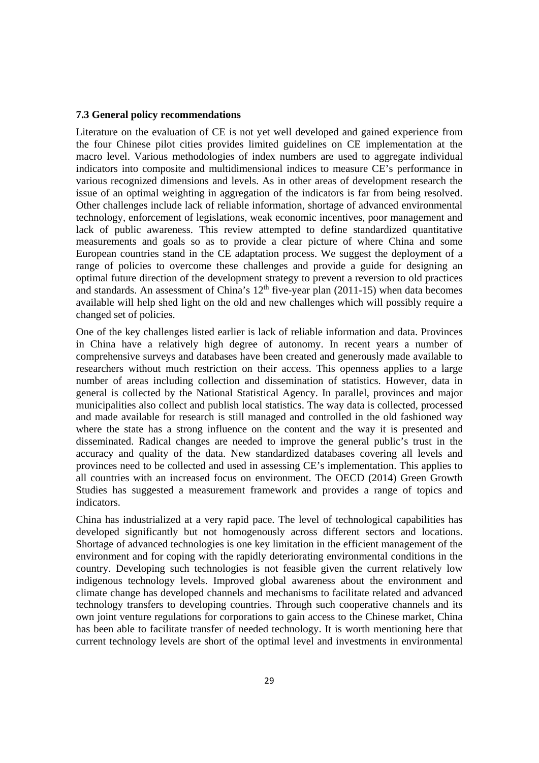#### **7.3 General policy recommendations**

Literature on the evaluation of CE is not yet well developed and gained experience from the four Chinese pilot cities provides limited guidelines on CE implementation at the macro level. Various methodologies of index numbers are used to aggregate individual indicators into composite and multidimensional indices to measure CE's performance in various recognized dimensions and levels. As in other areas of development research the issue of an optimal weighting in aggregation of the indicators is far from being resolved. Other challenges include lack of reliable information, shortage of advanced environmental technology, enforcement of legislations, weak economic incentives, poor management and lack of public awareness. This review attempted to define standardized quantitative measurements and goals so as to provide a clear picture of where China and some European countries stand in the CE adaptation process. We suggest the deployment of a range of policies to overcome these challenges and provide a guide for designing an optimal future direction of the development strategy to prevent a reversion to old practices and standards. An assessment of China's  $12<sup>th</sup>$  five-year plan (2011-15) when data becomes available will help shed light on the old and new challenges which will possibly require a changed set of policies.

One of the key challenges listed earlier is lack of reliable information and data. Provinces in China have a relatively high degree of autonomy. In recent years a number of comprehensive surveys and databases have been created and generously made available to researchers without much restriction on their access. This openness applies to a large number of areas including collection and dissemination of statistics. However, data in general is collected by the National Statistical Agency. In parallel, provinces and major municipalities also collect and publish local statistics. The way data is collected, processed and made available for research is still managed and controlled in the old fashioned way where the state has a strong influence on the content and the way it is presented and disseminated. Radical changes are needed to improve the general public's trust in the accuracy and quality of the data. New standardized databases covering all levels and provinces need to be collected and used in assessing CE's implementation. This applies to all countries with an increased focus on environment. The OECD (2014) Green Growth Studies has suggested a measurement framework and provides a range of topics and indicators.

China has industrialized at a very rapid pace. The level of technological capabilities has developed significantly but not homogenously across different sectors and locations. Shortage of advanced technologies is one key limitation in the efficient management of the environment and for coping with the rapidly deteriorating environmental conditions in the country. Developing such technologies is not feasible given the current relatively low indigenous technology levels. Improved global awareness about the environment and climate change has developed channels and mechanisms to facilitate related and advanced technology transfers to developing countries. Through such cooperative channels and its own joint venture regulations for corporations to gain access to the Chinese market, China has been able to facilitate transfer of needed technology. It is worth mentioning here that current technology levels are short of the optimal level and investments in environmental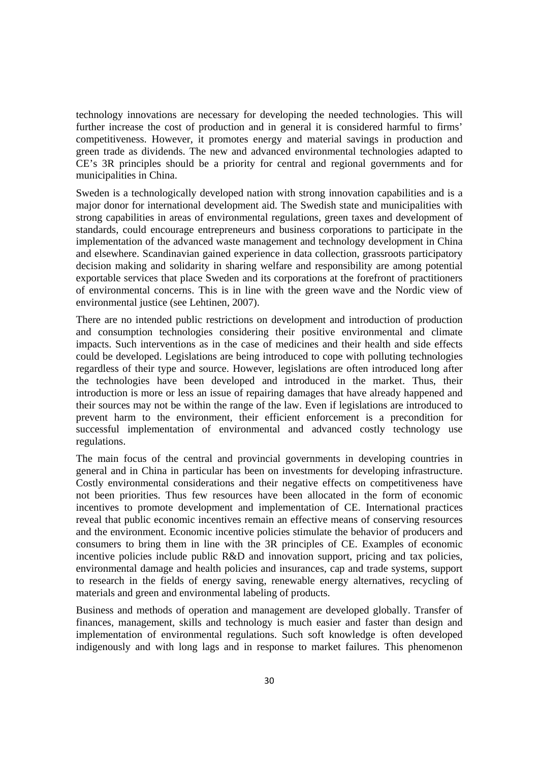technology innovations are necessary for developing the needed technologies. This will further increase the cost of production and in general it is considered harmful to firms' competitiveness. However, it promotes energy and material savings in production and green trade as dividends. The new and advanced environmental technologies adapted to CE's 3R principles should be a priority for central and regional governments and for municipalities in China.

Sweden is a technologically developed nation with strong innovation capabilities and is a major donor for international development aid. The Swedish state and municipalities with strong capabilities in areas of environmental regulations, green taxes and development of standards, could encourage entrepreneurs and business corporations to participate in the implementation of the advanced waste management and technology development in China and elsewhere. Scandinavian gained experience in data collection, grassroots participatory decision making and solidarity in sharing welfare and responsibility are among potential exportable services that place Sweden and its corporations at the forefront of practitioners of environmental concerns. This is in line with the green wave and the Nordic view of environmental justice (see Lehtinen, 2007).

There are no intended public restrictions on development and introduction of production and consumption technologies considering their positive environmental and climate impacts. Such interventions as in the case of medicines and their health and side effects could be developed. Legislations are being introduced to cope with polluting technologies regardless of their type and source. However, legislations are often introduced long after the technologies have been developed and introduced in the market. Thus, their introduction is more or less an issue of repairing damages that have already happened and their sources may not be within the range of the law. Even if legislations are introduced to prevent harm to the environment, their efficient enforcement is a precondition for successful implementation of environmental and advanced costly technology use regulations.

The main focus of the central and provincial governments in developing countries in general and in China in particular has been on investments for developing infrastructure. Costly environmental considerations and their negative effects on competitiveness have not been priorities. Thus few resources have been allocated in the form of economic incentives to promote development and implementation of CE. International practices reveal that public economic incentives remain an effective means of conserving resources and the environment. Economic incentive policies stimulate the behavior of producers and consumers to bring them in line with the 3R principles of CE. Examples of economic incentive policies include public R&D and innovation support, pricing and tax policies, environmental damage and health policies and insurances, cap and trade systems, support to research in the fields of energy saving, renewable energy alternatives, recycling of materials and green and environmental labeling of products.

Business and methods of operation and management are developed globally. Transfer of finances, management, skills and technology is much easier and faster than design and implementation of environmental regulations. Such soft knowledge is often developed indigenously and with long lags and in response to market failures. This phenomenon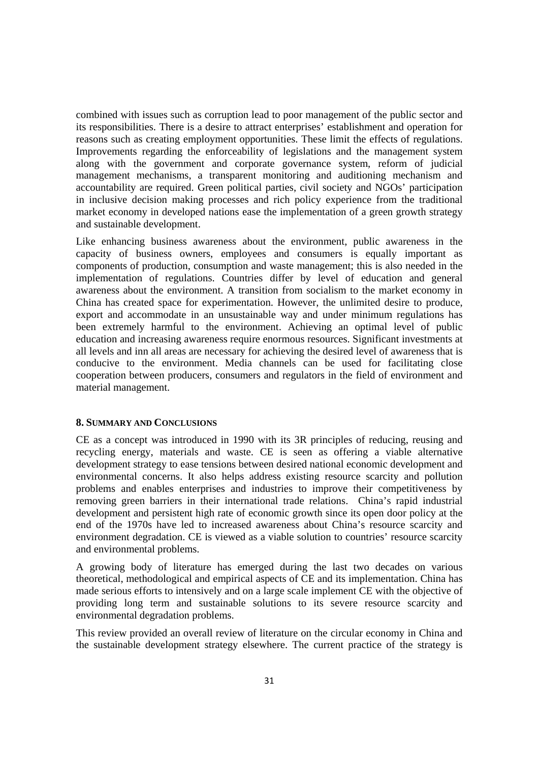combined with issues such as corruption lead to poor management of the public sector and its responsibilities. There is a desire to attract enterprises' establishment and operation for reasons such as creating employment opportunities. These limit the effects of regulations. Improvements regarding the enforceability of legislations and the management system along with the government and corporate governance system, reform of judicial management mechanisms, a transparent monitoring and auditioning mechanism and accountability are required. Green political parties, civil society and NGOs' participation in inclusive decision making processes and rich policy experience from the traditional market economy in developed nations ease the implementation of a green growth strategy and sustainable development.

Like enhancing business awareness about the environment, public awareness in the capacity of business owners, employees and consumers is equally important as components of production, consumption and waste management; this is also needed in the implementation of regulations. Countries differ by level of education and general awareness about the environment. A transition from socialism to the market economy in China has created space for experimentation. However, the unlimited desire to produce, export and accommodate in an unsustainable way and under minimum regulations has been extremely harmful to the environment. Achieving an optimal level of public education and increasing awareness require enormous resources. Significant investments at all levels and inn all areas are necessary for achieving the desired level of awareness that is conducive to the environment. Media channels can be used for facilitating close cooperation between producers, consumers and regulators in the field of environment and material management.

# **8. SUMMARY AND CONCLUSIONS**

CE as a concept was introduced in 1990 with its 3R principles of reducing, reusing and recycling energy, materials and waste. CE is seen as offering a viable alternative development strategy to ease tensions between desired national economic development and environmental concerns. It also helps address existing resource scarcity and pollution problems and enables enterprises and industries to improve their competitiveness by removing green barriers in their international trade relations. China's rapid industrial development and persistent high rate of economic growth since its open door policy at the end of the 1970s have led to increased awareness about China's resource scarcity and environment degradation. CE is viewed as a viable solution to countries' resource scarcity and environmental problems.

A growing body of literature has emerged during the last two decades on various theoretical, methodological and empirical aspects of CE and its implementation. China has made serious efforts to intensively and on a large scale implement CE with the objective of providing long term and sustainable solutions to its severe resource scarcity and environmental degradation problems.

This review provided an overall review of literature on the circular economy in China and the sustainable development strategy elsewhere. The current practice of the strategy is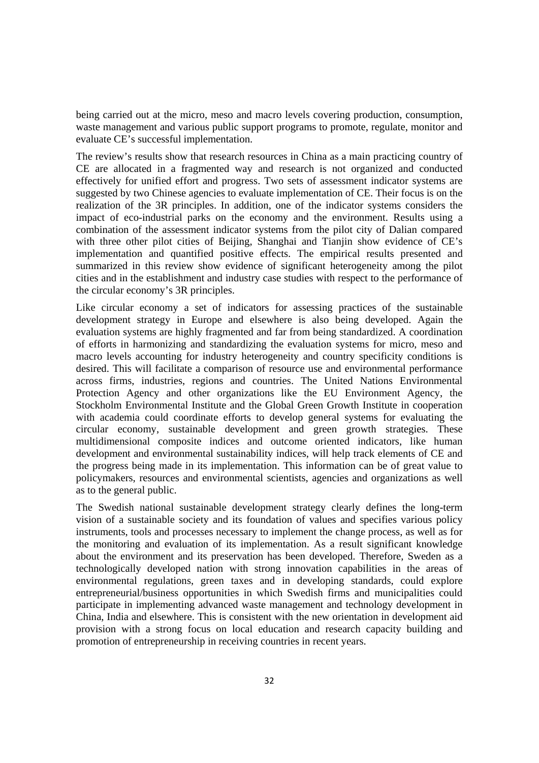being carried out at the micro, meso and macro levels covering production, consumption, waste management and various public support programs to promote, regulate, monitor and evaluate CE's successful implementation.

The review's results show that research resources in China as a main practicing country of CE are allocated in a fragmented way and research is not organized and conducted effectively for unified effort and progress. Two sets of assessment indicator systems are suggested by two Chinese agencies to evaluate implementation of CE. Their focus is on the realization of the 3R principles. In addition, one of the indicator systems considers the impact of eco-industrial parks on the economy and the environment. Results using a combination of the assessment indicator systems from the pilot city of Dalian compared with three other pilot cities of Beijing, Shanghai and Tianjin show evidence of CE's implementation and quantified positive effects. The empirical results presented and summarized in this review show evidence of significant heterogeneity among the pilot cities and in the establishment and industry case studies with respect to the performance of the circular economy's 3R principles.

Like circular economy a set of indicators for assessing practices of the sustainable development strategy in Europe and elsewhere is also being developed. Again the evaluation systems are highly fragmented and far from being standardized. A coordination of efforts in harmonizing and standardizing the evaluation systems for micro, meso and macro levels accounting for industry heterogeneity and country specificity conditions is desired. This will facilitate a comparison of resource use and environmental performance across firms, industries, regions and countries. The United Nations Environmental Protection Agency and other organizations like the EU Environment Agency, the Stockholm Environmental Institute and the Global Green Growth Institute in cooperation with academia could coordinate efforts to develop general systems for evaluating the circular economy, sustainable development and green growth strategies. These multidimensional composite indices and outcome oriented indicators, like human development and environmental sustainability indices, will help track elements of CE and the progress being made in its implementation. This information can be of great value to policymakers, resources and environmental scientists, agencies and organizations as well as to the general public.

The Swedish national sustainable development strategy clearly defines the long-term vision of a sustainable society and its foundation of values and specifies various policy instruments, tools and processes necessary to implement the change process, as well as for the monitoring and evaluation of its implementation. As a result significant knowledge about the environment and its preservation has been developed. Therefore, Sweden as a technologically developed nation with strong innovation capabilities in the areas of environmental regulations, green taxes and in developing standards, could explore entrepreneurial/business opportunities in which Swedish firms and municipalities could participate in implementing advanced waste management and technology development in China, India and elsewhere. This is consistent with the new orientation in development aid provision with a strong focus on local education and research capacity building and promotion of entrepreneurship in receiving countries in recent years.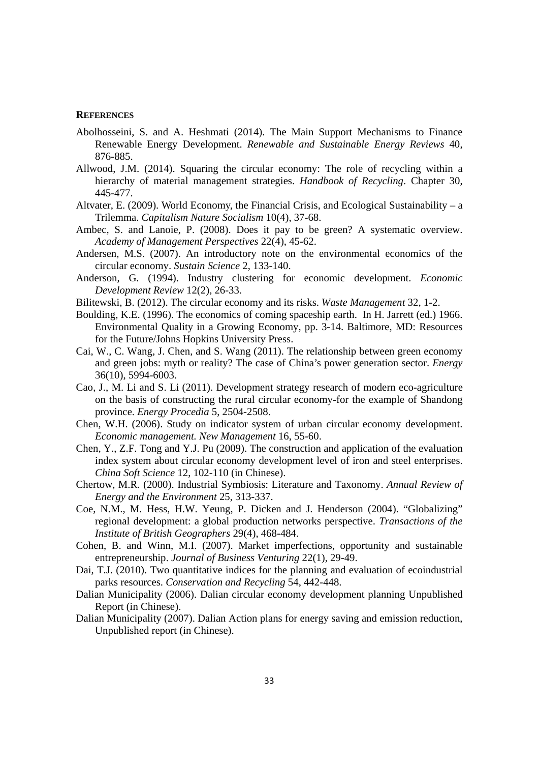#### **REFERENCES**

- Abolhosseini, S. and A. Heshmati (2014). The Main Support Mechanisms to Finance Renewable Energy Development. *Renewable and Sustainable Energy Reviews* 40, 876-885.
- Allwood, J.M. (2014). Squaring the circular economy: The role of recycling within a hierarchy of material management strategies. *Handbook of Recycling*. Chapter 30, 445-477.
- Altvater, E. (2009). World Economy, the Financial Crisis, and Ecological Sustainability a Trilemma. *Capitalism Nature Socialism* 10(4), 37-68.
- Ambec, S. and Lanoie, P. (2008). Does it pay to be green? A systematic overview. *Academy of Management Perspectives* 22(4), 45-62.
- Andersen, M.S. (2007). An introductory note on the environmental economics of the circular economy. *Sustain Science* 2, 133-140.
- Anderson, G. (1994). Industry clustering for economic development. *Economic Development Review* 12(2), 26-33.
- Bilitewski, B. (2012). The circular economy and its risks. *Waste Management* 32, 1-2.
- Boulding, K.E. (1996). The economics of coming spaceship earth. In H. Jarrett (ed.) 1966. Environmental Quality in a Growing Economy, pp. 3-14. Baltimore, MD: Resources for the Future/Johns Hopkins University Press.
- Cai, W., C. Wang, J. Chen, and S. Wang (2011). The relationship between green economy and green jobs: myth or reality? The case of China's power generation sector. *Energy* 36(10), 5994-6003.
- Cao, J., M. Li and S. Li (2011). Development strategy research of modern eco-agriculture on the basis of constructing the rural circular economy-for the example of Shandong province. *Energy Procedia* 5, 2504-2508.
- Chen, W.H. (2006). Study on indicator system of urban circular economy development. *Economic management. New Management* 16, 55-60.
- Chen, Y., Z.F. Tong and Y.J. Pu (2009). The construction and application of the evaluation index system about circular economy development level of iron and steel enterprises. *China Soft Science* 12, 102-110 (in Chinese).
- Chertow, M.R. (2000). Industrial Symbiosis: Literature and Taxonomy. *Annual Review of Energy and the Environment* 25, 313-337.
- Coe, N.M., M. Hess, H.W. Yeung, P. Dicken and J. Henderson (2004). "Globalizing" regional development: a global production networks perspective. *Transactions of the Institute of British Geographers* 29(4), 468-484.
- Cohen, B. and Winn, M.I. (2007). Market imperfections, opportunity and sustainable entrepreneurship. *Journal of Business Venturing* 22(1), 29-49.
- Dai, T.J. (2010). Two quantitative indices for the planning and evaluation of ecoindustrial parks resources. *Conservation and Recycling* 54, 442-448.
- Dalian Municipality (2006). Dalian circular economy development planning Unpublished Report (in Chinese).
- Dalian Municipality (2007). Dalian Action plans for energy saving and emission reduction, Unpublished report (in Chinese).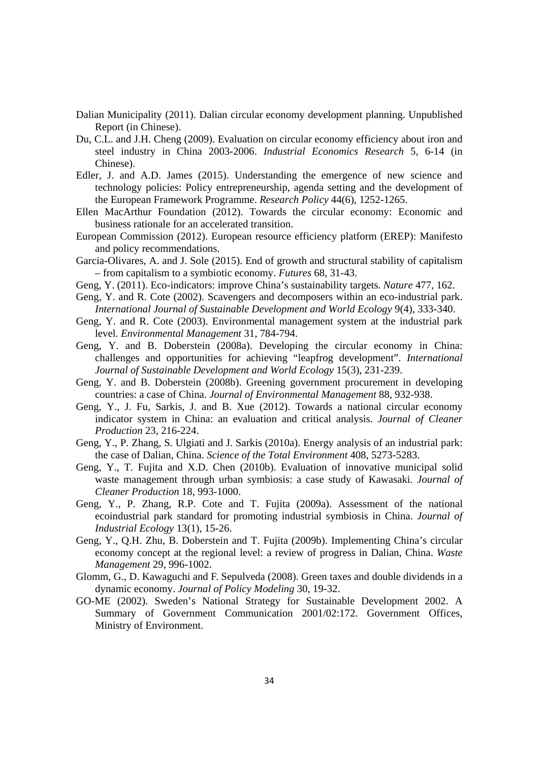- Dalian Municipality (2011). Dalian circular economy development planning. Unpublished Report (in Chinese).
- Du, C.L. and J.H. Cheng (2009). Evaluation on circular economy efficiency about iron and steel industry in China 2003-2006. *Industrial Economics Research* 5, 6-14 (in Chinese).
- Edler, J. and A.D. James (2015). Understanding the emergence of new science and technology policies: Policy entrepreneurship, agenda setting and the development of the European Framework Programme. *Research Policy* 44(6), 1252-1265.
- Ellen MacArthur Foundation (2012). Towards the circular economy: Economic and business rationale for an accelerated transition.
- European Commission (2012). European resource efficiency platform (EREP): Manifesto and policy recommendations.
- Garcia-Olivares, A. and J. Sole (2015). End of growth and structural stability of capitalism – from capitalism to a symbiotic economy. *Futures* 68, 31-43.
- Geng, Y. (2011). Eco-indicators: improve China's sustainability targets. *Nature* 477, 162.
- Geng, Y. and R. Cote (2002). Scavengers and decomposers within an eco-industrial park. *International Journal of Sustainable Development and World Ecology* 9(4), 333-340.
- Geng, Y. and R. Cote (2003). Environmental management system at the industrial park level. *Environmental Management* 31, 784-794.
- Geng, Y. and B. Doberstein (2008a). Developing the circular economy in China: challenges and opportunities for achieving "leapfrog development". *International Journal of Sustainable Development and World Ecology* 15(3), 231-239.
- Geng, Y. and B. Doberstein (2008b). Greening government procurement in developing countries: a case of China. *Journal of Environmental Management* 88, 932-938.
- Geng, Y., J. Fu, Sarkis, J. and B. Xue (2012). Towards a national circular economy indicator system in China: an evaluation and critical analysis. *Journal of Cleaner Production* 23, 216-224.
- Geng, Y., P. Zhang, S. Ulgiati and J. Sarkis (2010a). Energy analysis of an industrial park: the case of Dalian, China. *Science of the Total Environment* 408, 5273-5283.
- Geng, Y., T. Fujita and X.D. Chen (2010b). Evaluation of innovative municipal solid waste management through urban symbiosis: a case study of Kawasaki. *Journal of Cleaner Production* 18, 993-1000.
- Geng, Y., P. Zhang, R.P. Cote and T. Fujita (2009a). Assessment of the national ecoindustrial park standard for promoting industrial symbiosis in China. *Journal of Industrial Ecology* 13(1), 15-26.
- Geng, Y., Q.H. Zhu, B. Doberstein and T. Fujita (2009b). Implementing China's circular economy concept at the regional level: a review of progress in Dalian, China. *Waste Management* 29, 996-1002.
- Glomm, G., D. Kawaguchi and F. Sepulveda (2008). Green taxes and double dividends in a dynamic economy. *Journal of Policy Modeling* 30, 19-32.
- GO-ME (2002). Sweden's National Strategy for Sustainable Development 2002. A Summary of Government Communication 2001/02:172. Government Offices, Ministry of Environment.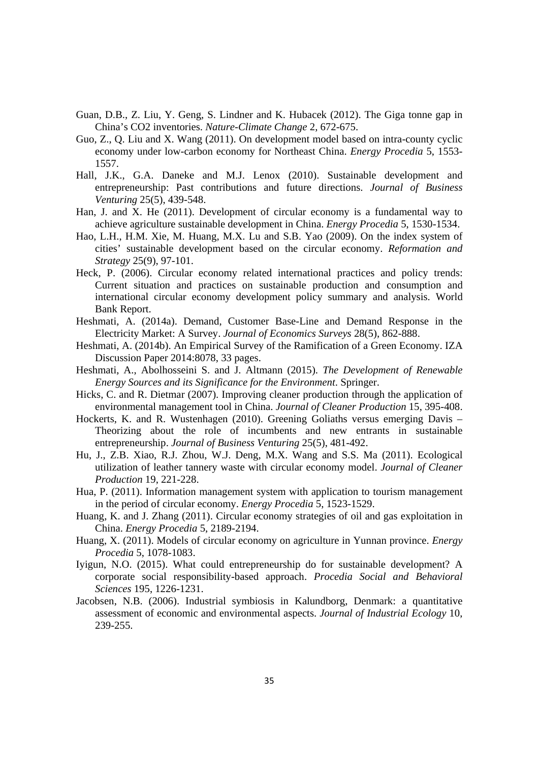- Guan, D.B., Z. Liu, Y. Geng, S. Lindner and K. Hubacek (2012). The Giga tonne gap in China's CO2 inventories. *Nature-Climate Change* 2, 672-675.
- Guo, Z., Q. Liu and X. Wang (2011). On development model based on intra-county cyclic economy under low-carbon economy for Northeast China. *Energy Procedia* 5, 1553- 1557.
- Hall, J.K., G.A. Daneke and M.J. Lenox (2010). Sustainable development and entrepreneurship: Past contributions and future directions. *Journal of Business Venturing* 25(5), 439-548.
- Han, J. and X. He (2011). Development of circular economy is a fundamental way to achieve agriculture sustainable development in China. *Energy Procedia* 5, 1530-1534.
- Hao, L.H., H.M. Xie, M. Huang, M.X. Lu and S.B. Yao (2009). On the index system of cities' sustainable development based on the circular economy. *Reformation and Strategy* 25(9), 97-101.
- Heck, P. (2006). Circular economy related international practices and policy trends: Current situation and practices on sustainable production and consumption and international circular economy development policy summary and analysis. World Bank Report.
- Heshmati, A. (2014a). Demand, Customer Base-Line and Demand Response in the Electricity Market: A Survey. *Journal of Economics Surveys* 28(5), 862-888.
- Heshmati, A. (2014b). An Empirical Survey of the Ramification of a Green Economy. IZA Discussion Paper 2014:8078, 33 pages.
- Heshmati, A., Abolhosseini S. and J. Altmann (2015). *The Development of Renewable Energy Sources and its Significance for the Environment*. Springer.
- Hicks, C. and R. Dietmar (2007). Improving cleaner production through the application of environmental management tool in China. *Journal of Cleaner Production* 15, 395-408.
- Hockerts, K. and R. Wustenhagen (2010). Greening Goliaths versus emerging Davis Theorizing about the role of incumbents and new entrants in sustainable entrepreneurship. *Journal of Business Venturing* 25(5), 481-492.
- Hu, J., Z.B. Xiao, R.J. Zhou, W.J. Deng, M.X. Wang and S.S. Ma (2011). Ecological utilization of leather tannery waste with circular economy model. *Journal of Cleaner Production* 19, 221-228.
- Hua, P. (2011). Information management system with application to tourism management in the period of circular economy. *Energy Procedia* 5, 1523-1529.
- Huang, K. and J. Zhang (2011). Circular economy strategies of oil and gas exploitation in China. *Energy Procedia* 5, 2189-2194.
- Huang, X. (2011). Models of circular economy on agriculture in Yunnan province. *Energy Procedia* 5, 1078-1083.
- Iyigun, N.O. (2015). What could entrepreneurship do for sustainable development? A corporate social responsibility-based approach. *Procedia Social and Behavioral Sciences* 195, 1226-1231.
- Jacobsen, N.B. (2006). Industrial symbiosis in Kalundborg, Denmark: a quantitative assessment of economic and environmental aspects. *Journal of Industrial Ecology* 10, 239-255.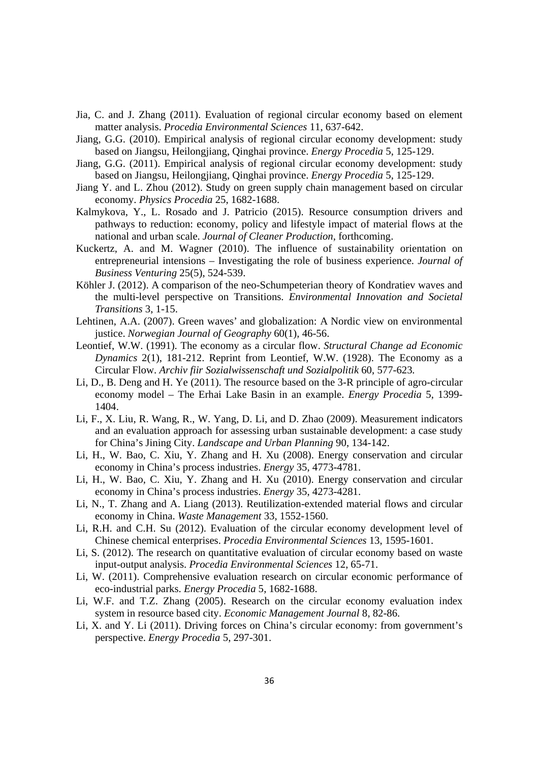- Jia, C. and J. Zhang (2011). Evaluation of regional circular economy based on element matter analysis. *Procedia Environmental Sciences* 11, 637-642.
- Jiang, G.G. (2010). Empirical analysis of regional circular economy development: study based on Jiangsu, Heilongjiang, Qinghai province. *Energy Procedia* 5, 125-129.
- Jiang, G.G. (2011). Empirical analysis of regional circular economy development: study based on Jiangsu, Heilongjiang, Qinghai province. *Energy Procedia* 5, 125-129.
- Jiang Y. and L. Zhou (2012). Study on green supply chain management based on circular economy. *Physics Procedia* 25, 1682-1688.
- Kalmykova, Y., L. Rosado and J. Patricio (2015). Resource consumption drivers and pathways to reduction: economy, policy and lifestyle impact of material flows at the national and urban scale. *Journal of Cleaner Production*, forthcoming.
- Kuckertz, A. and M. Wagner (2010). The influence of sustainability orientation on entrepreneurial intensions – Investigating the role of business experience. *Journal of Business Venturing* 25(5), 524-539.
- Köhler J. (2012). A comparison of the neo-Schumpeterian theory of Kondratiev waves and the multi-level perspective on Transitions. *Environmental Innovation and Societal Transitions* 3, 1-15.
- Lehtinen, A.A. (2007). Green waves' and globalization: A Nordic view on environmental justice. *Norwegian Journal of Geography* 60(1), 46-56.
- Leontief, W.W. (1991). The economy as a circular flow. *Structural Change ad Economic Dynamics* 2(1), 181-212. Reprint from Leontief, W.W. (1928). The Economy as a Circular Flow. *Archiv fiir Sozialwissenschaft und Sozialpolitik* 60, 577-623*.*
- Li, D., B. Deng and H. Ye (2011). The resource based on the 3-R principle of agro-circular economy model – The Erhai Lake Basin in an example. *Energy Procedia* 5, 1399- 1404.
- Li, F., X. Liu, R. Wang, R., W. Yang, D. Li, and D. Zhao (2009). Measurement indicators and an evaluation approach for assessing urban sustainable development: a case study for China's Jining City. *Landscape and Urban Planning* 90, 134-142.
- Li, H., W. Bao, C. Xiu, Y. Zhang and H. Xu (2008). Energy conservation and circular economy in China's process industries. *Energy* 35, 4773-4781.
- Li, H., W. Bao, C. Xiu, Y. Zhang and H. Xu (2010). Energy conservation and circular economy in China's process industries. *Energy* 35, 4273-4281.
- Li, N., T. Zhang and A. Liang (2013). Reutilization-extended material flows and circular economy in China. *Waste Management* 33, 1552-1560.
- Li, R.H. and C.H. Su (2012). Evaluation of the circular economy development level of Chinese chemical enterprises. *Procedia Environmental Sciences* 13, 1595-1601.
- Li, S. (2012). The research on quantitative evaluation of circular economy based on waste input-output analysis. *Procedia Environmental Sciences* 12, 65-71.
- Li, W. (2011). Comprehensive evaluation research on circular economic performance of eco-industrial parks. *Energy Procedia* 5, 1682-1688.
- Li, W.F. and T.Z. Zhang (2005). Research on the circular economy evaluation index system in resource based city. *Economic Management Journal* 8, 82-86.
- Li, X. and Y. Li (2011). Driving forces on China's circular economy: from government's perspective. *Energy Procedia* 5, 297-301.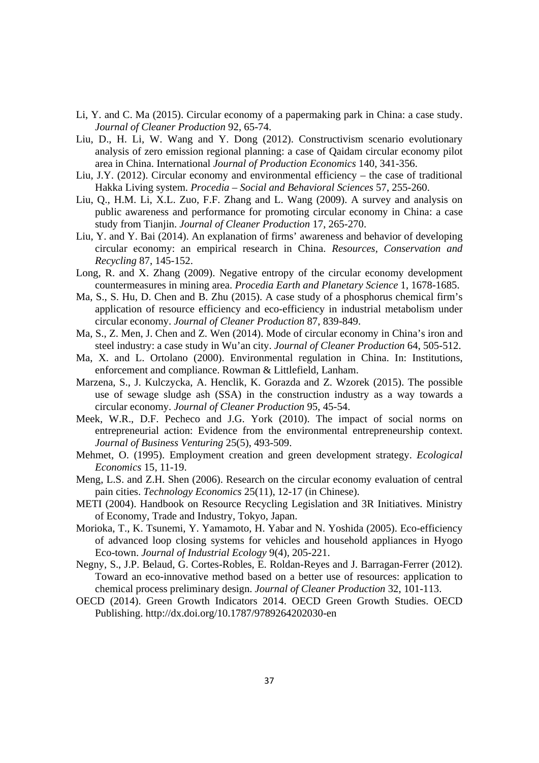- Li, Y. and C. Ma (2015). Circular economy of a papermaking park in China: a case study. *Journal of Cleaner Production* 92, 65-74.
- Liu, D., H. Li, W. Wang and Y. Dong (2012). Constructivism scenario evolutionary analysis of zero emission regional planning: a case of Qaidam circular economy pilot area in China. International *Journal of Production Economics* 140, 341-356.
- Liu, J.Y. (2012). Circular economy and environmental efficiency the case of traditional Hakka Living system. *Procedia – Social and Behavioral Sciences* 57, 255-260.
- Liu, Q., H.M. Li, X.L. Zuo, F.F. Zhang and L. Wang (2009). A survey and analysis on public awareness and performance for promoting circular economy in China: a case study from Tianjin. *Journal of Cleaner Production* 17, 265-270.
- Liu, Y. and Y. Bai (2014). An explanation of firms' awareness and behavior of developing circular economy: an empirical research in China. *Resources, Conservation and Recycling* 87, 145-152.
- Long, R. and X. Zhang (2009). Negative entropy of the circular economy development countermeasures in mining area. *Procedia Earth and Planetary Science* 1, 1678-1685.
- Ma, S., S. Hu, D. Chen and B. Zhu (2015). A case study of a phosphorus chemical firm's application of resource efficiency and eco-efficiency in industrial metabolism under circular economy. *Journal of Cleaner Production* 87, 839-849.
- Ma, S., Z. Men, J. Chen and Z. Wen (2014). Mode of circular economy in China's iron and steel industry: a case study in Wu'an city. *Journal of Cleaner Production* 64, 505-512.
- Ma, X. and L. Ortolano (2000). Environmental regulation in China. In: Institutions, enforcement and compliance. Rowman & Littlefield, Lanham.
- Marzena, S., J. Kulczycka, A. Henclik, K. Gorazda and Z. Wzorek (2015). The possible use of sewage sludge ash (SSA) in the construction industry as a way towards a circular economy. *Journal of Cleaner Production* 95, 45-54.
- Meek, W.R., D.F. Pecheco and J.G. York (2010). The impact of social norms on entrepreneurial action: Evidence from the environmental entrepreneurship context. *Journal of Business Venturing* 25(5), 493-509.
- Mehmet, O. (1995). Employment creation and green development strategy. *Ecological Economics* 15, 11-19.
- Meng, L.S. and Z.H. Shen (2006). Research on the circular economy evaluation of central pain cities. *Technology Economics* 25(11), 12-17 (in Chinese).
- METI (2004). Handbook on Resource Recycling Legislation and 3R Initiatives. Ministry of Economy, Trade and Industry, Tokyo, Japan.
- Morioka, T., K. Tsunemi, Y. Yamamoto, H. Yabar and N. Yoshida (2005). Eco-efficiency of advanced loop closing systems for vehicles and household appliances in Hyogo Eco-town. *Journal of Industrial Ecology* 9(4), 205-221.
- Negny, S., J.P. Belaud, G. Cortes-Robles, E. Roldan-Reyes and J. Barragan-Ferrer (2012). Toward an eco-innovative method based on a better use of resources: application to chemical process preliminary design. *Journal of Cleaner Production* 32, 101-113.
- OECD (2014). Green Growth Indicators 2014. OECD Green Growth Studies. OECD Publishing. http://dx.doi.org/10.1787/9789264202030-en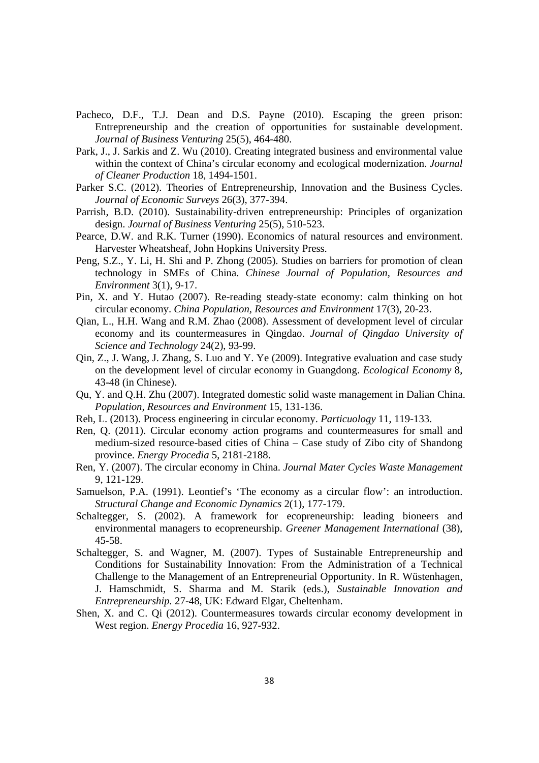- Pacheco, D.F., T.J. Dean and D.S. Payne (2010). Escaping the green prison: Entrepreneurship and the creation of opportunities for sustainable development. *Journal of Business Venturing* 25(5), 464-480.
- Park, J., J. Sarkis and Z. Wu (2010). Creating integrated business and environmental value within the context of China's circular economy and ecological modernization. *Journal of Cleaner Production* 18, 1494-1501.
- Parker S.C. (2012). Theories of Entrepreneurship, Innovation and the Business Cycles. *Journal of Economic Surveys* 26(3), 377-394.
- Parrish, B.D. (2010). Sustainability-driven entrepreneurship: Principles of organization design. *Journal of Business Venturing* 25(5), 510-523.
- Pearce, D.W. and R.K. Turner (1990). Economics of natural resources and environment. Harvester Wheatsheaf, John Hopkins University Press.
- Peng, S.Z., Y. Li, H. Shi and P. Zhong (2005). Studies on barriers for promotion of clean technology in SMEs of China. *Chinese Journal of Population, Resources and Environment* 3(1), 9-17.
- Pin, X. and Y. Hutao (2007). Re-reading steady-state economy: calm thinking on hot circular economy. *China Population, Resources and Environment* 17(3), 20-23.
- Qian, L., H.H. Wang and R.M. Zhao (2008). Assessment of development level of circular economy and its countermeasures in Qingdao. *Journal of Qingdao University of Science and Technology* 24(2), 93-99.
- Qin, Z., J. Wang, J. Zhang, S. Luo and Y. Ye (2009). Integrative evaluation and case study on the development level of circular economy in Guangdong. *Ecological Economy* 8, 43-48 (in Chinese).
- Qu, Y. and Q.H. Zhu (2007). Integrated domestic solid waste management in Dalian China. *Population, Resources and Environment* 15, 131-136.
- Reh, L. (2013). Process engineering in circular economy. *Particuology* 11, 119-133.
- Ren, Q. (2011). Circular economy action programs and countermeasures for small and medium-sized resource-based cities of China – Case study of Zibo city of Shandong province. *Energy Procedia* 5, 2181-2188.
- Ren, Y. (2007). The circular economy in China. *Journal Mater Cycles Waste Management* 9, 121-129.
- Samuelson, P.A. (1991). Leontief's 'The economy as a circular flow': an introduction. *Structural Change and Economic Dynamics* 2(1), 177-179.
- Schaltegger, S. (2002). A framework for ecopreneurship: leading bioneers and environmental managers to ecopreneurship. *Greener Management International* (38), 45-58.
- Schaltegger, S. and Wagner, M. (2007). Types of Sustainable Entrepreneurship and Conditions for Sustainability Innovation: From the Administration of a Technical Challenge to the Management of an Entrepreneurial Opportunity. In R. Wüstenhagen, J. Hamschmidt, S. Sharma and M. Starik (eds.), *Sustainable Innovation and Entrepreneurship.* 27-48, UK: Edward Elgar, Cheltenham.
- Shen, X. and C. Qi (2012). Countermeasures towards circular economy development in West region. *Energy Procedia* 16, 927-932.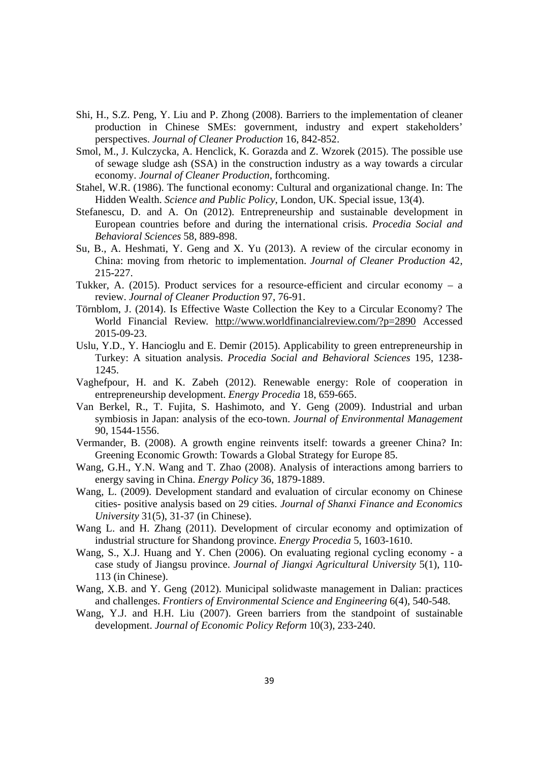- Shi, H., S.Z. Peng, Y. Liu and P. Zhong (2008). Barriers to the implementation of cleaner production in Chinese SMEs: government, industry and expert stakeholders' perspectives. *Journal of Cleaner Production* 16, 842-852.
- Smol, M., J. Kulczycka, A. Henclick, K. Gorazda and Z. Wzorek (2015). The possible use of sewage sludge ash (SSA) in the construction industry as a way towards a circular economy. *Journal of Cleaner Production*, forthcoming.
- Stahel, W.R. (1986). The functional economy: Cultural and organizational change. In: The Hidden Wealth. *Science and Public Policy*, London, UK. Special issue, 13(4).
- Stefanescu, D. and A. On (2012). Entrepreneurship and sustainable development in European countries before and during the international crisis. *Procedia Social and Behavioral Sciences* 58, 889-898.
- Su, B., A. Heshmati, Y. Geng and X. Yu (2013). A review of the circular economy in China: moving from rhetoric to implementation. *Journal of Cleaner Production* 42, 215-227.
- Tukker, A. (2015). Product services for a resource-efficient and circular economy a review. *Journal of Cleaner Production* 97, 76-91.
- Törnblom, J. (2014). Is Effective Waste Collection the Key to a Circular Economy? The World Financial Review. http://www.worldfinancialreview.com/?p=2890 Accessed 2015-09-23.
- Uslu, Y.D., Y. Hancioglu and E. Demir (2015). Applicability to green entrepreneurship in Turkey: A situation analysis. *Procedia Social and Behavioral Sciences* 195, 1238- 1245.
- Vaghefpour, H. and K. Zabeh (2012). Renewable energy: Role of cooperation in entrepreneurship development. *Energy Procedia* 18, 659-665.
- Van Berkel, R., T. Fujita, S. Hashimoto, and Y. Geng (2009). Industrial and urban symbiosis in Japan: analysis of the eco-town. *Journal of Environmental Management* 90, 1544-1556.
- Vermander, B. (2008). A growth engine reinvents itself: towards a greener China? In: Greening Economic Growth: Towards a Global Strategy for Europe 85.
- Wang, G.H., Y.N. Wang and T. Zhao (2008). Analysis of interactions among barriers to energy saving in China. *Energy Policy* 36, 1879-1889.
- Wang, L. (2009). Development standard and evaluation of circular economy on Chinese cities- positive analysis based on 29 cities. *Journal of Shanxi Finance and Economics University* 31(5), 31-37 (in Chinese).
- Wang L. and H. Zhang (2011). Development of circular economy and optimization of industrial structure for Shandong province. *Energy Procedia* 5, 1603-1610.
- Wang, S., X.J. Huang and Y. Chen (2006). On evaluating regional cycling economy a case study of Jiangsu province. *Journal of Jiangxi Agricultural University* 5(1), 110- 113 (in Chinese).
- Wang, X.B. and Y. Geng (2012). Municipal solidwaste management in Dalian: practices and challenges. *Frontiers of Environmental Science and Engineering* 6(4), 540-548.
- Wang, Y.J. and H.H. Liu (2007). Green barriers from the standpoint of sustainable development. *Journal of Economic Policy Reform* 10(3), 233-240.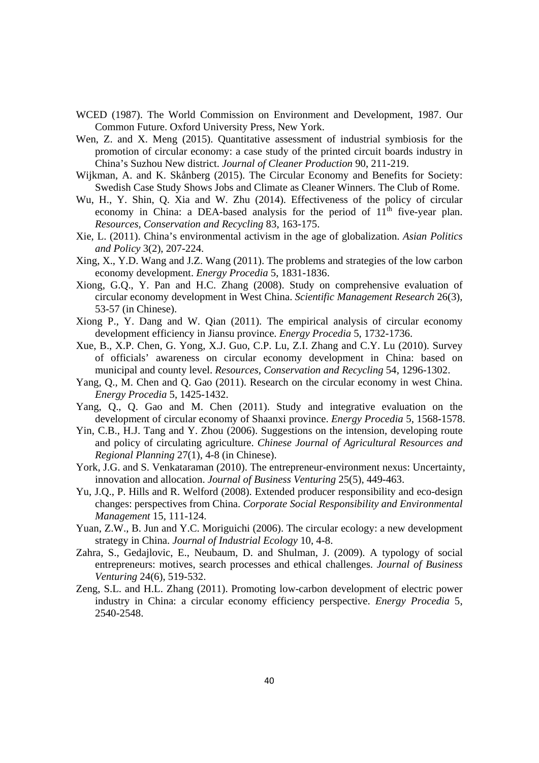- WCED (1987). The World Commission on Environment and Development, 1987. Our Common Future. Oxford University Press, New York.
- Wen, Z. and X. Meng (2015). Quantitative assessment of industrial symbiosis for the promotion of circular economy: a case study of the printed circuit boards industry in China's Suzhou New district. *Journal of Cleaner Production* 90, 211-219.
- Wijkman, A. and K. Skånberg (2015). The Circular Economy and Benefits for Society: Swedish Case Study Shows Jobs and Climate as Cleaner Winners. The Club of Rome.
- Wu, H., Y. Shin, Q. Xia and W. Zhu (2014). Effectiveness of the policy of circular economy in China: a DEA-based analysis for the period of  $11<sup>th</sup>$  five-year plan. *Resources, Conservation and Recycling* 83, 163-175.
- Xie, L. (2011). China's environmental activism in the age of globalization. *Asian Politics and Policy* 3(2), 207-224.
- Xing, X., Y.D. Wang and J.Z. Wang (2011). The problems and strategies of the low carbon economy development. *Energy Procedia* 5, 1831-1836.
- Xiong, G.Q., Y. Pan and H.C. Zhang (2008). Study on comprehensive evaluation of circular economy development in West China. *Scientific Management Research* 26(3), 53-57 (in Chinese).
- Xiong P., Y. Dang and W. Qian (2011). The empirical analysis of circular economy development efficiency in Jiansu province. *Energy Procedia* 5, 1732-1736.
- Xue, B., X.P. Chen, G. Yong, X.J. Guo, C.P. Lu, Z.I. Zhang and C.Y. Lu (2010). Survey of officials' awareness on circular economy development in China: based on municipal and county level. *Resources, Conservation and Recycling* 54, 1296-1302.
- Yang, Q., M. Chen and Q. Gao (2011). Research on the circular economy in west China. *Energy Procedia* 5, 1425-1432.
- Yang, Q., Q. Gao and M. Chen (2011). Study and integrative evaluation on the development of circular economy of Shaanxi province. *Energy Procedia* 5, 1568-1578.
- Yin, C.B., H.J. Tang and Y. Zhou (2006). Suggestions on the intension, developing route and policy of circulating agriculture. *Chinese Journal of Agricultural Resources and Regional Planning* 27(1), 4-8 (in Chinese).
- York, J.G. and S. Venkataraman (2010). The entrepreneur-environment nexus: Uncertainty, innovation and allocation. *Journal of Business Venturing* 25(5), 449-463.
- Yu, J.Q., P. Hills and R. Welford (2008). Extended producer responsibility and eco-design changes: perspectives from China. *Corporate Social Responsibility and Environmental Management* 15, 111-124.
- Yuan, Z.W., B. Jun and Y.C. Moriguichi (2006). The circular ecology: a new development strategy in China. *Journal of Industrial Ecology* 10, 4-8.
- Zahra, S., Gedajlovic, E., Neubaum, D. and Shulman, J. (2009). A typology of social entrepreneurs: motives, search processes and ethical challenges. *Journal of Business Venturing* 24(6), 519-532.
- Zeng, S.L. and H.L. Zhang (2011). Promoting low-carbon development of electric power industry in China: a circular economy efficiency perspective. *Energy Procedia* 5, 2540-2548.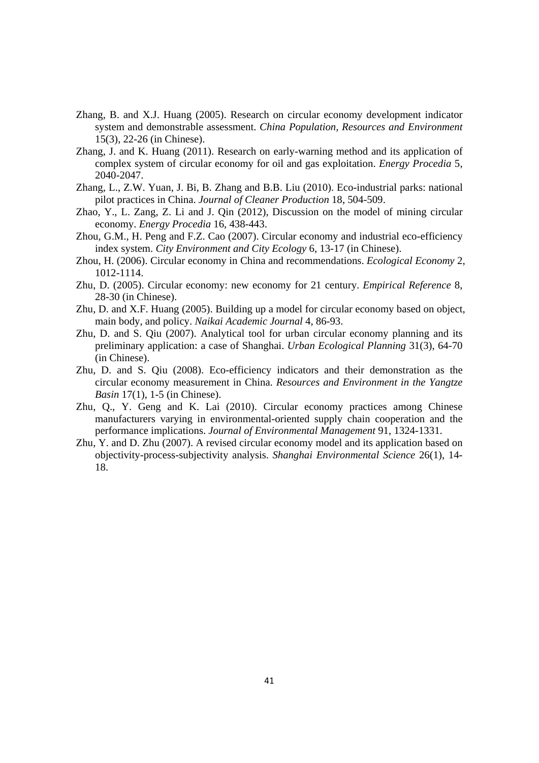- Zhang, B. and X.J. Huang (2005). Research on circular economy development indicator system and demonstrable assessment. *China Population, Resources and Environment* 15(3), 22-26 (in Chinese).
- Zhang, J. and K. Huang (2011). Research on early-warning method and its application of complex system of circular economy for oil and gas exploitation. *Energy Procedia* 5, 2040-2047.
- Zhang, L., Z.W. Yuan, J. Bi, B. Zhang and B.B. Liu (2010). Eco-industrial parks: national pilot practices in China. *Journal of Cleaner Production* 18, 504-509.
- Zhao, Y., L. Zang, Z. Li and J. Qin (2012), Discussion on the model of mining circular economy. *Energy Procedia* 16, 438-443.
- Zhou, G.M., H. Peng and F.Z. Cao (2007). Circular economy and industrial eco-efficiency index system. *City Environment and City Ecology* 6, 13-17 (in Chinese).
- Zhou, H. (2006). Circular economy in China and recommendations. *Ecological Economy* 2, 1012-1114.
- Zhu, D. (2005). Circular economy: new economy for 21 century. *Empirical Reference* 8, 28-30 (in Chinese).
- Zhu, D. and X.F. Huang (2005). Building up a model for circular economy based on object, main body, and policy. *Naikai Academic Journal* 4, 86-93.
- Zhu, D. and S. Qiu (2007). Analytical tool for urban circular economy planning and its preliminary application: a case of Shanghai. *Urban Ecological Planning* 31(3), 64-70 (in Chinese).
- Zhu, D. and S. Qiu (2008). Eco-efficiency indicators and their demonstration as the circular economy measurement in China. *Resources and Environment in the Yangtze Basin* 17(1), 1-5 (in Chinese).
- Zhu, Q., Y. Geng and K. Lai (2010). Circular economy practices among Chinese manufacturers varying in environmental-oriented supply chain cooperation and the performance implications. *Journal of Environmental Management* 91, 1324-1331.
- Zhu, Y. and D. Zhu (2007). A revised circular economy model and its application based on objectivity-process-subjectivity analysis. *Shanghai Environmental Science* 26(1), 14- 18.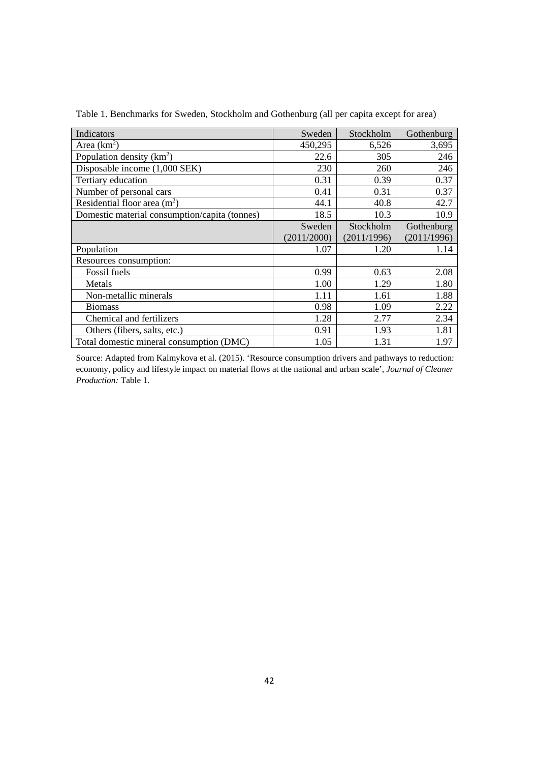| Indicators                                    | Sweden      | Stockholm   | Gothenburg  |
|-----------------------------------------------|-------------|-------------|-------------|
| Area $(km^2)$                                 | 450,295     | 6,526       | 3,695       |
| Population density $(km^2)$                   | 22.6        | 305         | 246         |
| Disposable income (1,000 SEK)                 | 230         | 260         | 246         |
| Tertiary education                            | 0.31        | 0.39        | 0.37        |
| Number of personal cars                       | 0.41        | 0.31        | 0.37        |
| Residential floor area $(m2)$                 | 44.1        | 40.8        | 42.7        |
| Domestic material consumption/capita (tonnes) | 18.5        | 10.3        | 10.9        |
|                                               | Sweden      | Stockholm   | Gothenburg  |
|                                               | (2011/2000) | (2011/1996) | (2011/1996) |
| Population                                    | 1.07        | 1.20        | 1.14        |
| Resources consumption:                        |             |             |             |
| Fossil fuels                                  | 0.99        | 0.63        | 2.08        |
| Metals                                        | 1.00        | 1.29        | 1.80        |
| Non-metallic minerals                         | 1.11        | 1.61        | 1.88        |
| <b>Biomass</b>                                | 0.98        | 1.09        | 2.22        |
| Chemical and fertilizers                      | 1.28        | 2.77        | 2.34        |
| Others (fibers, salts, etc.)                  | 0.91        | 1.93        | 1.81        |
| Total domestic mineral consumption (DMC)      | 1.05        | 1.31        | 1.97        |

Table 1. Benchmarks for Sweden, Stockholm and Gothenburg (all per capita except for area)

Source: Adapted from Kalmykova et al. (2015). 'Resource consumption drivers and pathways to reduction: economy, policy and lifestyle impact on material flows at the national and urban scale', *Journal of Cleaner Production:* Table 1.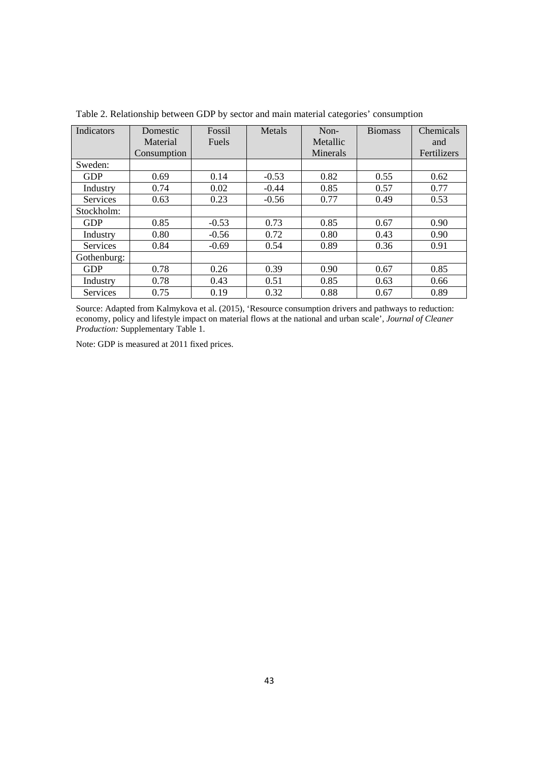| Indicators      | Domestic    | Fossil       | Metals  | Non-     | <b>Biomass</b> | Chemicals   |
|-----------------|-------------|--------------|---------|----------|----------------|-------------|
|                 | Material    | <b>Fuels</b> |         | Metallic |                | and         |
|                 | Consumption |              |         | Minerals |                | Fertilizers |
| Sweden:         |             |              |         |          |                |             |
| <b>GDP</b>      | 0.69        | 0.14         | $-0.53$ | 0.82     | 0.55           | 0.62        |
| Industry        | 0.74        | 0.02         | $-0.44$ | 0.85     | 0.57           | 0.77        |
| Services        | 0.63        | 0.23         | $-0.56$ | 0.77     | 0.49           | 0.53        |
| Stockholm:      |             |              |         |          |                |             |
| <b>GDP</b>      | 0.85        | $-0.53$      | 0.73    | 0.85     | 0.67           | 0.90        |
| Industry        | 0.80        | $-0.56$      | 0.72    | 0.80     | 0.43           | 0.90        |
| Services        | 0.84        | $-0.69$      | 0.54    | 0.89     | 0.36           | 0.91        |
| Gothenburg:     |             |              |         |          |                |             |
| <b>GDP</b>      | 0.78        | 0.26         | 0.39    | 0.90     | 0.67           | 0.85        |
| Industry        | 0.78        | 0.43         | 0.51    | 0.85     | 0.63           | 0.66        |
| <b>Services</b> | 0.75        | 0.19         | 0.32    | 0.88     | 0.67           | 0.89        |

Table 2. Relationship between GDP by sector and main material categories' consumption

Source: Adapted from Kalmykova et al. (2015), 'Resource consumption drivers and pathways to reduction: economy, policy and lifestyle impact on material flows at the national and urban scale', *Journal of Cleaner Production:* Supplementary Table 1.

Note: GDP is measured at 2011 fixed prices.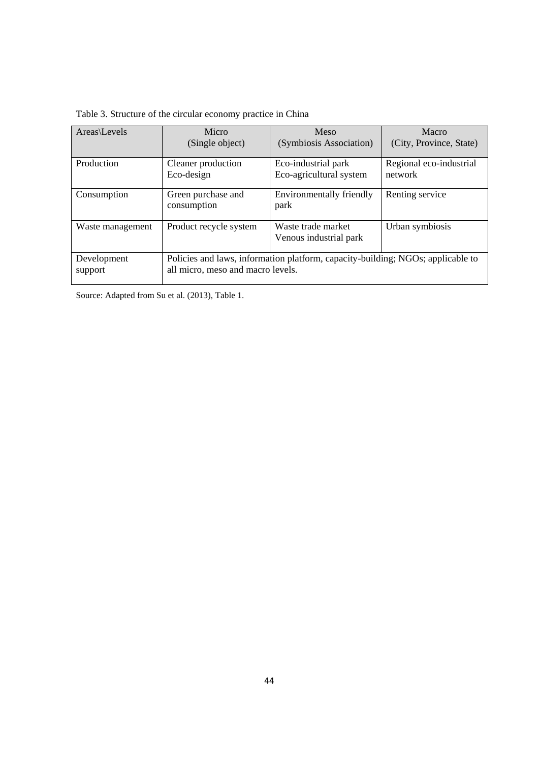| Table 3. Structure of the circular economy practice in China |  |
|--------------------------------------------------------------|--|
|--------------------------------------------------------------|--|

| Areas\Levels           | Micro                             | Meso                                                                            | Macro                   |
|------------------------|-----------------------------------|---------------------------------------------------------------------------------|-------------------------|
|                        | (Single object)                   | (Symbiosis Association)                                                         | (City, Province, State) |
| Production             | Cleaner production                | Eco-industrial park                                                             | Regional eco-industrial |
|                        | Eco-design                        | Eco-agricultural system                                                         | network                 |
| Consumption            | Green purchase and<br>consumption | Environmentally friendly<br>park                                                | Renting service         |
| Waste management       | Product recycle system            | Waste trade market<br>Venous industrial park                                    | Urban symbiosis         |
| Development<br>support | all micro, meso and macro levels. | Policies and laws, information platform, capacity-building; NGOs; applicable to |                         |

Source: Adapted from Su et al. (2013), Table 1.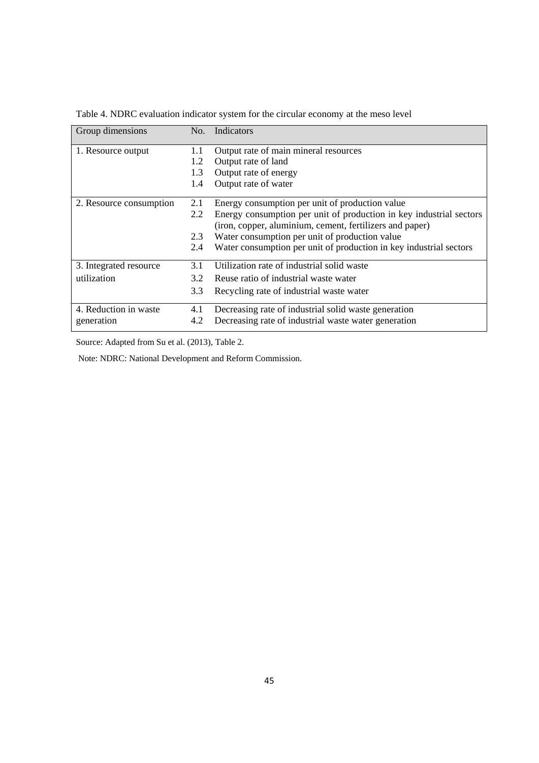| Group dimensions        | No. | Indicators                                                          |
|-------------------------|-----|---------------------------------------------------------------------|
| 1. Resource output      | 1.1 | Output rate of main mineral resources                               |
|                         | 1.2 | Output rate of land                                                 |
|                         | 1.3 | Output rate of energy                                               |
|                         | 1.4 | Output rate of water                                                |
| 2. Resource consumption | 2.1 | Energy consumption per unit of production value                     |
|                         | 2.2 | Energy consumption per unit of production in key industrial sectors |
|                         |     | (iron, copper, aluminium, cement, fertilizers and paper)            |
|                         | 2.3 | Water consumption per unit of production value                      |
|                         | 2.4 | Water consumption per unit of production in key industrial sectors  |
| 3. Integrated resource  | 3.1 | Utilization rate of industrial solid waste                          |
| utilization             | 3.2 | Reuse ratio of industrial waste water                               |
|                         | 3.3 | Recycling rate of industrial waste water                            |
| 4. Reduction in waste   | 4.1 | Decreasing rate of industrial solid waste generation                |
| generation              | 4.2 | Decreasing rate of industrial waste water generation                |

Table 4. NDRC evaluation indicator system for the circular economy at the meso level

Source: Adapted from Su et al. (2013), Table 2.

Note: NDRC: National Development and Reform Commission.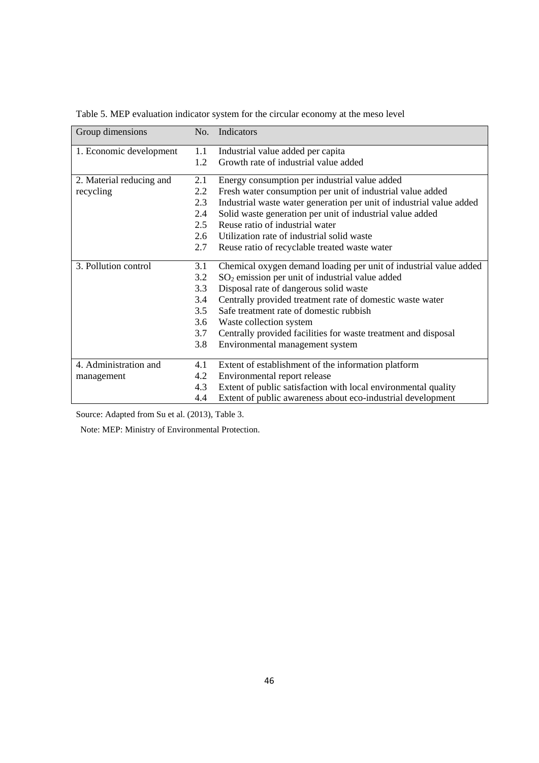| Group dimensions         | No.           | Indicators                                                           |
|--------------------------|---------------|----------------------------------------------------------------------|
| 1. Economic development  | 1.1           | Industrial value added per capita                                    |
|                          | 1.2           | Growth rate of industrial value added                                |
| 2. Material reducing and | 2.1           | Energy consumption per industrial value added                        |
| recycling                | 2.2           | Fresh water consumption per unit of industrial value added           |
|                          | 2.3           | Industrial waste water generation per unit of industrial value added |
|                          | 2.4           | Solid waste generation per unit of industrial value added            |
|                          | $2.5^{\circ}$ | Reuse ratio of industrial water                                      |
|                          | 2.6           | Utilization rate of industrial solid waste                           |
|                          | 2.7           | Reuse ratio of recyclable treated waste water                        |
| 3. Pollution control     | 3.1           | Chemical oxygen demand loading per unit of industrial value added    |
|                          | 3.2           | $SO2$ emission per unit of industrial value added                    |
|                          | 3.3           | Disposal rate of dangerous solid waste                               |
|                          | 3.4           | Centrally provided treatment rate of domestic waste water            |
|                          | 3.5           | Safe treatment rate of domestic rubbish                              |
|                          | 3.6           | Waste collection system                                              |
|                          | 3.7           | Centrally provided facilities for waste treatment and disposal       |
|                          | 3.8           | Environmental management system                                      |
| 4. Administration and    | 4.1           | Extent of establishment of the information platform                  |
| management               | 4.2           | Environmental report release                                         |
|                          | 4.3           | Extent of public satisfaction with local environmental quality       |
|                          | 4.4           | Extent of public awareness about eco-industrial development          |

Table 5. MEP evaluation indicator system for the circular economy at the meso level

Source: Adapted from Su et al. (2013), Table 3.

Note: MEP: Ministry of Environmental Protection.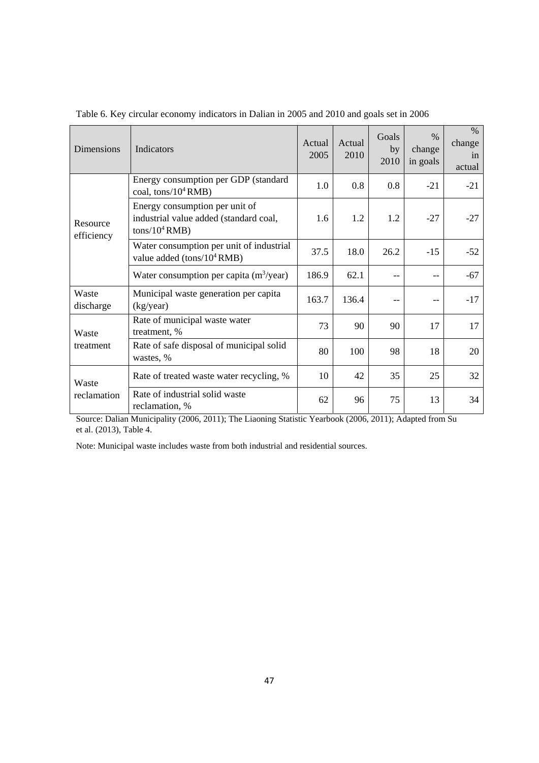| <b>Dimensions</b>      | Indicators                                                                                   | Actual<br>2005 | Actual<br>2010 | Goals<br>by<br>2010 | $\frac{0}{0}$<br>change<br>in goals | $\%$<br>change<br>in<br>actual |
|------------------------|----------------------------------------------------------------------------------------------|----------------|----------------|---------------------|-------------------------------------|--------------------------------|
|                        | Energy consumption per GDP (standard<br>coal, $\cos/10^4$ RMB)                               | 1.0            | 0.8            | 0.8                 | $-21$                               | $-21$                          |
| Resource<br>efficiency | Energy consumption per unit of<br>industrial value added (standard coal,<br>$tons/10^4 RMB)$ | 1.6            | 1.2            | 1.2                 | $-27$                               | $-27$                          |
|                        | Water consumption per unit of industrial<br>value added (tons/10 <sup>4</sup> RMB)           | 37.5           | 18.0           | 26.2                | $-15$                               | $-52$                          |
|                        | Water consumption per capita $(m^3$ /year)                                                   | 186.9          | 62.1           |                     | $-$                                 | -67                            |
| Waste<br>discharge     | Municipal waste generation per capita<br>(kg/year)                                           | 163.7          | 136.4          |                     |                                     | $-17$                          |
| Waste                  | Rate of municipal waste water<br>treatment, %                                                | 73             | 90             | 90                  | 17                                  | 17                             |
| treatment              | Rate of safe disposal of municipal solid<br>wastes, %                                        | 80             | 100            | 98                  | 18                                  | 20                             |
| Waste                  | Rate of treated waste water recycling, %                                                     | 10             | 42             | 35                  | 25                                  | 32                             |
| reclamation            | Rate of industrial solid waste<br>reclamation, %                                             | 62             | 96             | 75                  | 13                                  | 34                             |

Table 6. Key circular economy indicators in Dalian in 2005 and 2010 and goals set in 2006

Source: Dalian Municipality (2006, 2011); The Liaoning Statistic Yearbook (2006, 2011); Adapted from Su et al. (2013), Table 4.

Note: Municipal waste includes waste from both industrial and residential sources.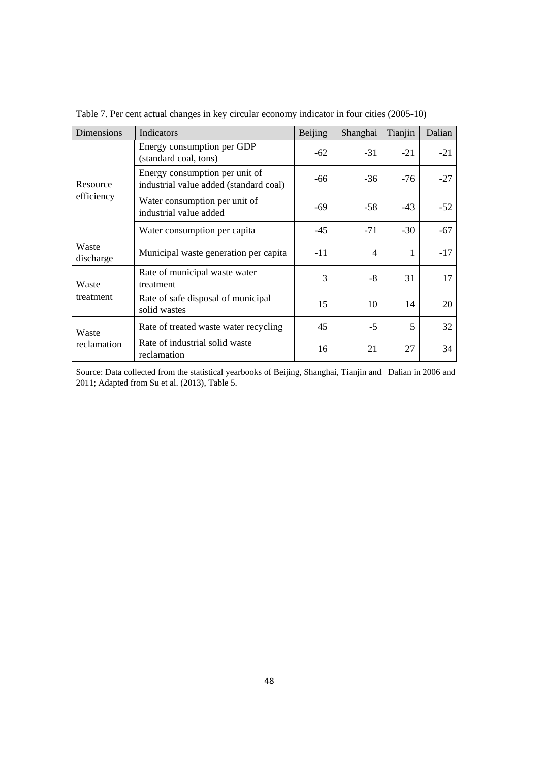| Dimensions         | Indicators                                                               | Beijing | Shanghai       | Tianjin | Dalian |
|--------------------|--------------------------------------------------------------------------|---------|----------------|---------|--------|
|                    | Energy consumption per GDP<br>(standard coal, tons)                      | $-62$   | $-31$          | $-21$   | $-21$  |
| Resource           | Energy consumption per unit of<br>industrial value added (standard coal) | -66     | $-36$          | $-76$   | $-27$  |
| efficiency         | Water consumption per unit of<br>industrial value added                  | -69     | $-58$          | $-43$   | $-52$  |
|                    | Water consumption per capita                                             | $-45$   | $-71$          | $-30$   | -67    |
| Waste<br>discharge | Municipal waste generation per capita                                    | $-11$   | $\overline{4}$ | 1       | $-17$  |
| Waste              | Rate of municipal waste water<br>treatment                               | 3       | -8             | 31      | 17     |
| treatment          | Rate of safe disposal of municipal<br>solid wastes                       | 15      | 10             | 14      | 20     |
| Waste              | Rate of treated waste water recycling                                    | 45      | $-5$           | 5       | 32     |
| reclamation        | Rate of industrial solid waste<br>reclamation                            | 16      | 21             | 27      | 34     |

Table 7. Per cent actual changes in key circular economy indicator in four cities (2005-10)

Source: Data collected from the statistical yearbooks of Beijing, Shanghai, Tianjin and Dalian in 2006 and 2011; Adapted from Su et al. (2013), Table 5.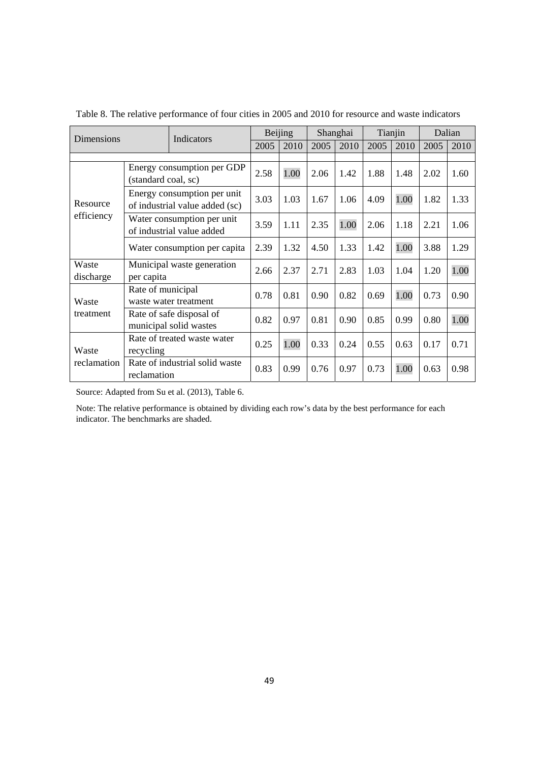| Dimensions         |                     | Indicators                                                    |      | Beijing |      | Shanghai |      | Tianjin | Dalian |      |
|--------------------|---------------------|---------------------------------------------------------------|------|---------|------|----------|------|---------|--------|------|
|                    |                     |                                                               | 2005 | 2010    | 2005 | 2010     | 2005 | 2010    | 2005   | 2010 |
|                    |                     |                                                               |      |         |      |          |      |         |        |      |
|                    | (standard coal, sc) | Energy consumption per GDP                                    | 2.58 | 1.00    | 2.06 | 1.42     | 1.88 | 1.48    | 2.02   | 1.60 |
| Resource           |                     | Energy consumption per unit<br>of industrial value added (sc) | 3.03 | 1.03    | 1.67 | 1.06     | 4.09 | 1.00    | 1.82   | 1.33 |
| efficiency         |                     | Water consumption per unit<br>of industrial value added       | 3.59 | 1.11    | 2.35 | 1.00     | 2.06 | 1.18    | 2.21   | 1.06 |
|                    |                     | Water consumption per capita                                  | 2.39 | 1.32    | 4.50 | 1.33     | 1.42 | 1.00    | 3.88   | 1.29 |
| Waste<br>discharge | per capita          | Municipal waste generation                                    | 2.66 | 2.37    | 2.71 | 2.83     | 1.03 | 1.04    | 1.20   | 1.00 |
| Waste              | Rate of municipal   | waste water treatment                                         | 0.78 | 0.81    | 0.90 | 0.82     | 0.69 | 1.00    | 0.73   | 0.90 |
| treatment          |                     | Rate of safe disposal of<br>municipal solid wastes            | 0.82 | 0.97    | 0.81 | 0.90     | 0.85 | 0.99    | 0.80   | 1.00 |
| Waste              | recycling           | Rate of treated waste water                                   | 0.25 | 1.00    | 0.33 | 0.24     | 0.55 | 0.63    | 0.17   | 0.71 |
| reclamation        | reclamation         | Rate of industrial solid waste                                | 0.83 | 0.99    | 0.76 | 0.97     | 0.73 | 1.00    | 0.63   | 0.98 |

Table 8. The relative performance of four cities in 2005 and 2010 for resource and waste indicators

Source: Adapted from Su et al. (2013), Table 6.

Note: The relative performance is obtained by dividing each row's data by the best performance for each indicator. The benchmarks are shaded.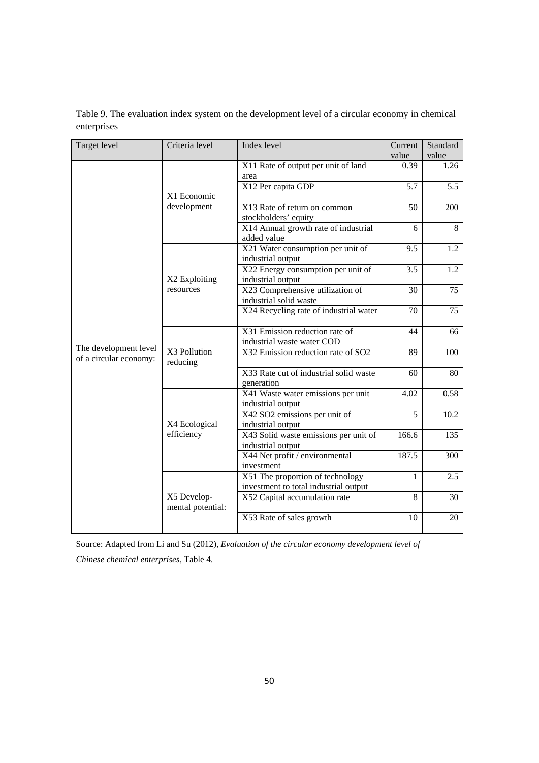| Target level                                    | Criteria level                   | Index level                                                  | Current | Standard |
|-------------------------------------------------|----------------------------------|--------------------------------------------------------------|---------|----------|
|                                                 |                                  |                                                              | value   | value    |
|                                                 |                                  | X11 Rate of output per unit of land                          | 0.39    | 1.26     |
|                                                 |                                  | area                                                         |         |          |
|                                                 |                                  | X12 Per capita GDP                                           | 5.7     | 5.5      |
|                                                 | X1 Economic                      |                                                              |         |          |
|                                                 | development                      | $\overline{X13}$ Rate of return on common                    | 50      | 200      |
|                                                 |                                  | stockholders' equity<br>X14 Annual growth rate of industrial | 6       | 8        |
|                                                 |                                  | added value                                                  |         |          |
|                                                 |                                  | X21 Water consumption per unit of                            | 9.5     | 1.2      |
|                                                 |                                  | industrial output                                            |         |          |
|                                                 |                                  | X22 Energy consumption per unit of                           | 3.5     | 1.2      |
|                                                 | X2 Exploiting                    | industrial output                                            |         |          |
|                                                 | resources                        | X23 Comprehensive utilization of                             | 30      | 75       |
|                                                 |                                  | industrial solid waste                                       |         |          |
|                                                 |                                  | X24 Recycling rate of industrial water                       | 70      | 75       |
|                                                 |                                  | X31 Emission reduction rate of                               | 44      | 66       |
|                                                 |                                  | industrial waste water COD                                   |         |          |
| The development level<br>of a circular economy: | X3 Pollution<br>reducing         | X32 Emission reduction rate of SO2                           | 89      | 100      |
|                                                 |                                  | X33 Rate cut of industrial solid waste                       | 60      | 80       |
|                                                 |                                  | generation                                                   |         |          |
|                                                 |                                  | X41 Waste water emissions per unit                           | 4.02    | 0.58     |
|                                                 |                                  | industrial output                                            | 5       | 10.2     |
|                                                 | X4 Ecological                    | X42 SO2 emissions per unit of<br>industrial output           |         |          |
|                                                 | efficiency                       | X43 Solid waste emissions per unit of                        | 166.6   | 135      |
|                                                 |                                  | industrial output                                            |         |          |
|                                                 |                                  | X44 Net profit / environmental                               | 187.5   | 300      |
|                                                 |                                  | investment                                                   |         |          |
|                                                 |                                  | X51 The proportion of technology                             | 1       | 2.5      |
|                                                 |                                  | investment to total industrial output                        |         |          |
|                                                 | X5 Develop-<br>mental potential: | X52 Capital accumulation rate                                | 8       | 30       |
|                                                 |                                  | X53 Rate of sales growth                                     | 10      | 20       |

Table 9. The evaluation index system on the development level of a circular economy in chemical enterprises

Source: Adapted from Li and Su (2012), *Evaluation of the circular economy development level of* 

*Chinese chemical enterprises,* Table 4.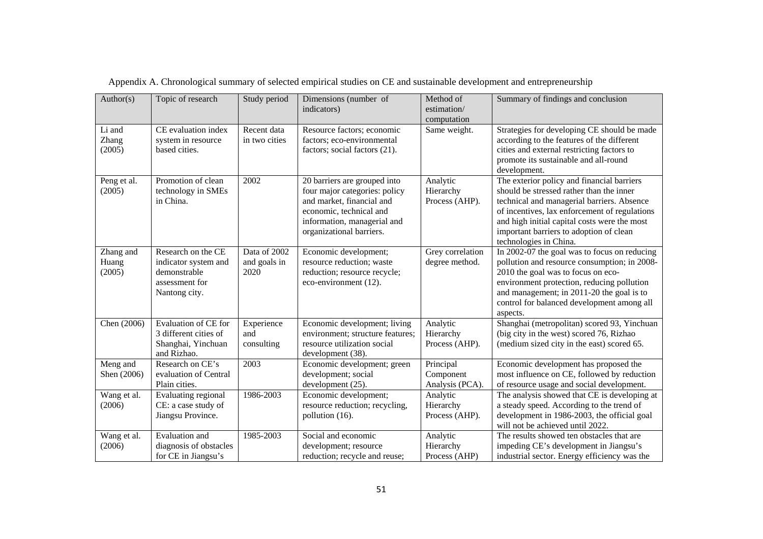| Author(s)                    | Topic of research                                                                             | Study period                         | Dimensions (number of<br>indicators)                                                                                                                                             | Method of<br>estimation/<br>computation   | Summary of findings and conclusion                                                                                                                                                                                                                                                                         |
|------------------------------|-----------------------------------------------------------------------------------------------|--------------------------------------|----------------------------------------------------------------------------------------------------------------------------------------------------------------------------------|-------------------------------------------|------------------------------------------------------------------------------------------------------------------------------------------------------------------------------------------------------------------------------------------------------------------------------------------------------------|
| Li and<br>Zhang<br>(2005)    | CE evaluation index<br>system in resource<br>based cities.                                    | Recent data<br>in two cities         | Resource factors; economic<br>factors; eco-environmental<br>factors; social factors (21).                                                                                        | Same weight.                              | Strategies for developing CE should be made<br>according to the features of the different<br>cities and external restricting factors to<br>promote its sustainable and all-round<br>development.                                                                                                           |
| Peng et al.<br>(2005)        | Promotion of clean<br>technology in SMEs<br>in China.                                         | 2002                                 | 20 barriers are grouped into<br>four major categories: policy<br>and market, financial and<br>economic, technical and<br>information, managerial and<br>organizational barriers. | Analytic<br>Hierarchy<br>Process (AHP).   | The exterior policy and financial barriers<br>should be stressed rather than the inner<br>technical and managerial barriers. Absence<br>of incentives, lax enforcement of regulations<br>and high initial capital costs were the most<br>important barriers to adoption of clean<br>technologies in China. |
| Zhang and<br>Huang<br>(2005) | Research on the CE<br>indicator system and<br>demonstrable<br>assessment for<br>Nantong city. | Data of 2002<br>and goals in<br>2020 | Economic development;<br>resource reduction; waste<br>reduction; resource recycle;<br>eco-environment (12).                                                                      | Grey correlation<br>degree method.        | In 2002-07 the goal was to focus on reducing<br>pollution and resource consumption; in 2008-<br>2010 the goal was to focus on eco-<br>environment protection, reducing pollution<br>and management; in 2011-20 the goal is to<br>control for balanced development among all<br>aspects.                    |
| Chen (2006)                  | Evaluation of CE for<br>3 different cities of<br>Shanghai, Yinchuan<br>and Rizhao.            | Experience<br>and<br>consulting      | Economic development; living<br>environment; structure features;<br>resource utilization social<br>development (38).                                                             | Analytic<br>Hierarchy<br>Process (AHP).   | Shanghai (metropolitan) scored 93, Yinchuan<br>(big city in the west) scored 76, Rizhao<br>(medium sized city in the east) scored 65.                                                                                                                                                                      |
| Meng and<br>Shen (2006)      | Research on CE's<br>evaluation of Central<br>Plain cities.                                    | 2003                                 | Economic development; green<br>development; social<br>development (25).                                                                                                          | Principal<br>Component<br>Analysis (PCA). | Economic development has proposed the<br>most influence on CE, followed by reduction<br>of resource usage and social development.                                                                                                                                                                          |
| Wang et al.<br>(2006)        | Evaluating regional<br>CE: a case study of<br>Jiangsu Province.                               | 1986-2003                            | Economic development;<br>resource reduction; recycling,<br>pollution (16).                                                                                                       | Analytic<br>Hierarchy<br>Process (AHP).   | The analysis showed that CE is developing at<br>a steady speed. According to the trend of<br>development in 1986-2003, the official goal<br>will not be achieved until 2022.                                                                                                                               |
| Wang et al.<br>(2006)        | <b>Evaluation</b> and<br>diagnosis of obstacles<br>for CE in Jiangsu's                        | 1985-2003                            | Social and economic<br>development; resource<br>reduction; recycle and reuse;                                                                                                    | Analytic<br>Hierarchy<br>Process (AHP)    | The results showed ten obstacles that are<br>impeding CE's development in Jiangsu's<br>industrial sector. Energy efficiency was the                                                                                                                                                                        |

Appendix A. Chronological summary of selected empirical studies on CE and sustainable development and entrepreneurship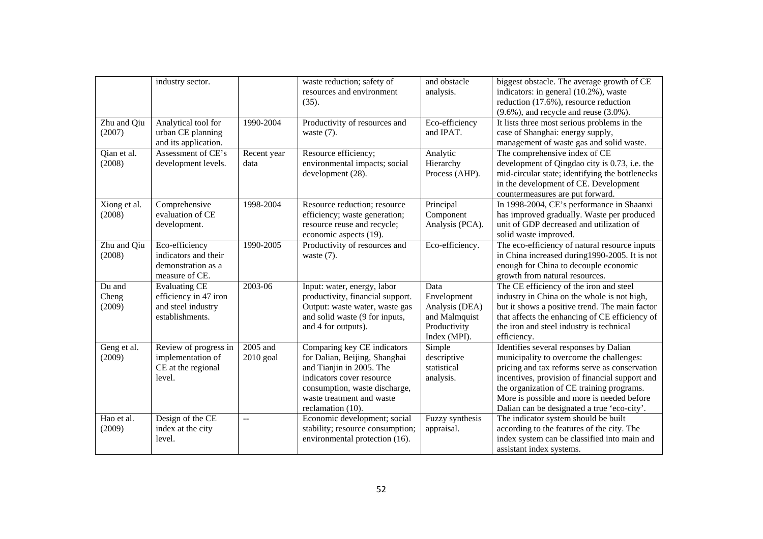| industry sector.<br>and obstacle<br>biggest obstacle. The average growth of CE<br>waste reduction; safety of<br>resources and environment<br>analysis.<br>indicators: in general (10.2%), waste<br>reduction (17.6%), resource reduction<br>(35).<br>$(9.6\%)$ , and recycle and reuse $(3.0\%)$ .<br>Zhu and Qiu<br>Eco-efficiency<br>Analytical tool for<br>1990-2004<br>Productivity of resources and<br>It lists three most serious problems in the<br>(2007)<br>urban CE planning<br>and IPAT.<br>case of Shanghai: energy supply,<br>waste $(7)$ .<br>and its application.<br>management of waste gas and solid waste.<br>The comprehensive index of CE<br>Assessment of CE's<br>Resource efficiency;<br>Analytic<br>Qian et al.<br>Recent year<br>(2008)<br>environmental impacts; social<br>development levels.<br>Hierarchy<br>development of Qingdao city is 0.73, i.e. the<br>data<br>development (28).<br>Process (AHP).<br>mid-circular state; identifying the bottlenecks<br>in the development of CE. Development<br>countermeasures are put forward.<br>In 1998-2004, CE's performance in Shaanxi<br>Comprehensive<br>1998-2004<br>Xiong et al.<br>Resource reduction; resource<br>Principal<br>(2008)<br>evaluation of CE<br>efficiency; waste generation;<br>Component<br>has improved gradually. Waste per produced<br>unit of GDP decreased and utilization of<br>resource reuse and recycle;<br>Analysis (PCA).<br>development.<br>economic aspects (19).<br>solid waste improved.<br>Eco-efficiency<br>1990-2005<br>Eco-efficiency.<br>The eco-efficiency of natural resource inputs<br>Zhu and Qiu<br>Productivity of resources and<br>indicators and their<br>in China increased during 1990-2005. It is not<br>(2008)<br>waste $(7)$ .<br>enough for China to decouple economic<br>demonstration as a<br>growth from natural resources.<br>measure of CE.<br>2003-06<br>Du and<br><b>Evaluating CE</b><br>Input: water, energy, labor<br>The CE efficiency of the iron and steel<br>Data<br>productivity, financial support.<br>industry in China on the whole is not high,<br>Cheng<br>efficiency in 47 iron<br>Envelopment<br>and steel industry<br>Output: waste water, waste gas<br>but it shows a positive trend. The main factor<br>(2009)<br>Analysis (DEA)<br>establishments.<br>that affects the enhancing of CE efficiency of<br>and solid waste (9 for inputs,<br>and Malmquist |
|---------------------------------------------------------------------------------------------------------------------------------------------------------------------------------------------------------------------------------------------------------------------------------------------------------------------------------------------------------------------------------------------------------------------------------------------------------------------------------------------------------------------------------------------------------------------------------------------------------------------------------------------------------------------------------------------------------------------------------------------------------------------------------------------------------------------------------------------------------------------------------------------------------------------------------------------------------------------------------------------------------------------------------------------------------------------------------------------------------------------------------------------------------------------------------------------------------------------------------------------------------------------------------------------------------------------------------------------------------------------------------------------------------------------------------------------------------------------------------------------------------------------------------------------------------------------------------------------------------------------------------------------------------------------------------------------------------------------------------------------------------------------------------------------------------------------------------------------------------------------------------------------------------------------------------------------------------------------------------------------------------------------------------------------------------------------------------------------------------------------------------------------------------------------------------------------------------------------------------------------------------------------------------------------------------------------------------------------------------------------------------------------------------------------|
|                                                                                                                                                                                                                                                                                                                                                                                                                                                                                                                                                                                                                                                                                                                                                                                                                                                                                                                                                                                                                                                                                                                                                                                                                                                                                                                                                                                                                                                                                                                                                                                                                                                                                                                                                                                                                                                                                                                                                                                                                                                                                                                                                                                                                                                                                                                                                                                                                     |
|                                                                                                                                                                                                                                                                                                                                                                                                                                                                                                                                                                                                                                                                                                                                                                                                                                                                                                                                                                                                                                                                                                                                                                                                                                                                                                                                                                                                                                                                                                                                                                                                                                                                                                                                                                                                                                                                                                                                                                                                                                                                                                                                                                                                                                                                                                                                                                                                                     |
|                                                                                                                                                                                                                                                                                                                                                                                                                                                                                                                                                                                                                                                                                                                                                                                                                                                                                                                                                                                                                                                                                                                                                                                                                                                                                                                                                                                                                                                                                                                                                                                                                                                                                                                                                                                                                                                                                                                                                                                                                                                                                                                                                                                                                                                                                                                                                                                                                     |
|                                                                                                                                                                                                                                                                                                                                                                                                                                                                                                                                                                                                                                                                                                                                                                                                                                                                                                                                                                                                                                                                                                                                                                                                                                                                                                                                                                                                                                                                                                                                                                                                                                                                                                                                                                                                                                                                                                                                                                                                                                                                                                                                                                                                                                                                                                                                                                                                                     |
|                                                                                                                                                                                                                                                                                                                                                                                                                                                                                                                                                                                                                                                                                                                                                                                                                                                                                                                                                                                                                                                                                                                                                                                                                                                                                                                                                                                                                                                                                                                                                                                                                                                                                                                                                                                                                                                                                                                                                                                                                                                                                                                                                                                                                                                                                                                                                                                                                     |
|                                                                                                                                                                                                                                                                                                                                                                                                                                                                                                                                                                                                                                                                                                                                                                                                                                                                                                                                                                                                                                                                                                                                                                                                                                                                                                                                                                                                                                                                                                                                                                                                                                                                                                                                                                                                                                                                                                                                                                                                                                                                                                                                                                                                                                                                                                                                                                                                                     |
|                                                                                                                                                                                                                                                                                                                                                                                                                                                                                                                                                                                                                                                                                                                                                                                                                                                                                                                                                                                                                                                                                                                                                                                                                                                                                                                                                                                                                                                                                                                                                                                                                                                                                                                                                                                                                                                                                                                                                                                                                                                                                                                                                                                                                                                                                                                                                                                                                     |
|                                                                                                                                                                                                                                                                                                                                                                                                                                                                                                                                                                                                                                                                                                                                                                                                                                                                                                                                                                                                                                                                                                                                                                                                                                                                                                                                                                                                                                                                                                                                                                                                                                                                                                                                                                                                                                                                                                                                                                                                                                                                                                                                                                                                                                                                                                                                                                                                                     |
|                                                                                                                                                                                                                                                                                                                                                                                                                                                                                                                                                                                                                                                                                                                                                                                                                                                                                                                                                                                                                                                                                                                                                                                                                                                                                                                                                                                                                                                                                                                                                                                                                                                                                                                                                                                                                                                                                                                                                                                                                                                                                                                                                                                                                                                                                                                                                                                                                     |
|                                                                                                                                                                                                                                                                                                                                                                                                                                                                                                                                                                                                                                                                                                                                                                                                                                                                                                                                                                                                                                                                                                                                                                                                                                                                                                                                                                                                                                                                                                                                                                                                                                                                                                                                                                                                                                                                                                                                                                                                                                                                                                                                                                                                                                                                                                                                                                                                                     |
|                                                                                                                                                                                                                                                                                                                                                                                                                                                                                                                                                                                                                                                                                                                                                                                                                                                                                                                                                                                                                                                                                                                                                                                                                                                                                                                                                                                                                                                                                                                                                                                                                                                                                                                                                                                                                                                                                                                                                                                                                                                                                                                                                                                                                                                                                                                                                                                                                     |
|                                                                                                                                                                                                                                                                                                                                                                                                                                                                                                                                                                                                                                                                                                                                                                                                                                                                                                                                                                                                                                                                                                                                                                                                                                                                                                                                                                                                                                                                                                                                                                                                                                                                                                                                                                                                                                                                                                                                                                                                                                                                                                                                                                                                                                                                                                                                                                                                                     |
|                                                                                                                                                                                                                                                                                                                                                                                                                                                                                                                                                                                                                                                                                                                                                                                                                                                                                                                                                                                                                                                                                                                                                                                                                                                                                                                                                                                                                                                                                                                                                                                                                                                                                                                                                                                                                                                                                                                                                                                                                                                                                                                                                                                                                                                                                                                                                                                                                     |
|                                                                                                                                                                                                                                                                                                                                                                                                                                                                                                                                                                                                                                                                                                                                                                                                                                                                                                                                                                                                                                                                                                                                                                                                                                                                                                                                                                                                                                                                                                                                                                                                                                                                                                                                                                                                                                                                                                                                                                                                                                                                                                                                                                                                                                                                                                                                                                                                                     |
|                                                                                                                                                                                                                                                                                                                                                                                                                                                                                                                                                                                                                                                                                                                                                                                                                                                                                                                                                                                                                                                                                                                                                                                                                                                                                                                                                                                                                                                                                                                                                                                                                                                                                                                                                                                                                                                                                                                                                                                                                                                                                                                                                                                                                                                                                                                                                                                                                     |
|                                                                                                                                                                                                                                                                                                                                                                                                                                                                                                                                                                                                                                                                                                                                                                                                                                                                                                                                                                                                                                                                                                                                                                                                                                                                                                                                                                                                                                                                                                                                                                                                                                                                                                                                                                                                                                                                                                                                                                                                                                                                                                                                                                                                                                                                                                                                                                                                                     |
|                                                                                                                                                                                                                                                                                                                                                                                                                                                                                                                                                                                                                                                                                                                                                                                                                                                                                                                                                                                                                                                                                                                                                                                                                                                                                                                                                                                                                                                                                                                                                                                                                                                                                                                                                                                                                                                                                                                                                                                                                                                                                                                                                                                                                                                                                                                                                                                                                     |
|                                                                                                                                                                                                                                                                                                                                                                                                                                                                                                                                                                                                                                                                                                                                                                                                                                                                                                                                                                                                                                                                                                                                                                                                                                                                                                                                                                                                                                                                                                                                                                                                                                                                                                                                                                                                                                                                                                                                                                                                                                                                                                                                                                                                                                                                                                                                                                                                                     |
|                                                                                                                                                                                                                                                                                                                                                                                                                                                                                                                                                                                                                                                                                                                                                                                                                                                                                                                                                                                                                                                                                                                                                                                                                                                                                                                                                                                                                                                                                                                                                                                                                                                                                                                                                                                                                                                                                                                                                                                                                                                                                                                                                                                                                                                                                                                                                                                                                     |
|                                                                                                                                                                                                                                                                                                                                                                                                                                                                                                                                                                                                                                                                                                                                                                                                                                                                                                                                                                                                                                                                                                                                                                                                                                                                                                                                                                                                                                                                                                                                                                                                                                                                                                                                                                                                                                                                                                                                                                                                                                                                                                                                                                                                                                                                                                                                                                                                                     |
|                                                                                                                                                                                                                                                                                                                                                                                                                                                                                                                                                                                                                                                                                                                                                                                                                                                                                                                                                                                                                                                                                                                                                                                                                                                                                                                                                                                                                                                                                                                                                                                                                                                                                                                                                                                                                                                                                                                                                                                                                                                                                                                                                                                                                                                                                                                                                                                                                     |
|                                                                                                                                                                                                                                                                                                                                                                                                                                                                                                                                                                                                                                                                                                                                                                                                                                                                                                                                                                                                                                                                                                                                                                                                                                                                                                                                                                                                                                                                                                                                                                                                                                                                                                                                                                                                                                                                                                                                                                                                                                                                                                                                                                                                                                                                                                                                                                                                                     |
|                                                                                                                                                                                                                                                                                                                                                                                                                                                                                                                                                                                                                                                                                                                                                                                                                                                                                                                                                                                                                                                                                                                                                                                                                                                                                                                                                                                                                                                                                                                                                                                                                                                                                                                                                                                                                                                                                                                                                                                                                                                                                                                                                                                                                                                                                                                                                                                                                     |
|                                                                                                                                                                                                                                                                                                                                                                                                                                                                                                                                                                                                                                                                                                                                                                                                                                                                                                                                                                                                                                                                                                                                                                                                                                                                                                                                                                                                                                                                                                                                                                                                                                                                                                                                                                                                                                                                                                                                                                                                                                                                                                                                                                                                                                                                                                                                                                                                                     |
| Productivity<br>the iron and steel industry is technical<br>and 4 for outputs).                                                                                                                                                                                                                                                                                                                                                                                                                                                                                                                                                                                                                                                                                                                                                                                                                                                                                                                                                                                                                                                                                                                                                                                                                                                                                                                                                                                                                                                                                                                                                                                                                                                                                                                                                                                                                                                                                                                                                                                                                                                                                                                                                                                                                                                                                                                                     |
| Index (MPI).<br>efficiency.                                                                                                                                                                                                                                                                                                                                                                                                                                                                                                                                                                                                                                                                                                                                                                                                                                                                                                                                                                                                                                                                                                                                                                                                                                                                                                                                                                                                                                                                                                                                                                                                                                                                                                                                                                                                                                                                                                                                                                                                                                                                                                                                                                                                                                                                                                                                                                                         |
| Comparing key CE indicators<br>Review of progress in<br>2005 and<br>Identifies several responses by Dalian<br>Geng et al.<br>Simple                                                                                                                                                                                                                                                                                                                                                                                                                                                                                                                                                                                                                                                                                                                                                                                                                                                                                                                                                                                                                                                                                                                                                                                                                                                                                                                                                                                                                                                                                                                                                                                                                                                                                                                                                                                                                                                                                                                                                                                                                                                                                                                                                                                                                                                                                 |
| for Dalian, Beijing, Shanghai<br>municipality to overcome the challenges:<br>(2009)<br>implementation of<br>$2010$ goal<br>descriptive                                                                                                                                                                                                                                                                                                                                                                                                                                                                                                                                                                                                                                                                                                                                                                                                                                                                                                                                                                                                                                                                                                                                                                                                                                                                                                                                                                                                                                                                                                                                                                                                                                                                                                                                                                                                                                                                                                                                                                                                                                                                                                                                                                                                                                                                              |
| and Tianjin in 2005. The<br>pricing and tax reforms serve as conservation<br>CE at the regional<br>statistical                                                                                                                                                                                                                                                                                                                                                                                                                                                                                                                                                                                                                                                                                                                                                                                                                                                                                                                                                                                                                                                                                                                                                                                                                                                                                                                                                                                                                                                                                                                                                                                                                                                                                                                                                                                                                                                                                                                                                                                                                                                                                                                                                                                                                                                                                                      |
| indicators cover resource<br>incentives, provision of financial support and<br>level.<br>analysis.                                                                                                                                                                                                                                                                                                                                                                                                                                                                                                                                                                                                                                                                                                                                                                                                                                                                                                                                                                                                                                                                                                                                                                                                                                                                                                                                                                                                                                                                                                                                                                                                                                                                                                                                                                                                                                                                                                                                                                                                                                                                                                                                                                                                                                                                                                                  |
| the organization of CE training programs.<br>consumption, waste discharge,                                                                                                                                                                                                                                                                                                                                                                                                                                                                                                                                                                                                                                                                                                                                                                                                                                                                                                                                                                                                                                                                                                                                                                                                                                                                                                                                                                                                                                                                                                                                                                                                                                                                                                                                                                                                                                                                                                                                                                                                                                                                                                                                                                                                                                                                                                                                          |
| More is possible and more is needed before<br>waste treatment and waste                                                                                                                                                                                                                                                                                                                                                                                                                                                                                                                                                                                                                                                                                                                                                                                                                                                                                                                                                                                                                                                                                                                                                                                                                                                                                                                                                                                                                                                                                                                                                                                                                                                                                                                                                                                                                                                                                                                                                                                                                                                                                                                                                                                                                                                                                                                                             |
| Dalian can be designated a true 'eco-city'.<br>reclamation (10).                                                                                                                                                                                                                                                                                                                                                                                                                                                                                                                                                                                                                                                                                                                                                                                                                                                                                                                                                                                                                                                                                                                                                                                                                                                                                                                                                                                                                                                                                                                                                                                                                                                                                                                                                                                                                                                                                                                                                                                                                                                                                                                                                                                                                                                                                                                                                    |
| Design of the CE<br>Hao et al.<br>Economic development; social<br>Fuzzy synthesis<br>The indicator system should be built                                                                                                                                                                                                                                                                                                                                                                                                                                                                                                                                                                                                                                                                                                                                                                                                                                                                                                                                                                                                                                                                                                                                                                                                                                                                                                                                                                                                                                                                                                                                                                                                                                                                                                                                                                                                                                                                                                                                                                                                                                                                                                                                                                                                                                                                                           |
| according to the features of the city. The<br>(2009)<br>index at the city<br>stability; resource consumption;<br>appraisal.                                                                                                                                                                                                                                                                                                                                                                                                                                                                                                                                                                                                                                                                                                                                                                                                                                                                                                                                                                                                                                                                                                                                                                                                                                                                                                                                                                                                                                                                                                                                                                                                                                                                                                                                                                                                                                                                                                                                                                                                                                                                                                                                                                                                                                                                                         |
| level.<br>environmental protection (16).<br>index system can be classified into main and                                                                                                                                                                                                                                                                                                                                                                                                                                                                                                                                                                                                                                                                                                                                                                                                                                                                                                                                                                                                                                                                                                                                                                                                                                                                                                                                                                                                                                                                                                                                                                                                                                                                                                                                                                                                                                                                                                                                                                                                                                                                                                                                                                                                                                                                                                                            |
| assistant index systems.                                                                                                                                                                                                                                                                                                                                                                                                                                                                                                                                                                                                                                                                                                                                                                                                                                                                                                                                                                                                                                                                                                                                                                                                                                                                                                                                                                                                                                                                                                                                                                                                                                                                                                                                                                                                                                                                                                                                                                                                                                                                                                                                                                                                                                                                                                                                                                                            |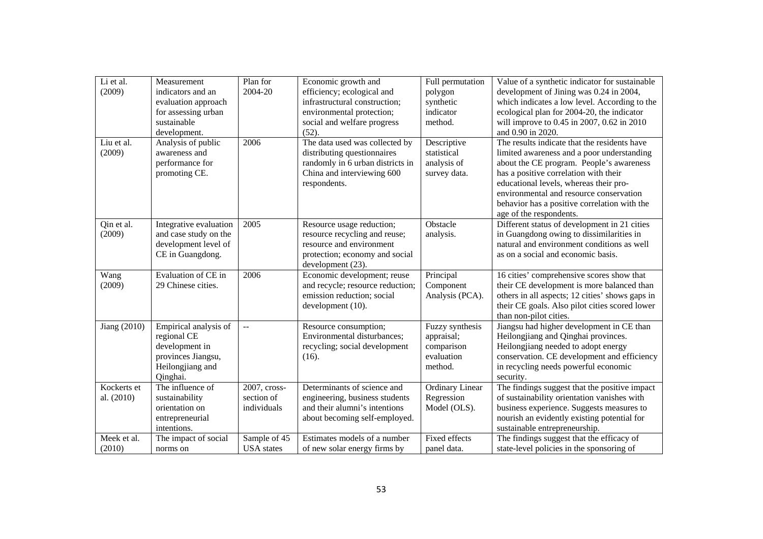| Li et al.            | Measurement                                                                                                  | Plan for          | Economic growth and                                                                                                                             | Full permutation                                                     | Value of a synthetic indicator for sustainable                                                                                                                                                                                                                       |
|----------------------|--------------------------------------------------------------------------------------------------------------|-------------------|-------------------------------------------------------------------------------------------------------------------------------------------------|----------------------------------------------------------------------|----------------------------------------------------------------------------------------------------------------------------------------------------------------------------------------------------------------------------------------------------------------------|
| (2009)               | indicators and an                                                                                            | 2004-20           | efficiency; ecological and                                                                                                                      | polygon                                                              | development of Jining was 0.24 in 2004,                                                                                                                                                                                                                              |
|                      | evaluation approach                                                                                          |                   | infrastructural construction;                                                                                                                   | synthetic                                                            | which indicates a low level. According to the                                                                                                                                                                                                                        |
|                      | for assessing urban                                                                                          |                   | environmental protection;                                                                                                                       | indicator                                                            | ecological plan for 2004-20, the indicator                                                                                                                                                                                                                           |
|                      | sustainable                                                                                                  |                   | social and welfare progress                                                                                                                     | method.                                                              | will improve to 0.45 in 2007, 0.62 in 2010                                                                                                                                                                                                                           |
|                      | development.                                                                                                 |                   | (52).                                                                                                                                           |                                                                      | and 0.90 in 2020.                                                                                                                                                                                                                                                    |
| Liu et al.<br>(2009) | Analysis of public<br>awareness and<br>performance for<br>promoting CE.                                      | 2006              | The data used was collected by<br>distributing questionnaires<br>randomly in 6 urban districts in<br>China and interviewing 600<br>respondents. | Descriptive<br>statistical<br>analysis of<br>survey data.            | The results indicate that the residents have<br>limited awareness and a poor understanding<br>about the CE program. People's awareness<br>has a positive correlation with their<br>educational levels, whereas their pro-<br>environmental and resource conservation |
|                      |                                                                                                              |                   |                                                                                                                                                 |                                                                      | behavior has a positive correlation with the<br>age of the respondents.                                                                                                                                                                                              |
| Qin et al.<br>(2009) | Integrative evaluation<br>and case study on the<br>development level of<br>CE in Guangdong.                  | 2005              | Resource usage reduction;<br>resource recycling and reuse;<br>resource and environment<br>protection; economy and social<br>development (23).   | Obstacle<br>analysis.                                                | Different status of development in 21 cities<br>in Guangdong owing to dissimilarities in<br>natural and environment conditions as well<br>as on a social and economic basis.                                                                                         |
| Wang                 | Evaluation of CE in                                                                                          | 2006              | Economic development; reuse                                                                                                                     | Principal                                                            | 16 cities' comprehensive scores show that                                                                                                                                                                                                                            |
| (2009)               | 29 Chinese cities.                                                                                           |                   | and recycle; resource reduction;                                                                                                                | Component                                                            | their CE development is more balanced than                                                                                                                                                                                                                           |
|                      |                                                                                                              |                   | emission reduction; social<br>development (10).                                                                                                 | Analysis (PCA).                                                      | others in all aspects; 12 cities' shows gaps in<br>their CE goals. Also pilot cities scored lower<br>than non-pilot cities.                                                                                                                                          |
| Jiang (2010)         | Empirical analysis of<br>regional CE<br>development in<br>provinces Jiangsu,<br>Heilongjiang and<br>Qinghai. | $-$               | Resource consumption;<br>Environmental disturbances;<br>recycling; social development<br>(16).                                                  | Fuzzy synthesis<br>appraisal;<br>comparison<br>evaluation<br>method. | Jiangsu had higher development in CE than<br>Heilongjiang and Qinghai provinces.<br>Heilongjiang needed to adopt energy<br>conservation. CE development and efficiency<br>in recycling needs powerful economic<br>security.                                          |
| Kockerts et          | The influence of                                                                                             | 2007, cross-      | Determinants of science and                                                                                                                     | <b>Ordinary Linear</b>                                               | The findings suggest that the positive impact                                                                                                                                                                                                                        |
| al. (2010)           | sustainability                                                                                               | section of        | engineering, business students                                                                                                                  | Regression                                                           | of sustainability orientation vanishes with                                                                                                                                                                                                                          |
|                      | orientation on                                                                                               | individuals       | and their alumni's intentions                                                                                                                   | Model (OLS).                                                         | business experience. Suggests measures to                                                                                                                                                                                                                            |
|                      | entrepreneurial                                                                                              |                   | about becoming self-employed.                                                                                                                   |                                                                      | nourish an evidently existing potential for                                                                                                                                                                                                                          |
|                      | intentions.                                                                                                  |                   |                                                                                                                                                 |                                                                      | sustainable entrepreneurship.                                                                                                                                                                                                                                        |
| Meek et al.          | The impact of social                                                                                         | Sample of 45      | Estimates models of a number                                                                                                                    | <b>Fixed effects</b>                                                 | The findings suggest that the efficacy of                                                                                                                                                                                                                            |
| (2010)               | norms on                                                                                                     | <b>USA</b> states | of new solar energy firms by                                                                                                                    | panel data.                                                          | state-level policies in the sponsoring of                                                                                                                                                                                                                            |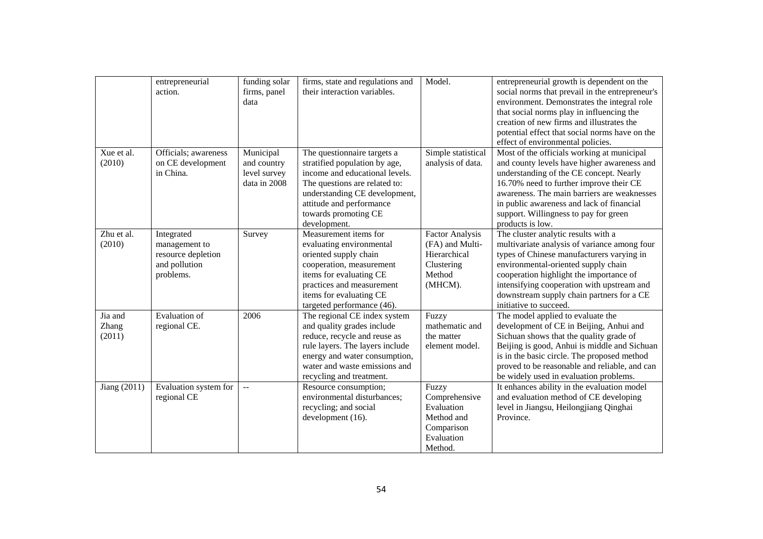|                                   | entrepreneurial<br>action.                                                      | funding solar<br>firms, panel<br>data                    | firms, state and regulations and<br>their interaction variables.                                                                                                                                                                     | Model.                                                                                       | entrepreneurial growth is dependent on the<br>social norms that prevail in the entrepreneur's<br>environment. Demonstrates the integral role<br>that social norms play in influencing the<br>creation of new firms and illustrates the<br>potential effect that social norms have on the<br>effect of environmental policies.            |
|-----------------------------------|---------------------------------------------------------------------------------|----------------------------------------------------------|--------------------------------------------------------------------------------------------------------------------------------------------------------------------------------------------------------------------------------------|----------------------------------------------------------------------------------------------|------------------------------------------------------------------------------------------------------------------------------------------------------------------------------------------------------------------------------------------------------------------------------------------------------------------------------------------|
| Xue et al.<br>(2010)              | Officials; awareness<br>on CE development<br>in China.                          | Municipal<br>and country<br>level survey<br>data in 2008 | The questionnaire targets a<br>stratified population by age,<br>income and educational levels.<br>The questions are related to:<br>understanding CE development,<br>attitude and performance<br>towards promoting CE<br>development. | Simple statistical<br>analysis of data.                                                      | Most of the officials working at municipal<br>and county levels have higher awareness and<br>understanding of the CE concept. Nearly<br>16.70% need to further improve their CE<br>awareness. The main barriers are weaknesses<br>in public awareness and lack of financial<br>support. Willingness to pay for green<br>products is low. |
| Zhu et al.<br>(2010)              | Integrated<br>management to<br>resource depletion<br>and pollution<br>problems. | Survey                                                   | Measurement items for<br>evaluating environmental<br>oriented supply chain<br>cooperation, measurement<br>items for evaluating CE<br>practices and measurement<br>items for evaluating CE<br>targeted performance (46).              | <b>Factor Analysis</b><br>(FA) and Multi-<br>Hierarchical<br>Clustering<br>Method<br>(MHCM). | The cluster analytic results with a<br>multivariate analysis of variance among four<br>types of Chinese manufacturers varying in<br>environmental-oriented supply chain<br>cooperation highlight the importance of<br>intensifying cooperation with upstream and<br>downstream supply chain partners for a CE<br>initiative to succeed.  |
| Jia and<br><b>Zhang</b><br>(2011) | <b>Evaluation</b> of<br>regional CE.                                            | 2006                                                     | The regional CE index system<br>and quality grades include<br>reduce, recycle and reuse as<br>rule layers. The layers include<br>energy and water consumption,<br>water and waste emissions and<br>recycling and treatment.          | Fuzzy<br>mathematic and<br>the matter<br>element model.                                      | The model applied to evaluate the<br>development of CE in Beijing, Anhui and<br>Sichuan shows that the quality grade of<br>Beijing is good, Anhui is middle and Sichuan<br>is in the basic circle. The proposed method<br>proved to be reasonable and reliable, and can<br>be widely used in evaluation problems.                        |
| Jiang (2011)                      | Evaluation system for<br>regional CE                                            |                                                          | Resource consumption;<br>environmental disturbances;<br>recycling; and social<br>development (16).                                                                                                                                   | Fuzzy<br>Comprehensive<br>Evaluation<br>Method and<br>Comparison<br>Evaluation<br>Method.    | It enhances ability in the evaluation model<br>and evaluation method of CE developing<br>level in Jiangsu, Heilongjiang Qinghai<br>Province.                                                                                                                                                                                             |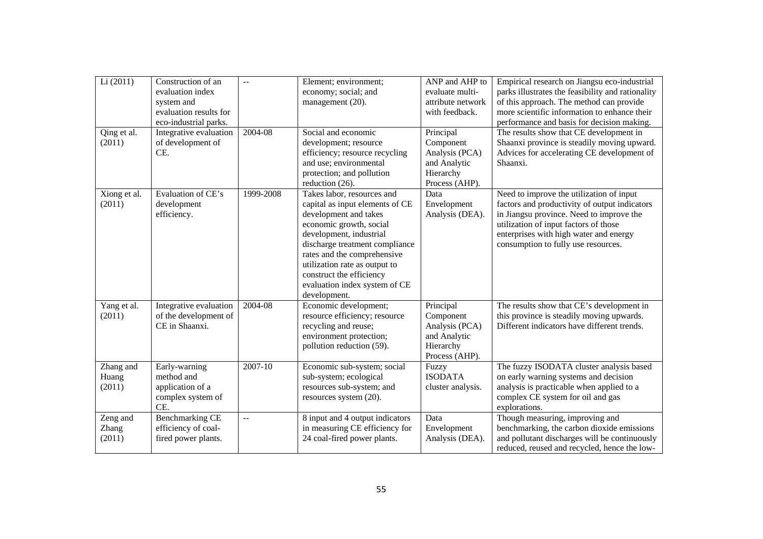| Li(2011)                     | Construction of an<br>evaluation index<br>system and<br>evaluation results for<br>eco-industrial parks. | $-$       | Element; environment;<br>economy; social; and<br>management (20).                                                                                                                                                                                                                                                           | ANP and AHP to<br>evaluate multi-<br>attribute network<br>with feedback.                | Empirical research on Jiangsu eco-industrial<br>parks illustrates the feasibility and rationality<br>of this approach. The method can provide<br>more scientific information to enhance their<br>performance and basis for decision making.                     |
|------------------------------|---------------------------------------------------------------------------------------------------------|-----------|-----------------------------------------------------------------------------------------------------------------------------------------------------------------------------------------------------------------------------------------------------------------------------------------------------------------------------|-----------------------------------------------------------------------------------------|-----------------------------------------------------------------------------------------------------------------------------------------------------------------------------------------------------------------------------------------------------------------|
| Qing et al.<br>(2011)        | Integrative evaluation<br>of development of<br>CE.                                                      | 2004-08   | Social and economic<br>development; resource<br>efficiency; resource recycling<br>and use; environmental<br>protection; and pollution<br>reduction (26).                                                                                                                                                                    | Principal<br>Component<br>Analysis (PCA)<br>and Analytic<br>Hierarchy<br>Process (AHP). | The results show that CE development in<br>Shaanxi province is steadily moving upward.<br>Advices for accelerating CE development of<br>Shaanxi.                                                                                                                |
| Xiong et al.<br>(2011)       | Evaluation of CE's<br>development<br>efficiency.                                                        | 1999-2008 | Takes labor, resources and<br>capital as input elements of CE<br>development and takes<br>economic growth, social<br>development, industrial<br>discharge treatment compliance<br>rates and the comprehensive<br>utilization rate as output to<br>construct the efficiency<br>evaluation index system of CE<br>development. | Data<br>Envelopment<br>Analysis (DEA).                                                  | Need to improve the utilization of input<br>factors and productivity of output indicators<br>in Jiangsu province. Need to improve the<br>utilization of input factors of those<br>enterprises with high water and energy<br>consumption to fully use resources. |
| Yang et al.<br>(2011)        | Integrative evaluation<br>of the development of<br>CE in Shaanxi.                                       | 2004-08   | Economic development;<br>resource efficiency; resource<br>recycling and reuse;<br>environment protection;<br>pollution reduction (59).                                                                                                                                                                                      | Principal<br>Component<br>Analysis (PCA)<br>and Analytic<br>Hierarchy<br>Process (AHP). | The results show that CE's development in<br>this province is steadily moving upwards.<br>Different indicators have different trends.                                                                                                                           |
| Zhang and<br>Huang<br>(2011) | Early-warning<br>method and<br>application of a<br>complex system of<br>CE.                             | 2007-10   | Economic sub-system; social<br>sub-system; ecological<br>resources sub-system; and<br>resources system (20).                                                                                                                                                                                                                | Fuzzy<br><b>ISODATA</b><br>cluster analysis.                                            | The fuzzy ISODATA cluster analysis based<br>on early warning systems and decision<br>analysis is practicable when applied to a<br>complex CE system for oil and gas<br>explorations.                                                                            |
| Zeng and<br>Zhang<br>(2011)  | <b>Benchmarking CE</b><br>efficiency of coal-<br>fired power plants.                                    |           | 8 input and 4 output indicators<br>in measuring CE efficiency for<br>24 coal-fired power plants.                                                                                                                                                                                                                            | Data<br>Envelopment<br>Analysis (DEA).                                                  | Though measuring, improving and<br>benchmarking, the carbon dioxide emissions<br>and pollutant discharges will be continuously<br>reduced, reused and recycled, hence the low-                                                                                  |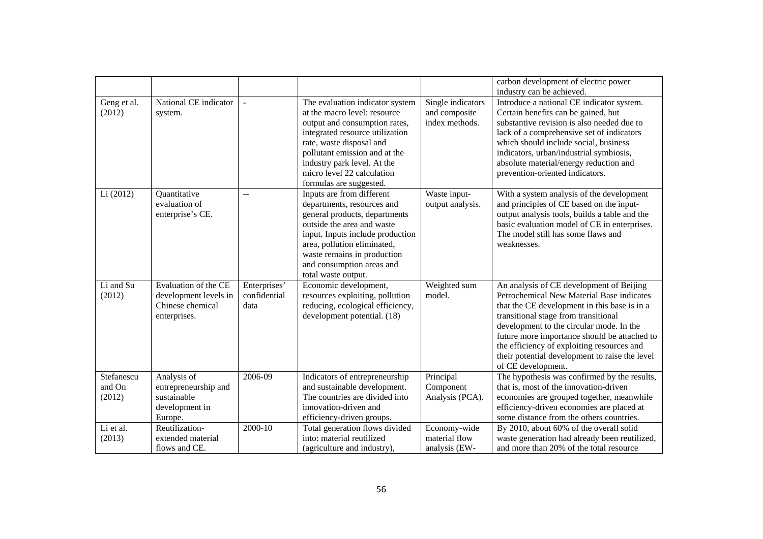|             |                       |                |                                  |                   | carbon development of electric power           |
|-------------|-----------------------|----------------|----------------------------------|-------------------|------------------------------------------------|
|             |                       |                |                                  |                   | industry can be achieved.                      |
| Geng et al. | National CE indicator |                | The evaluation indicator system  | Single indicators | Introduce a national CE indicator system.      |
| (2012)      | system.               |                | at the macro level: resource     | and composite     | Certain benefits can be gained, but            |
|             |                       |                | output and consumption rates,    | index methods.    | substantive revision is also needed due to     |
|             |                       |                | integrated resource utilization  |                   | lack of a comprehensive set of indicators      |
|             |                       |                | rate, waste disposal and         |                   | which should include social, business          |
|             |                       |                | pollutant emission and at the    |                   | indicators, urban/industrial symbiosis,        |
|             |                       |                | industry park level. At the      |                   | absolute material/energy reduction and         |
|             |                       |                | micro level 22 calculation       |                   | prevention-oriented indicators.                |
|             |                       |                | formulas are suggested.          |                   |                                                |
| Li (2012)   | Quantitative          | $\overline{a}$ | Inputs are from different        | Waste input-      | With a system analysis of the development      |
|             | evaluation of         |                | departments, resources and       | output analysis.  | and principles of CE based on the input-       |
|             | enterprise's CE.      |                | general products, departments    |                   | output analysis tools, builds a table and the  |
|             |                       |                | outside the area and waste       |                   | basic evaluation model of CE in enterprises.   |
|             |                       |                | input. Inputs include production |                   | The model still has some flaws and             |
|             |                       |                | area, pollution eliminated,      |                   | weaknesses.                                    |
|             |                       |                | waste remains in production      |                   |                                                |
|             |                       |                | and consumption areas and        |                   |                                                |
|             |                       |                | total waste output.              |                   |                                                |
| Li and Su   | Evaluation of the CE  | Enterprises'   | Economic development,            | Weighted sum      | An analysis of CE development of Beijing       |
| (2012)      | development levels in | confidential   | resources exploiting, pollution  | model.            | Petrochemical New Material Base indicates      |
|             | Chinese chemical      | data           | reducing, ecological efficiency, |                   | that the CE development in this base is in a   |
|             | enterprises.          |                | development potential. (18)      |                   | transitional stage from transitional           |
|             |                       |                |                                  |                   | development to the circular mode. In the       |
|             |                       |                |                                  |                   | future more importance should be attached to   |
|             |                       |                |                                  |                   | the efficiency of exploiting resources and     |
|             |                       |                |                                  |                   | their potential development to raise the level |
|             |                       |                |                                  |                   | of CE development.                             |
| Stefanescu  | Analysis of           | 2006-09        | Indicators of entrepreneurship   | Principal         | The hypothesis was confirmed by the results,   |
| and On      | entrepreneurship and  |                | and sustainable development.     | Component         | that is, most of the innovation-driven         |
| (2012)      | sustainable           |                | The countries are divided into   | Analysis (PCA).   | economies are grouped together, meanwhile      |
|             | development in        |                | innovation-driven and            |                   | efficiency-driven economies are placed at      |
|             | Europe.               |                | efficiency-driven groups.        |                   | some distance from the others countries.       |
| Li et al.   | Reutilization-        | 2000-10        | Total generation flows divided   | Economy-wide      | By 2010, about 60% of the overall solid        |
| (2013)      | extended material     |                | into: material reutilized        | material flow     | waste generation had already been reutilized,  |
|             | flows and CE.         |                | (agriculture and industry),      | analysis (EW-     | and more than 20% of the total resource        |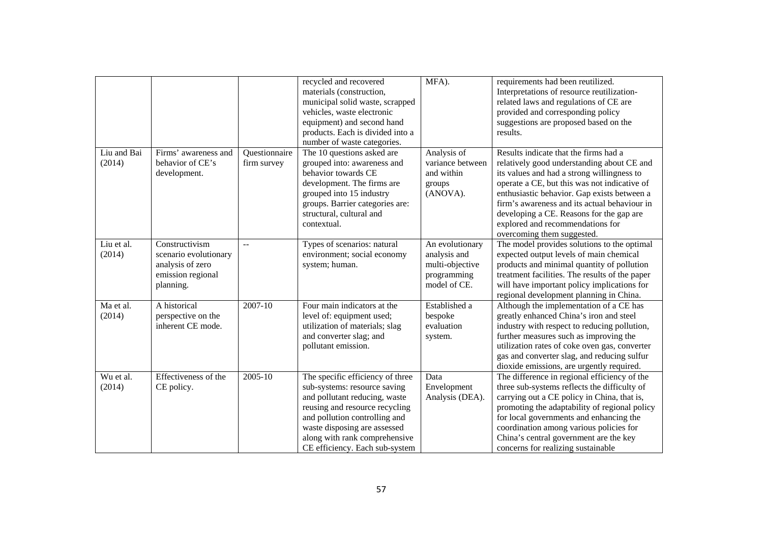|                       |                                                                                               |                              | recycled and recovered<br>materials (construction,<br>municipal solid waste, scrapped<br>vehicles, waste electronic<br>equipment) and second hand<br>products. Each is divided into a<br>number of waste categories.                                                    | MFA).                                                                             | requirements had been reutilized.<br>Interpretations of resource reutilization-<br>related laws and regulations of CE are<br>provided and corresponding policy<br>suggestions are proposed based on the<br>results.                                                                                                                                                                            |
|-----------------------|-----------------------------------------------------------------------------------------------|------------------------------|-------------------------------------------------------------------------------------------------------------------------------------------------------------------------------------------------------------------------------------------------------------------------|-----------------------------------------------------------------------------------|------------------------------------------------------------------------------------------------------------------------------------------------------------------------------------------------------------------------------------------------------------------------------------------------------------------------------------------------------------------------------------------------|
| Liu and Bai<br>(2014) | Firms' awareness and<br>behavior of CE's<br>development.                                      | Questionnaire<br>firm survey | The 10 questions asked are<br>grouped into: awareness and<br>behavior towards CE<br>development. The firms are<br>grouped into 15 industry<br>groups. Barrier categories are:<br>structural, cultural and<br>contextual.                                                | Analysis of<br>variance between<br>and within<br>groups<br>(ANOVA).               | Results indicate that the firms had a<br>relatively good understanding about CE and<br>its values and had a strong willingness to<br>operate a CE, but this was not indicative of<br>enthusiastic behavior. Gap exists between a<br>firm's awareness and its actual behaviour in<br>developing a CE. Reasons for the gap are<br>explored and recommendations for<br>overcoming them suggested. |
| Liu et al.<br>(2014)  | Constructivism<br>scenario evolutionary<br>analysis of zero<br>emission regional<br>planning. | $\overline{a}$               | Types of scenarios: natural<br>environment; social economy<br>system; human.                                                                                                                                                                                            | An evolutionary<br>analysis and<br>multi-objective<br>programming<br>model of CE. | The model provides solutions to the optimal<br>expected output levels of main chemical<br>products and minimal quantity of pollution<br>treatment facilities. The results of the paper<br>will have important policy implications for<br>regional development planning in China.                                                                                                               |
| Ma et al.<br>(2014)   | A historical<br>perspective on the<br>inherent CE mode.                                       | 2007-10                      | Four main indicators at the<br>level of: equipment used;<br>utilization of materials; slag<br>and converter slag; and<br>pollutant emission.                                                                                                                            | Established a<br>bespoke<br>evaluation<br>system.                                 | Although the implementation of a CE has<br>greatly enhanced China's iron and steel<br>industry with respect to reducing pollution,<br>further measures such as improving the<br>utilization rates of coke oven gas, converter<br>gas and converter slag, and reducing sulfur<br>dioxide emissions, are urgently required.                                                                      |
| Wu et al.<br>(2014)   | Effectiveness of the<br>CE policy.                                                            | 2005-10                      | The specific efficiency of three<br>sub-systems: resource saving<br>and pollutant reducing, waste<br>reusing and resource recycling<br>and pollution controlling and<br>waste disposing are assessed<br>along with rank comprehensive<br>CE efficiency. Each sub-system | Data<br>Envelopment<br>Analysis (DEA).                                            | The difference in regional efficiency of the<br>three sub-systems reflects the difficulty of<br>carrying out a CE policy in China, that is,<br>promoting the adaptability of regional policy<br>for local governments and enhancing the<br>coordination among various policies for<br>China's central government are the key<br>concerns for realizing sustainable                             |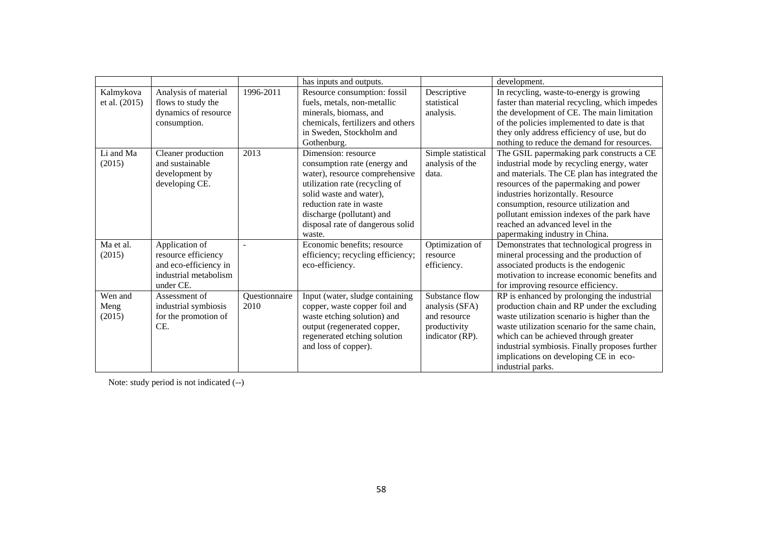|               |                       |               | has inputs and outputs.           |                    | development.                                   |
|---------------|-----------------------|---------------|-----------------------------------|--------------------|------------------------------------------------|
| Kalmykova     | Analysis of material  | 1996-2011     | Resource consumption: fossil      | Descriptive        | In recycling, waste-to-energy is growing       |
| et al. (2015) | flows to study the    |               | fuels, metals, non-metallic       | statistical        | faster than material recycling, which impedes  |
|               | dynamics of resource  |               | minerals, biomass, and            | analysis.          | the development of CE. The main limitation     |
|               | consumption.          |               | chemicals, fertilizers and others |                    | of the policies implemented to date is that    |
|               |                       |               | in Sweden, Stockholm and          |                    | they only address efficiency of use, but do    |
|               |                       |               | Gothenburg.                       |                    | nothing to reduce the demand for resources.    |
| Li and Ma     | Cleaner production    | 2013          | Dimension: resource               | Simple statistical | The GSIL papermaking park constructs a CE      |
| (2015)        | and sustainable       |               | consumption rate (energy and      | analysis of the    | industrial mode by recycling energy, water     |
|               | development by        |               | water), resource comprehensive    | data.              | and materials. The CE plan has integrated the  |
|               | developing CE.        |               | utilization rate (recycling of    |                    | resources of the papermaking and power         |
|               |                       |               | solid waste and water),           |                    | industries horizontally. Resource              |
|               |                       |               | reduction rate in waste           |                    | consumption, resource utilization and          |
|               |                       |               | discharge (pollutant) and         |                    | pollutant emission indexes of the park have    |
|               |                       |               | disposal rate of dangerous solid  |                    | reached an advanced level in the               |
|               |                       |               | waste.                            |                    | papermaking industry in China.                 |
| Ma et al.     | Application of        |               | Economic benefits; resource       | Optimization of    | Demonstrates that technological progress in    |
| (2015)        | resource efficiency   |               | efficiency; recycling efficiency; | resource           | mineral processing and the production of       |
|               | and eco-efficiency in |               | eco-efficiency.                   | efficiency.        | associated products is the endogenic           |
|               | industrial metabolism |               |                                   |                    | motivation to increase economic benefits and   |
|               | under CE.             |               |                                   |                    | for improving resource efficiency.             |
| Wen and       | Assessment of         | Questionnaire | Input (water, sludge containing   | Substance flow     | RP is enhanced by prolonging the industrial    |
| Meng          | industrial symbiosis  | 2010          | copper, waste copper foil and     | analysis (SFA)     | production chain and RP under the excluding    |
| (2015)        | for the promotion of  |               | waste etching solution) and       | and resource       | waste utilization scenario is higher than the  |
|               | CE.                   |               | output (regenerated copper,       | productivity       | waste utilization scenario for the same chain, |
|               |                       |               | regenerated etching solution      | indicator (RP).    | which can be achieved through greater          |
|               |                       |               | and loss of copper).              |                    | industrial symbiosis. Finally proposes further |
|               |                       |               |                                   |                    | implications on developing CE in eco-          |
|               |                       |               |                                   |                    | industrial parks.                              |

Note: study period is not indicated (--)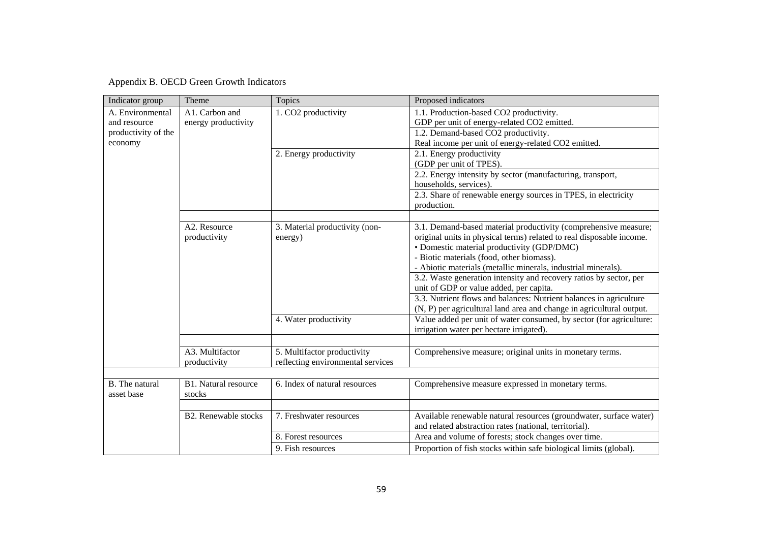Appendix B. OECD Green Growth Indicators

| Indicator group     | Theme                       | Topics                            | Proposed indicators                                                                  |
|---------------------|-----------------------------|-----------------------------------|--------------------------------------------------------------------------------------|
| A. Environmental    | A1. Carbon and              | 1. CO2 productivity               | 1.1. Production-based CO2 productivity.                                              |
| and resource        | energy productivity         |                                   | GDP per unit of energy-related CO2 emitted.                                          |
| productivity of the |                             |                                   | 1.2. Demand-based CO2 productivity.                                                  |
| economy             |                             |                                   | Real income per unit of energy-related CO2 emitted.                                  |
|                     |                             | 2. Energy productivity            | 2.1. Energy productivity                                                             |
|                     |                             |                                   | (GDP per unit of TPES).                                                              |
|                     |                             |                                   | 2.2. Energy intensity by sector (manufacturing, transport,<br>households, services). |
|                     |                             |                                   | 2.3. Share of renewable energy sources in TPES, in electricity                       |
|                     |                             |                                   | production.                                                                          |
|                     |                             |                                   |                                                                                      |
|                     | A2. Resource                | 3. Material productivity (non-    | 3.1. Demand-based material productivity (comprehensive measure;                      |
|                     | productivity                | energy)                           | original units in physical terms) related to real disposable income.                 |
|                     |                             |                                   | · Domestic material productivity (GDP/DMC)                                           |
|                     |                             |                                   | - Biotic materials (food, other biomass).                                            |
|                     |                             |                                   | - Abiotic materials (metallic minerals, industrial minerals).                        |
|                     |                             |                                   | 3.2. Waste generation intensity and recovery ratios by sector, per                   |
|                     |                             |                                   | unit of GDP or value added, per capita.                                              |
|                     |                             |                                   | 3.3. Nutrient flows and balances: Nutrient balances in agriculture                   |
|                     |                             |                                   | (N, P) per agricultural land area and change in agricultural output.                 |
|                     |                             | 4. Water productivity             | Value added per unit of water consumed, by sector (for agriculture:                  |
|                     |                             |                                   | irrigation water per hectare irrigated).                                             |
|                     |                             |                                   |                                                                                      |
|                     | A3. Multifactor             | 5. Multifactor productivity       | Comprehensive measure; original units in monetary terms.                             |
|                     | productivity                | reflecting environmental services |                                                                                      |
|                     |                             |                                   |                                                                                      |
| B. The natural      | B1. Natural resource        | 6. Index of natural resources     | Comprehensive measure expressed in monetary terms.                                   |
| asset base          | stocks                      |                                   |                                                                                      |
|                     |                             |                                   |                                                                                      |
|                     | <b>B2.</b> Renewable stocks | 7. Freshwater resources           | Available renewable natural resources (groundwater, surface water)                   |
|                     |                             |                                   | and related abstraction rates (national, territorial).                               |
|                     |                             | 8. Forest resources               | Area and volume of forests; stock changes over time.                                 |
|                     |                             | 9. Fish resources                 | Proportion of fish stocks within safe biological limits (global).                    |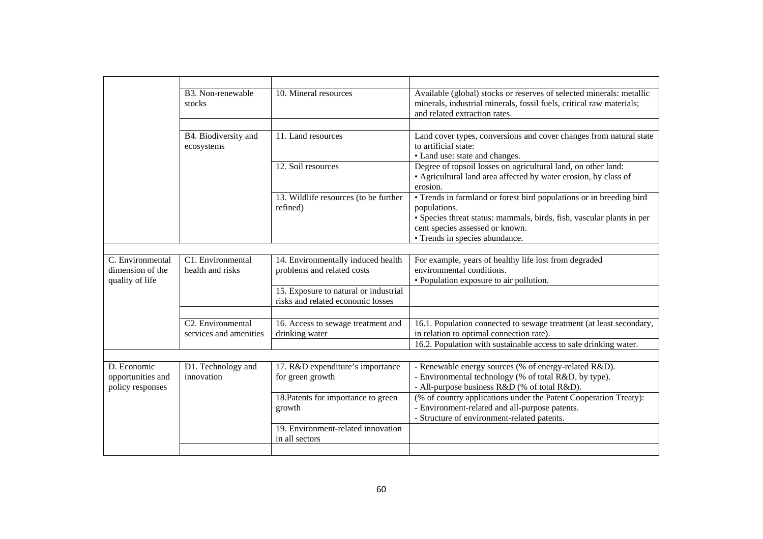|                                                         | B3. Non-renewable<br>stocks                              | 10. Mineral resources                                                      | Available (global) stocks or reserves of selected minerals: metallic<br>minerals, industrial minerals, fossil fuels, critical raw materials;<br>and related extraction rates.                                                     |
|---------------------------------------------------------|----------------------------------------------------------|----------------------------------------------------------------------------|-----------------------------------------------------------------------------------------------------------------------------------------------------------------------------------------------------------------------------------|
|                                                         |                                                          |                                                                            |                                                                                                                                                                                                                                   |
|                                                         | B4. Biodiversity and<br>ecosystems                       | 11. Land resources                                                         | Land cover types, conversions and cover changes from natural state<br>to artificial state:<br>• Land use: state and changes.                                                                                                      |
|                                                         |                                                          | 12. Soil resources                                                         | Degree of topsoil losses on agricultural land, on other land:<br>• Agricultural land area affected by water erosion, by class of<br>erosion.                                                                                      |
|                                                         |                                                          | 13. Wildlife resources (to be further<br>refined)                          | • Trends in farmland or forest bird populations or in breeding bird<br>populations.<br>• Species threat status: mammals, birds, fish, vascular plants in per<br>cent species assessed or known.<br>• Trends in species abundance. |
|                                                         |                                                          |                                                                            |                                                                                                                                                                                                                                   |
| C. Environmental<br>dimension of the<br>quality of life | C1. Environmental<br>health and risks                    | 14. Environmentally induced health<br>problems and related costs           | For example, years of healthy life lost from degraded<br>environmental conditions.<br>• Population exposure to air pollution.                                                                                                     |
|                                                         |                                                          | 15. Exposure to natural or industrial<br>risks and related economic losses |                                                                                                                                                                                                                                   |
|                                                         |                                                          |                                                                            |                                                                                                                                                                                                                                   |
|                                                         | C <sub>2</sub> . Environmental<br>services and amenities | 16. Access to sewage treatment and<br>drinking water                       | 16.1. Population connected to sewage treatment (at least secondary,<br>in relation to optimal connection rate).                                                                                                                   |
|                                                         |                                                          |                                                                            | 16.2. Population with sustainable access to safe drinking water.                                                                                                                                                                  |
|                                                         |                                                          |                                                                            |                                                                                                                                                                                                                                   |
| D. Economic<br>opportunities and<br>policy responses    | D1. Technology and<br>innovation                         | 17. R&D expenditure's importance<br>for green growth                       | - Renewable energy sources (% of energy-related R&D).<br>- Environmental technology (% of total R&D, by type).<br>- All-purpose business R&D (% of total R&D).                                                                    |
|                                                         |                                                          | 18. Patents for importance to green<br>growth                              | (% of country applications under the Patent Cooperation Treaty):<br>- Environment-related and all-purpose patents.<br>- Structure of environment-related patents.                                                                 |
|                                                         |                                                          | 19. Environment-related innovation<br>in all sectors                       |                                                                                                                                                                                                                                   |
|                                                         |                                                          |                                                                            |                                                                                                                                                                                                                                   |